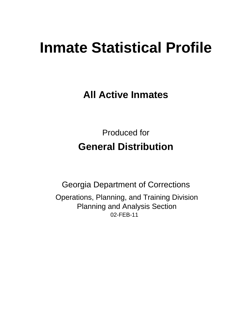# **Inmate Statistical Profile**

**All Active Inmates** 

**Produced for General Distribution** 

**Georgia Department of Corrections** Operations, Planning, and Training Division **Planning and Analysis Section** 02-FEB-11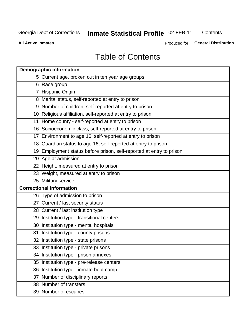**Inmate Statistical Profile 02-FEB-11** 

Contents

**All Active Inmates** 

Produced for General Distribution

# **Table of Contents**

| <b>Demographic information</b> |                                                                      |  |  |  |  |
|--------------------------------|----------------------------------------------------------------------|--|--|--|--|
|                                | 5 Current age, broken out in ten year age groups                     |  |  |  |  |
|                                | 6 Race group                                                         |  |  |  |  |
|                                | 7 Hispanic Origin                                                    |  |  |  |  |
|                                | 8 Marital status, self-reported at entry to prison                   |  |  |  |  |
|                                | 9 Number of children, self-reported at entry to prison               |  |  |  |  |
|                                | 10 Religious affiliation, self-reported at entry to prison           |  |  |  |  |
|                                | 11 Home county - self-reported at entry to prison                    |  |  |  |  |
|                                | 16 Socioeconomic class, self-reported at entry to prison             |  |  |  |  |
|                                | 17 Environment to age 16, self-reported at entry to prison           |  |  |  |  |
|                                | 18 Guardian status to age 16, self-reported at entry to prison       |  |  |  |  |
|                                | 19 Employment status before prison, self-reported at entry to prison |  |  |  |  |
|                                | 20 Age at admission                                                  |  |  |  |  |
|                                | 22 Height, measured at entry to prison                               |  |  |  |  |
|                                | 23 Weight, measured at entry to prison                               |  |  |  |  |
|                                | 25 Military service                                                  |  |  |  |  |
|                                | <b>Correctional information</b>                                      |  |  |  |  |
|                                | 26 Type of admission to prison                                       |  |  |  |  |
|                                | 27 Current / last security status                                    |  |  |  |  |
|                                | 28 Current / last institution type                                   |  |  |  |  |
|                                | 29 Institution type - transitional centers                           |  |  |  |  |
|                                | 30 Institution type - mental hospitals                               |  |  |  |  |
|                                | 31 Institution type - county prisons                                 |  |  |  |  |
|                                | 32 Institution type - state prisons                                  |  |  |  |  |
|                                | 33 Institution type - private prisons                                |  |  |  |  |
|                                | 34 Institution type - prison annexes                                 |  |  |  |  |
| 35                             | Institution type - pre-release centers                               |  |  |  |  |
|                                | 36 Institution type - inmate boot camp                               |  |  |  |  |
|                                | 37 Number of disciplinary reports                                    |  |  |  |  |
|                                | 38 Number of transfers                                               |  |  |  |  |
|                                | 39 Number of escapes                                                 |  |  |  |  |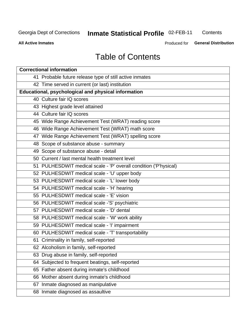# **Inmate Statistical Profile 02-FEB-11**

Contents

**All Active Inmates** 

Produced for General Distribution

# **Table of Contents**

| <b>Correctional information</b>                                  |  |  |  |  |  |  |
|------------------------------------------------------------------|--|--|--|--|--|--|
| 41 Probable future release type of still active inmates          |  |  |  |  |  |  |
| 42 Time served in current (or last) institution                  |  |  |  |  |  |  |
| Educational, psychological and physical information              |  |  |  |  |  |  |
| 40 Culture fair IQ scores                                        |  |  |  |  |  |  |
| 43 Highest grade level attained                                  |  |  |  |  |  |  |
| 44 Culture fair IQ scores                                        |  |  |  |  |  |  |
| 45 Wide Range Achievement Test (WRAT) reading score              |  |  |  |  |  |  |
| 46 Wide Range Achievement Test (WRAT) math score                 |  |  |  |  |  |  |
| 47 Wide Range Achievement Test (WRAT) spelling score             |  |  |  |  |  |  |
| 48 Scope of substance abuse - summary                            |  |  |  |  |  |  |
| 49 Scope of substance abuse - detail                             |  |  |  |  |  |  |
| 50 Current / last mental health treatment level                  |  |  |  |  |  |  |
| 51 PULHESDWIT medical scale - 'P' overall condition ('P'hysical) |  |  |  |  |  |  |
| 52 PULHESDWIT medical scale - 'U' upper body                     |  |  |  |  |  |  |
| 53 PULHESDWIT medical scale - 'L' lower body                     |  |  |  |  |  |  |
| 54 PULHESDWIT medical scale - 'H' hearing                        |  |  |  |  |  |  |
| 55 PULHESDWIT medical scale - 'E' vision                         |  |  |  |  |  |  |
| 56 PULHESDWIT medical scale -'S' psychiatric                     |  |  |  |  |  |  |
| 57 PULHESDWIT medical scale - 'D' dental                         |  |  |  |  |  |  |
| 58 PULHESDWIT medical scale - 'W' work ability                   |  |  |  |  |  |  |
| 59 PULHESDWIT medical scale - 'I' impairment                     |  |  |  |  |  |  |
| 60 PULHESDWIT medical scale - 'T' transportability               |  |  |  |  |  |  |
| 61 Criminality in family, self-reported                          |  |  |  |  |  |  |
| 62 Alcoholism in family, self-reported                           |  |  |  |  |  |  |
| 63 Drug abuse in family, self-reported                           |  |  |  |  |  |  |
| 64 Subjected to frequent beatings, self-reported                 |  |  |  |  |  |  |
| 65 Father absent during inmate's childhood                       |  |  |  |  |  |  |
| 66 Mother absent during inmate's childhood                       |  |  |  |  |  |  |
| 67 Inmate diagnosed as manipulative                              |  |  |  |  |  |  |
| 68 Inmate diagnosed as assaultive                                |  |  |  |  |  |  |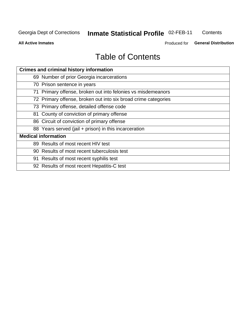# Inmate Statistical Profile 02-FEB-11

Contents

**All Active Inmates** 

Produced for General Distribution

# **Table of Contents**

| <b>Crimes and criminal history information</b>                 |  |  |  |  |  |
|----------------------------------------------------------------|--|--|--|--|--|
| 69 Number of prior Georgia incarcerations                      |  |  |  |  |  |
| 70 Prison sentence in years                                    |  |  |  |  |  |
| 71 Primary offense, broken out into felonies vs misdemeanors   |  |  |  |  |  |
| 72 Primary offense, broken out into six broad crime categories |  |  |  |  |  |
| 73 Primary offense, detailed offense code                      |  |  |  |  |  |
| 81 County of conviction of primary offense                     |  |  |  |  |  |
| 86 Circuit of conviction of primary offense                    |  |  |  |  |  |
| 88 Years served (jail + prison) in this incarceration          |  |  |  |  |  |
| <b>Medical information</b>                                     |  |  |  |  |  |
| 89 Results of most recent HIV test                             |  |  |  |  |  |
| 90 Results of most recent tuberculosis test                    |  |  |  |  |  |
| 91 Results of most recent syphilis test                        |  |  |  |  |  |
| 92 Results of most recent Hepatitis-C test                     |  |  |  |  |  |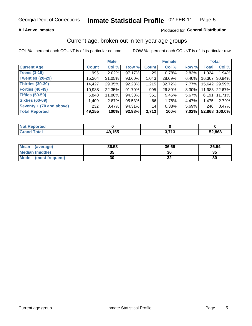### **All Active Inmates**

### Produced for General Distribution

# Current age, broken out in ten-year age groups

COL % - percent each COUNT is of its particular column

|                            |              | <b>Male</b> |        |              | <b>Female</b> |          |              | <b>Total</b>  |
|----------------------------|--------------|-------------|--------|--------------|---------------|----------|--------------|---------------|
| <b>Current Age</b>         | <b>Count</b> | Col %       | Row %  | <b>Count</b> | Col %         | Row %    | <b>Total</b> | Col %         |
| <b>Teens (1-19)</b>        | 995          | 2.02%       | 97.17% | 29           | 0.78%         | 2.83%    | 1,024        | 1.94%         |
| <b>Twenties (20-29)</b>    | 15,264       | 31.05%      | 93.60% | 1,043        | 28.09%        | 6.40%    | 16,307       | 30.84%        |
| <b>Thirties (30-39)</b>    | 14,427       | 29.35%      | 92.23% | 1,215        | 32.72%        | $7.77\%$ |              | 15,642 29.59% |
| <b>Forties (40-49)</b>     | 10,988       | 22.35%      | 91.70% | 995          | 26.80%        | 8.30%    |              | 11,983 22.67% |
| <b>Fifties (50-59)</b>     | 5,840        | 11.88%      | 94.33% | 351          | 9.45%         | 5.67%    | 6.191        | 11.71%        |
| <b>Sixties (60-69)</b>     | 1,409        | 2.87%       | 95.53% | 66           | 1.78%         | 4.47%    | 1,475        | 2.79%         |
| Seventy $+$ (70 and above) | 232          | 0.47%       | 94.31% | 14           | 0.38%         | $5.69\%$ | 246          | 0.47%         |
| <b>Total Reported</b>      | 49,155       | 100%        | 92.98% | 3,713        | 100%          | 7.02%    | 52,868       | 100.0%        |

| <b>Not Repo</b><br><b>Enorted</b> |        |                 |        |
|-----------------------------------|--------|-----------------|--------|
| Total                             | 49,155 | <b>2749</b><br> | 52,868 |

| <b>Mean</b><br>(average) | 36.53    | 36.69 | 36.54 |
|--------------------------|----------|-------|-------|
| Median (middle)          | つん<br>vu | 36    | 35    |
| Mode<br>(most frequent)  | 30       | ◡▵    | 30    |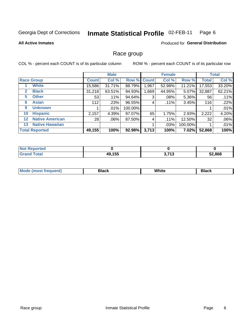#### Inmate Statistical Profile 02-FEB-11 Page 6

**All Active Inmates** 

# **Produced for General Distribution**

# Race group

COL % - percent each COUNT is of its particular column

|              |                        | <b>Male</b>  |         |         | <b>Female</b> |        |         | <b>Total</b> |        |
|--------------|------------------------|--------------|---------|---------|---------------|--------|---------|--------------|--------|
|              | <b>Race Group</b>      | <b>Count</b> | Col %   |         | Row % Count   | Col %  | Row %   | <b>Total</b> | Col %  |
|              | <b>White</b>           | 15,586       | 31.71%  | 88.79%  | 1,967         | 52.98% | 11.21%  | 17,553       | 33.20% |
| $\mathbf{2}$ | <b>Black</b>           | 31,218       | 63.51%  | 94.93%  | 1,669         | 44.95% | 5.07%   | 32,887       | 62.21% |
| 5.           | <b>Other</b>           | 53           | .11%    | 94.64%  | 3             | .08%   | 5.36%   | 56           | .11%   |
| 6            | <b>Asian</b>           | 112          | .23%    | 96.55%  | 4             | .11%   | 3.45%   | 116          | .22%   |
| 9            | <b>Unknown</b>         |              | $.01\%$ | 100.00% |               |        |         |              | .01%   |
| 10           | <b>Hispanic</b>        | 2,157        | 4.39%   | 97.07%  | 65            | 1.75%  | 2.93%   | 2,222        | 4.20%  |
| $12 \,$      | <b>Native American</b> | 28           | $.06\%$ | 87.50%  | 4             | .11%   | 12.50%  | 32           | .06%   |
| 13           | <b>Native Hawaiian</b> |              |         |         |               | .03%   | 100.00% |              | .01%   |
|              | <b>Total Reported</b>  | 49,155       | 100%    | 92.98%  | 3,713         | 100%   | 7.02%   | 52,868       | 100%   |

| Reported<br>NOT F |        |                        |                      |
|-------------------|--------|------------------------|----------------------|
| <b>Total</b>      | 49,155 | י די<br><b>J</b> , 1 J | 52,868<br><u>JД.</u> |

| Mode (most frequent) | Black | White | Black |
|----------------------|-------|-------|-------|
|                      |       |       |       |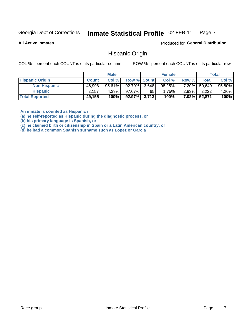#### Inmate Statistical Profile 02-FEB-11 Page 7

**All Active Inmates** 

Produced for General Distribution

# **Hispanic Origin**

COL % - percent each COUNT is of its particular column

ROW % - percent each COUNT is of its particular row

|                        |              | <b>Male</b> |                    |    | <b>Female</b> |          |        | <b>Total</b> |
|------------------------|--------------|-------------|--------------------|----|---------------|----------|--------|--------------|
| <b>Hispanic Origin</b> | <b>Count</b> | Col %       | <b>Row % Count</b> |    | Col %         | Row %    | Totall | Col %        |
| <b>Non Hispanic</b>    | 46,998       | $95.61\%$   | $92.79\%$ 3,648    |    | 98.25%        | 7.20%    | 50,649 | 95.80%       |
| <b>Hispanic</b>        | 2,157        | $4.39\%$    | 97.07%             | 65 | 1.75%         | $2.93\%$ | 2.222  | 4.20%        |
| <b>Total Reported</b>  | 49,155       | 100%        | $92.97\%$ 3,713    |    | 100%          | $7.02\%$ | 52,871 | 100%         |

An inmate is counted as Hispanic if

(a) he self-reported as Hispanic during the diagnostic process, or

(b) his primary language is Spanish, or

(c) he claimed birth or citizenship in Spain or a Latin American country, or

(d) he had a common Spanish surname such as Lopez or Garcia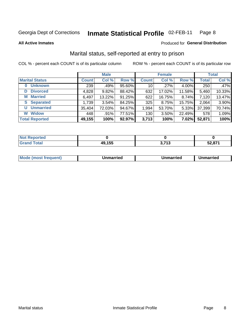#### Inmate Statistical Profile 02-FEB-11 Page 8

**All Active Inmates** 

### Produced for General Distribution

# Marital status, self-reported at entry to prison

COL % - percent each COUNT is of its particular column

|                            | <b>Male</b>  |        |        | <b>Female</b>   |        |        | <b>Total</b> |        |
|----------------------------|--------------|--------|--------|-----------------|--------|--------|--------------|--------|
| <b>Marital Status</b>      | <b>Count</b> | Col %  | Row %  | <b>Count</b>    | Col %  | Row %  | <b>Total</b> | Col %  |
| <b>Unknown</b><br>$\bf{0}$ | 239          | .49%   | 95.60% | 10 <sup>1</sup> | .27%   | 4.00%  | 250          | .47%   |
| <b>Divorced</b><br>D       | 4,828        | 9.82%  | 88.42% | 632             | 17.02% | 11.58% | 5,460        | 10.33% |
| <b>Married</b><br>М        | 6,497        | 13.22% | 91.25% | 622             | 16.75% | 8.74%  | 7,120        | 13.47% |
| <b>Separated</b><br>S      | 1,739        | 3.54%  | 84.25% | 325             | 8.75%  | 15.75% | 2,064        | 3.90%  |
| <b>Unmarried</b><br>U      | 35,404       | 72.03% | 94.67% | 1,994           | 53.70% | 5.33%  | 37,399       | 70.74% |
| <b>Widow</b><br>W          | 448          | .91%   | 77.51% | 130             | 3.50%  | 22.49% | 578          | 1.09%  |
| <b>Total Reported</b>      | 49,155       | 100%   | 92.97% | 3,713           | 100%   | 7.02%  | 52,871       | 100%   |

| <b>Not Reported</b> |        |                    |        |
|---------------------|--------|--------------------|--------|
| Total               | 49,155 | <b>749</b><br>טווט | 52,871 |

|--|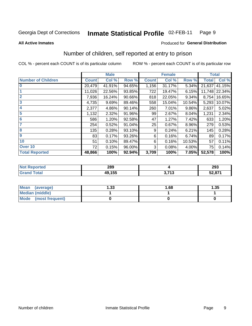#### Inmate Statistical Profile 02-FEB-11 Page 9

**All Active Inmates** 

### Produced for General Distribution

# Number of children, self reported at entry to prison

COL % - percent each COUNT is of its particular column

|                           |              | <b>Male</b> |        |              | <b>Female</b> |          | <b>Total</b> |               |
|---------------------------|--------------|-------------|--------|--------------|---------------|----------|--------------|---------------|
| <b>Number of Children</b> | <b>Count</b> | Col %       | Row %  | <b>Count</b> | Col %         | Row %    | <b>Total</b> | Col %         |
| $\bf{0}$                  | 20,479       | 41.91%      | 94.65% | 1,156        | 31.17%        | 5.34%    | 21,637       | 41.15%        |
|                           | 11,026       | 22.56%      | 93.85% | 722          | 19.47%        | 6.15%    |              | 11,748 22.34% |
| $\overline{2}$            | 7,936        | 16.24%      | 90.66% | 818          | 22.05%        | 9.34%    | 8,754        | 16.65%        |
| 3                         | 4,735        | 9.69%       | 89.46% | 558          | 15.04%        | 10.54%   | 5,293        | 10.07%        |
| 4                         | 2,377        | 4.86%       | 90.14% | 260          | 7.01%         | $9.86\%$ | 2,637        | 5.02%         |
| 5                         | 1,132        | 2.32%       | 91.96% | 99           | 2.67%         | 8.04%    | 1,231        | 2.34%         |
| 6                         | 586          | 1.20%       | 92.58% | 47           | 1.27%         | 7.42%    | 633          | 1.20%         |
| 7                         | 254          | 0.52%       | 91.04% | 25           | 0.67%         | 8.96%    | 279          | 0.53%         |
| 8                         | 135          | 0.28%       | 93.10% | 9            | 0.24%         | 6.21%    | 145          | 0.28%         |
| $\boldsymbol{9}$          | 83           | 0.17%       | 93.26% | 6            | 0.16%         | 6.74%    | 89           | 0.17%         |
| 10                        | 51           | 0.10%       | 89.47% | 6            | 0.16%         | 10.53%   | 57           | 0.11%         |
| Over 10                   | 72           | 0.15%       | 96.00% | 3            | 0.08%         | 4.00%    | 75           | 0.14%         |
| <b>Total Reported</b>     | 48,866       | 100%        | 92.94% | 3,709        | 100%          | 7.05%    | 52,578       | 100%          |

| 289          |                | 202<br>299 |
|--------------|----------------|------------|
| <b>10155</b> | <b>749</b><br> | 52,871     |

| <b>Mean</b><br>(average)       | ∣.33 | 1.68 | 1.35 |
|--------------------------------|------|------|------|
| <b>Median (middle)</b>         |      |      |      |
| <b>Mode</b><br>(most frequent) |      |      |      |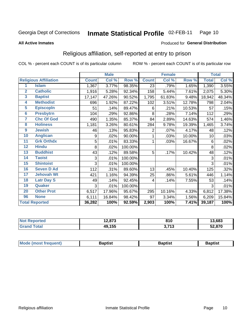#### Inmate Statistical Profile 02-FEB-11 Page 10

**All Active Inmates** 

### Produced for General Distribution

# Religious affiliation, self-reported at entry to prison

COL % - percent each COUNT is of its particular column

|                         |                              |              | <b>Male</b> |         |                | <b>Female</b> |        | <b>Total</b> |        |
|-------------------------|------------------------------|--------------|-------------|---------|----------------|---------------|--------|--------------|--------|
|                         | <b>Religious Affiliation</b> | <b>Count</b> | Col %       | Row %   | <b>Count</b>   | Col %         | Row %  | <b>Total</b> | Col %  |
| 1                       | <b>Islam</b>                 | 1,367        | 3.77%       | 98.35%  | 23             | .79%          | 1.65%  | 1,390        | 3.55%  |
| $\overline{2}$          | <b>Catholic</b>              | 1,916        | 5.28%       | 92.34%  | 158            | 5.44%         | 7.61%  | 2,075        | 5.30%  |
| 3                       | <b>Baptist</b>               | 17,147       | 47.26%      | 90.52%  | 1,795          | 61.83%        | 9.48%  | 18,942       | 48.34% |
| $\overline{\mathbf{4}}$ | <b>Methodist</b>             | 696          | 1.92%       | 87.22%  | 102            | 3.51%         | 12.78% | 798          | 2.04%  |
| 5                       | <b>EpiscopIn</b>             | 51           | .14%        | 89.47%  | 6              | .21%          | 10.53% | 57           | .15%   |
| $6\phantom{a}$          | <b>Presbytrn</b>             | 104          | .29%        | 92.86%  | 8              | .28%          | 7.14%  | 112          | .29%   |
| 7                       | <b>Chc Of God</b>            | 490          | 1.35%       | 85.37%  | 84             | 2.89%         | 14.63% | 574          | 1.46%  |
| 8                       | <b>Holiness</b>              | 1,181        | 3.26%       | 80.61%  | 284            | 9.78%         | 19.39% | 1,465        | 3.74%  |
| $\boldsymbol{9}$        | <b>Jewish</b>                | 46           | .13%        | 95.83%  | $\overline{2}$ | .07%          | 4.17%  | 48           | .12%   |
| 10                      | <b>Anglican</b>              | 9            | .02%        | 90.00%  |                | .03%          | 10.00% | 10           | .03%   |
| 11                      | <b>Grk Orthdx</b>            | 5            | .01%        | 83.33%  |                | .03%          | 16.67% | 6            | .02%   |
| 12                      | <b>Hindu</b>                 | 8            | .02%        | 100.00% |                |               |        | 8            | .02%   |
| 13                      | <b>Buddhist</b>              | 43           | .12%        | 89.58%  | 5              | .17%          | 10.42% | 48           | .12%   |
| 14                      | <b>Taoist</b>                | 3            | .01%        | 100.00% |                |               |        | 3            | .01%   |
| 15                      | <b>Shintoist</b>             | 3            | .01%        | 100.00% |                |               |        | 3            | .01%   |
| 16                      | <b>Seven D Ad</b>            | 112          | .31%        | 89.60%  | 13             | .45%          | 10.40% | 125          | .32%   |
| 17                      | <b>Jehovah Wt</b>            | 421          | 1.16%       | 94.39%  | 25             | .86%          | 5.61%  | 446          | 1.14%  |
| 18                      | <b>Latr Day S</b>            | 49           | .14%        | 92.45%  | 4              | .14%          | 7.55%  | 53           | .14%   |
| 19                      | Quaker                       | 3            | .01%        | 100.00% |                |               |        | 3            | .01%   |
| 20                      | <b>Other Prot</b>            | 6,517        | 17.96%      | 95.67%  | 295            | 10.16%        | 4.33%  | 6,812        | 17.38% |
| 96                      | <b>None</b>                  | 6,111        | 16.84%      | 98.42%  | 97             | 3.34%         | 1.56%  | 6,209        | 15.84% |
|                         | <b>Total Reported</b>        | 36,282       | 100%        | 92.59%  | 2,903          | 100%          | 7.41%  | 39,187       | 100%   |

| Reported<br>NO | 12,873 | 04f<br>v 1 u      | 13,683 |
|----------------|--------|-------------------|--------|
| `otal          | 49,155 | 2742<br>- 19<br>. | 52,870 |

| <b>Mode (most frequent)</b><br>Baptist<br>Baptist<br>Baptist |
|--------------------------------------------------------------|
|--------------------------------------------------------------|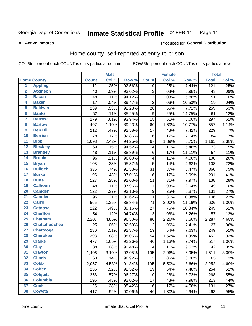#### Inmate Statistical Profile 02-FEB-11 Page 11

**All Active Inmates** 

### **Produced for General Distribution**

# Home county, self-reported at entry to prison

COL % - percent each COUNT is of its particular column

|                         |                      |                  | <b>Male</b> |        | <b>Female</b>           |       |        | <b>Total</b> |       |
|-------------------------|----------------------|------------------|-------------|--------|-------------------------|-------|--------|--------------|-------|
|                         | <b>Home County</b>   | <b>Count</b>     | Col %       | Row %  | <b>Count</b>            | Col % | Row %  | <b>Total</b> | Col % |
| $\overline{1}$          | <b>Appling</b>       | $\overline{112}$ | .25%        | 92.56% | 9                       | .25%  | 7.44%  | 121          | .25%  |
| $\overline{2}$          | <b>Atkinson</b>      | 40               | .09%        | 93.02% | 3                       | .08%  | 6.98%  | 43           | .09%  |
| $\overline{\mathbf{3}}$ | <b>Bacon</b>         | 48               | .11%        | 94.12% | $\overline{3}$          | .08%  | 5.88%  | 51           | .10%  |
| 4                       | <b>Baker</b>         | 17               | .04%        | 89.47% | $\overline{2}$          | .06%  | 10.53% | 19           | .04%  |
| 5                       | <b>Baldwin</b>       | 239              | .53%        | 92.28% | 20                      | .56%  | 7.72%  | 259          | .53%  |
| $6\phantom{a}$          | <b>Banks</b>         | 52               | .11%        | 85.25% | $\boldsymbol{9}$        | .25%  | 14.75% | 61           | .12%  |
| 7                       | <b>Barrow</b>        | 279              | .61%        | 93.94% | 18                      | .51%  | 6.06%  | 297          | .61%  |
| 8                       | <b>Bartow</b>        | 497              | 1.10%       | 89.23% | 60                      | 1.69% | 10.77% | 557          | 1.14% |
| $\overline{9}$          | <b>Ben Hill</b>      | 212              | .47%        | 92.58% | 17                      | .48%  | 7.42%  | 229          | .47%  |
| 10                      | <b>Berrien</b>       | 78               | .17%        | 92.86% | 6                       | .17%  | 7.14%  | 84           | .17%  |
| $\overline{11}$         | <b>Bibb</b>          | 1,098            | 2.42%       | 94.25% | 67                      | 1.89% | 5.75%  | 1,165        | 2.38% |
| $\overline{12}$         | <b>Bleckley</b>      | 69               | .15%        | 94.52% | $\overline{\mathbf{4}}$ | .11%  | 5.48%  | 73           | .15%  |
| $\overline{13}$         | <b>Brantley</b>      | 48               | .11%        | 88.89% | $\,6$                   | .17%  | 11.11% | 54           | .11%  |
| 14                      | <b>Brooks</b>        | 96               | .21%        | 96.00% | 4                       | .11%  | 4.00%  | 100          | .20%  |
| 15                      | <b>Bryan</b>         | 103              | .23%        | 95.37% | $\overline{5}$          | .14%  | 4.63%  | 108          | .22%  |
| 16                      | <b>Bulloch</b>       | 335              | .74%        | 91.53% | 31                      | .87%  | 8.47%  | 366          | .75%  |
| $\overline{17}$         | <b>Burke</b>         | 195              | .43%        | 97.01% | 6                       | .17%  | 2.99%  | 201          | .41%  |
| 18                      | <b>Butts</b>         | 127              | .28%        | 92.03% | 11                      | .31%  | 7.97%  | 138          | .28%  |
| 19                      | <b>Calhoun</b>       | 48               | .11%        | 97.96% | $\mathbf{1}$            | .03%  | 2.04%  | 49           | .10%  |
| 20                      | <b>Camden</b>        | 122              | .27%        | 93.13% | $\boldsymbol{9}$        | .25%  | 6.87%  | 131          | .27%  |
| $\overline{21}$         | <b>Candler</b>       | 95               | .21%        | 89.62% | 11                      | .31%  | 10.38% | 106          | .22%  |
| $\overline{22}$         | <b>Carroll</b>       | 565              | 1.25%       | 88.84% | 71                      | 2.00% | 11.16% | 636          | 1.30% |
| 23                      | <b>Catoosa</b>       | 222              | .49%        | 89.16% | 27                      | .76%  | 10.84% | 249          | .51%  |
| $\overline{24}$         | <b>Charlton</b>      | 54               | .12%        | 94.74% | 3                       | .08%  | 5.26%  | 57           | .12%  |
| 25                      | <b>Chatham</b>       | 2,207            | 4.86%       | 96.50% | 80                      | 2.26% | 3.50%  | 2,287        | 4.68% |
| 26                      | <b>Chattahoochee</b> | 25               | .06%        | 92.59% | $\overline{2}$          | .06%  | 7.41%  | 27           | .06%  |
| $\overline{27}$         | <b>Chattooga</b>     | 230              | .51%        | 92.37% | 19                      | .54%  | 7.63%  | 249          | .51%  |
| 28                      | <b>Cherokee</b>      | 398              | .88%        | 88.05% | 54                      | 1.52% | 11.95% | 452          | .92%  |
| 29                      | <b>Clarke</b>        | 477              | 1.05%       | 92.26% | 40                      | 1.13% | 7.74%  | 517          | 1.06% |
| 30                      | <b>Clay</b>          | 38               | .08%        | 90.48% | 4                       | .11%  | 9.52%  | 42           | .09%  |
| 31                      | <b>Clayton</b>       | 1,406            | 3.10%       | 93.05% | 105                     | 2.96% | 6.95%  | 1,511        | 3.09% |
| 32                      | <b>Clinch</b>        | 63               | .14%        | 96.92% | $\overline{2}$          | .06%  | 3.08%  | 65           | .13%  |
| 33                      | <b>Cobb</b>          | 2,057            | 4.53%       | 91.34% | 195                     | 5.50% | 8.66%  | 2,252        | 4.60% |
| 34                      | <b>Coffee</b>        | 235              | .52%        | 92.52% | 19                      | .54%  | 7.48%  | 254          | .52%  |
| 35                      | <b>Colquitt</b>      | 258              | .57%        | 96.27% | 10                      | .28%  | 3.73%  | 268          | .55%  |
| 36                      | <b>Columbia</b>      | 196              | .43%        | 92.02% | 17                      | .48%  | 7.98%  | 213          | .44%  |
| 37                      | <b>Cook</b>          | 125              | .28%        | 95.42% | 6                       | .17%  | 4.58%  | 131          | .27%  |
| 38                      | <b>Coweta</b>        | 417              | .92%        | 90.06% | 46                      | 1.30% | 9.94%  | 463          | .95%  |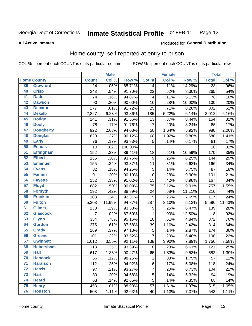#### Inmate Statistical Profile 02-FEB-11 Page 12

**All Active Inmates** 

## **Produced for General Distribution**

# Home county, self-reported at entry to prison

COL % - percent each COUNT is of its particular column

|                 |                    |                | <b>Male</b> |         | <b>Female</b>    |       |        | <b>Total</b>    |         |
|-----------------|--------------------|----------------|-------------|---------|------------------|-------|--------|-----------------|---------|
|                 | <b>Home County</b> | <b>Count</b>   | Col %       | Row %   | <b>Count</b>     | Col % | Row %  | <b>Total</b>    | Col %   |
| 39              | <b>Crawford</b>    | 24             | .05%        | 85.71%  | 4                | .11%  | 14.29% | $\overline{28}$ | $.06\%$ |
| 40              | <b>Crisp</b>       | 243            | .54%        | 91.70%  | 22               | .62%  | 8.30%  | 265             | .54%    |
| 41              | <b>Dade</b>        | 74             | .16%        | 94.87%  | $\overline{4}$   | .11%  | 5.13%  | 78              | .16%    |
| 42              | <b>Dawson</b>      | 90             | .20%        | 90.00%  | 10               | .28%  | 10.00% | 100             | .20%    |
| 43              | <b>Decatur</b>     | 277            | .61%        | 91.72%  | 25               | .71%  | 8.28%  | 302             | .62%    |
| 44              | <b>Dekalb</b>      | 2,827          | 6.23%       | 93.86%  | 185              | 5.22% | 6.14%  | 3,012           | 6.16%   |
| 45              | <b>Dodge</b>       | 141            | .31%        | 91.56%  | 13               | .37%  | 8.44%  | 154             | .31%    |
| 46              | <b>Dooly</b>       | 78             | .17%        | 91.76%  | $\overline{7}$   | .20%  | 8.24%  | 85              | .17%    |
| 47              | <b>Dougherty</b>   | 922            | 2.03%       | 94.08%  | 58               | 1.64% | 5.92%  | 980             | 2.00%   |
| 48              | <b>Douglas</b>     | 620            | 1.37%       | 90.12%  | 68               | 1.92% | 9.88%  | 688             | 1.41%   |
| 49              | <b>Early</b>       | 76             | .17%        | 93.83%  | 5                | .14%  | 6.17%  | 81              | .17%    |
| 50              | <b>Echols</b>      | 10             | .02%        | 100.00% |                  |       |        | 10              | .02%    |
| $\overline{51}$ | <b>Effingham</b>   | 152            | .33%        | 89.41%  | 18               | .51%  | 10.59% | 170             | .35%    |
| 52              | <b>Elbert</b>      | 135            | .30%        | 93.75%  | $\boldsymbol{9}$ | .25%  | 6.25%  | 144             | .29%    |
| 53              | <b>Emanuel</b>     | 155            | .34%        | 93.37%  | 11               | .31%  | 6.63%  | 166             | .34%    |
| 54              | <b>Evans</b>       | 82             | .18%        | 94.25%  | 5                | .14%  | 5.75%  | 87              | .18%    |
| 55              | <b>Fannin</b>      | 91             | .20%        | 90.10%  | 10               | .28%  | 9.90%  | 101             | .21%    |
| 56              | <b>Fayette</b>     | 152            | .33%        | 91.02%  | 15               | .42%  | 8.98%  | 167             | .34%    |
| 57              | <b>Floyd</b>       | 682            | 1.50%       | 90.09%  | 75               | 2.12% | 9.91%  | 757             | 1.55%   |
| 58              | <b>Forsyth</b>     | 192            | .42%        | 88.89%  | 24               | .68%  | 11.11% | 216             | .44%    |
| 59              | <b>Franklin</b>    | 108            | .24%        | 92.31%  | $\boldsymbol{9}$ | .25%  | 7.69%  | 117             | .24%    |
| 60              | <b>Fulton</b>      | 5,303          | 11.69%      | 94.87%  | 287              | 8.10% | 5.13%  | 5,590           | 11.43%  |
| 61              | <b>Gilmer</b>      | 130            | .29%        | 93.53%  | 9                | .25%  | 6.47%  | 139             | .28%    |
| 62              | <b>Glascock</b>    | $\overline{7}$ | .02%        | 87.50%  | $\mathbf{1}$     | .03%  | 12.50% | 8               | .02%    |
| 63              | <b>Glynn</b>       | 354            | .78%        | 95.16%  | 18               | .51%  | 4.84%  | 372             | .76%    |
| 64              | <b>Gordon</b>      | 275            | .61%        | 87.58%  | 39               | 1.10% | 12.42% | 314             | .64%    |
| 65              | <b>Grady</b>       | 169            | .37%        | 97.13%  | $\sqrt{5}$       | .14%  | 2.87%  | 174             | .36%    |
| 66              | <b>Greene</b>      | 101            | .22%        | 93.52%  | $\overline{7}$   | .20%  | 6.48%  | 108             | .22%    |
| 67              | <b>Gwinnett</b>    | 1,612          | 3.55%       | 92.11%  | 138              | 3.90% | 7.89%  | 1,750           | 3.58%   |
| 68              | <b>Habersham</b>   | 113            | .25%        | 93.39%  | 8                | .23%  | 6.61%  | 121             | .25%    |
| 69              | <b>Hall</b>        | 617            | 1.36%       | 90.47%  | 65               | 1.83% | 9.53%  | 682             | 1.39%   |
| 70              | <b>Hancock</b>     | 56             | .12%        | 98.25%  | $\mathbf{1}$     | .03%  | 1.75%  | 57              | .12%    |
| $\overline{71}$ | <b>Haralson</b>    | 112            | .25%        | 94.92%  | 6                | .17%  | 5.08%  | 118             | .24%    |
| 72              | <b>Harris</b>      | 97             | .21%        | 93.27%  | $\overline{7}$   | .20%  | 6.73%  | 104             | .21%    |
| 73              | <b>Hart</b>        | 89             | .20%        | 94.68%  | $\sqrt{5}$       | .14%  | 5.32%  | 94              | .19%    |
| 74              | <b>Heard</b>       | 63             | .14%        | 92.65%  | 5                | .14%  | 7.35%  | 68              | .14%    |
| 75              | <b>Henry</b>       | 458            | 1.01%       | 88.93%  | 57               | 1.61% | 11.07% | 515             | 1.05%   |
| 76              | <b>Houston</b>     | 503            | 1.11%       | 92.63%  | 40               | 1.13% | 7.37%  | 543             | 1.11%   |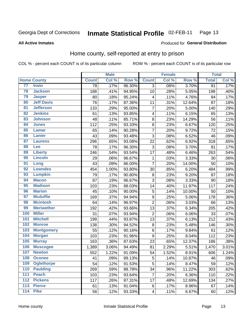#### Inmate Statistical Profile 02-FEB-11 Page 13

### **All Active Inmates**

### **Produced for General Distribution**

# Home county, self-reported at entry to prison

COL % - percent each COUNT is of its particular column

|                  |                    |              | <b>Male</b> |        |                  | <b>Female</b> |        | <b>Total</b> |                     |
|------------------|--------------------|--------------|-------------|--------|------------------|---------------|--------|--------------|---------------------|
|                  | <b>Home County</b> | <b>Count</b> | Col %       | Row %  | <b>Count</b>     | Col %         | Row %  | <b>Total</b> | Col %               |
| 77               | <b>Irwin</b>       | 78           | .17%        | 96.30% | 3                | .08%          | 3.70%  | 81           | .17%                |
| 78               | <b>Jackson</b>     | 188          | .41%        | 94.95% | 10               | .28%          | 5.05%  | 198          | .40%                |
| 79               | <b>Jasper</b>      | 80           | .18%        | 95.24% | 4                | .11%          | 4.76%  | 84           | .17%                |
| 80               | <b>Jeff Davis</b>  | 76           | .17%        | 87.36% | 11               | .31%          | 12.64% | 87           | .18%                |
| $\overline{81}$  | <b>Jefferson</b>   | 133          | .29%        | 95.00% | $\overline{7}$   | .20%          | 5.00%  | 140          | .29%                |
| 82               | <b>Jenkins</b>     | 61           | .13%        | 93.85% | 4                | .11%          | 6.15%  | 65           | .13%                |
| 83               | <b>Johnson</b>     | 48           | .11%        | 85.71% | 8                | .23%          | 14.29% | 56           | .11%                |
| 84               | <b>Jones</b>       | 112          | .25%        | 93.33% | 8                | .23%          | 6.67%  | 120          | .25%                |
| 85               | <b>Lamar</b>       | 65           | .14%        | 90.28% | $\overline{7}$   | .20%          | 9.72%  | 72           | .15%                |
| 86               | <b>Lanier</b>      | 43           | .09%        | 93.48% | 3                | .08%          | 6.52%  | 46           | .09%                |
| 87               | <b>Laurens</b>     | 296          | .65%        | 93.08% | 22               | .62%          | 6.92%  | 318          | .65%                |
| 88               | <b>Lee</b>         | 78           | .17%        | 96.30% | 3                | .08%          | 3.70%  | 81           | .17%                |
| 89               | <b>Liberty</b>     | 246          | .54%        | 93.54% | 17               | .48%          | 6.46%  | 263          | .54%                |
| 90               | <b>Lincoln</b>     | 29           | .06%        | 96.67% | $\mathbf{1}$     | .03%          | 3.33%  | 30           | .06%                |
| 91               | Long               | 43           | .09%        | 86.00% | $\overline{7}$   | .20%          | 14.00% | 50           | .10%                |
| 92               | <b>Lowndes</b>     | 454          | 1.00%       | 93.80% | 30               | .85%          | 6.20%  | 484          | .99%                |
| 93               | <b>Lumpkin</b>     | 79           | .17%        | 90.80% | 8                | .23%          | 9.20%  | 87           | .18%                |
| 94               | <b>Macon</b>       | 87           | .19%        | 96.67% | 3                | .08%          | 3.33%  | 90           | .18%                |
| 95               | <b>Madison</b>     | 103          | .23%        | 88.03% | 14               | .40%          | 11.97% | 117          | .24%                |
| 96               | <b>Marion</b>      | 45           | .10%        | 90.00% | 5                | .14%          | 10.00% | 50           | .10%                |
| 97               | <b>Mcduffie</b>    | 169          | .37%        | 94.94% | $\boldsymbol{9}$ | .25%          | 5.06%  | 178          | .36%                |
| 98               | <b>Mcintosh</b>    | 64           | .14%        | 96.97% | $\overline{2}$   | .06%          | 3.03%  | 66           | .13%                |
| 99               | <b>Meriwether</b>  | 192          | .42%        | 93.66% | $\overline{13}$  | .37%          | 6.34%  | 205          | .42%                |
| 100              | <b>Miller</b>      | 31           | .07%        | 93.94% | $\overline{2}$   | .06%          | 6.06%  | 33           | .07%                |
| 101              | <b>Mitchell</b>    | 199          | .44%        | 93.87% | 13               | .37%          | 6.13%  | 212          | .43%                |
| 102              | <b>Monroe</b>      | 138          | .30%        | 94.52% | 8                | .23%          | 5.48%  | 146          | .30%                |
| 103              | <b>Montgomery</b>  | 55           | .12%        | 90.16% | $\overline{6}$   | .17%          | 9.84%  | 61           | .12%                |
| 104              | <b>Morgan</b>      | 103          | .23%        | 91.96% | 9                | .25%          | 8.04%  | 112          | .23%                |
| 105              | <b>Murray</b>      | 163          | .36%        | 87.63% | 23               | .65%          | 12.37% | 186          | .38%                |
| 106              | <b>Muscogee</b>    | 1,389        | 3.06%       | 94.49% | 81               | 2.29%         | 5.51%  | 1,470        | 3.01%               |
| 107              | <b>Newton</b>      | 552          | 1.22%       | 91.09% | 54               | 1.52%         | 8.91%  | 606          | $\overline{1.24\%}$ |
| 108              | <b>Oconee</b>      | 41           | .09%        | 89.13% | 5                | .14%          | 10.87% | 46           | .09%                |
| 109              | <b>Oglethorpe</b>  | 54           | .12%        | 91.53% | 5                | .14%          | 8.47%  | 59           | .12%                |
| 110              | <b>Paulding</b>    | 269          | .59%        | 88.78% | 34               | .96%          | 11.22% | 303          | .62%                |
| 111              | <b>Peach</b>       | 103          | .23%        | 93.64% | 7                | .20%          | 6.36%  | 110          | .22%                |
| 112              | <b>Pickens</b>     | 117          | .26%        | 87.31% | 17               | .48%          | 12.69% | 134          | .27%                |
| $\overline{113}$ | <b>Pierce</b>      | 61           | .13%        | 91.04% | $\,6$            | .17%          | 8.96%  | 67           | .14%                |
| $\overline{114}$ | <b>Pike</b>        | 56           | .12%        | 93.33% | 4                | .11%          | 6.67%  | 60           | .12%                |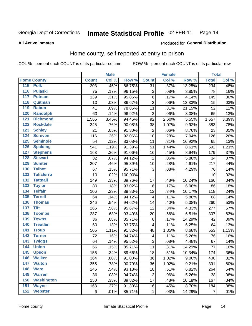#### Inmate Statistical Profile 02-FEB-11 Page 14

### **All Active Inmates**

### Produced for General Distribution

# Home county, self-reported at entry to prison

COL % - percent each COUNT is of its particular column

|                  |                    |              | <b>Male</b> |         |                         | <b>Female</b> |        | <b>Total</b>   |       |
|------------------|--------------------|--------------|-------------|---------|-------------------------|---------------|--------|----------------|-------|
|                  | <b>Home County</b> | <b>Count</b> | Col %       | Row %   | <b>Count</b>            | Col %         | Row %  | <b>Total</b>   | Col % |
| 115              | <b>Polk</b>        | 203          | .45%        | 86.75%  | $\overline{31}$         | .87%          | 13.25% | 234            | .48%  |
| $\overline{116}$ | <b>Pulaski</b>     | 75           | .17%        | 96.15%  | 3                       | .08%          | 3.85%  | 78             | .16%  |
| 117              | <b>Putnam</b>      | 139          | .31%        | 95.86%  | $\,6$                   | .17%          | 4.14%  | 145            | .30%  |
| 118              | Quitman            | 13           | .03%        | 86.67%  | $\overline{2}$          | .06%          | 13.33% | 15             | .03%  |
| 119              | <b>Rabun</b>       | 41           | .09%        | 78.85%  | 11                      | .31%          | 21.15% | 52             | .11%  |
| 120              | <b>Randolph</b>    | 63           | .14%        | 96.92%  | $\overline{2}$          | .06%          | 3.08%  | 65             | .13%  |
| 121              | <b>Richmond</b>    | 1,565        | 3.45%       | 94.45%  | 92                      | 2.60%         | 5.55%  | 1,657          | 3.39% |
| 122              | <b>Rockdale</b>    | 345          | .76%        | 90.08%  | 38                      | 1.07%         | 9.92%  | 383            | .78%  |
| 123              | <b>Schley</b>      | 21           | .05%        | 91.30%  | $\overline{2}$          | .06%          | 8.70%  | 23             | .05%  |
| 124              | <b>Screven</b>     | 116          | .26%        | 92.06%  | 10                      | .28%          | 7.94%  | 126            | .26%  |
| 125              | <b>Seminole</b>    | 54           | .12%        | 83.08%  | 11                      | .31%          | 16.92% | 65             | .13%  |
| 126              | <b>Spalding</b>    | 541          | 1.19%       | 91.39%  | 51                      | 1.44%         | 8.61%  | 592            | 1.21% |
| 127              | <b>Stephens</b>    | 163          | .36%        | 91.06%  | 16                      | .45%          | 8.94%  | 179            | .37%  |
| 128              | <b>Stewart</b>     | 32           | .07%        | 94.12%  | $\overline{2}$          | .06%          | 5.88%  | 34             | .07%  |
| 129              | <b>Sumter</b>      | 207          | .46%        | 95.39%  | 10                      | .28%          | 4.61%  | 217            | .44%  |
| 130              | <b>Talbot</b>      | 67           | .15%        | 95.71%  | 3                       | .08%          | 4.29%  | 70             | .14%  |
| 131              | <b>Taliaferro</b>  | 10           | .02%        | 100.00% |                         |               |        | 10             | .02%  |
| 132              | <b>Tattnall</b>    | 149          | .33%        | 89.76%  | 17                      | .48%          | 10.24% | 166            | .34%  |
| 133              | <b>Taylor</b>      | 80           | .18%        | 93.02%  | $\,6$                   | .17%          | 6.98%  | 86             | .18%  |
| 134              | <b>Telfair</b>     | 106          | .23%        | 89.83%  | 12                      | .34%          | 10.17% | 118            | .24%  |
| 135              | <b>Terrell</b>     | 64           | .14%        | 94.12%  | $\overline{\mathbf{4}}$ | .11%          | 5.88%  | 68             | .14%  |
| 136              | <b>Thomas</b>      | 246          | .54%        | 94.62%  | 14                      | .40%          | 5.38%  | 260            | .53%  |
| 137              | <b>Tift</b>        | 265          | .58%        | 95.67%  | 12                      | .34%          | 4.33%  | 277            | .57%  |
| 138              | <b>Toombs</b>      | 287          | .63%        | 93.49%  | 20                      | .56%          | 6.51%  | 307            | .63%  |
| 139              | <b>Towns</b>       | 36           | .08%        | 85.71%  | 6                       | .17%          | 14.29% | 42             | .09%  |
| 140              | <b>Treutlen</b>    | 60           | .13%        | 93.75%  | 4                       | .11%          | 6.25%  | 64             | .13%  |
| 141              | <b>Troup</b>       | 505          | 1.11%       | 91.32%  | 48                      | 1.35%         | 8.68%  | 553            | 1.13% |
| 142              | <b>Turner</b>      | 72           | .16%        | 94.74%  | 4                       | .11%          | 5.26%  | 76             | .16%  |
| $\overline{143}$ | <b>Twiggs</b>      | 64           | .14%        | 95.52%  | 3                       | .08%          | 4.48%  | 67             | .14%  |
| 144              | <b>Union</b>       | 66           | .15%        | 85.71%  | 11                      | .31%          | 14.29% | 77             | .16%  |
| 145              | <b>Upson</b>       | 156          | .34%        | 89.66%  | 18                      | .51%          | 10.34% | 174            | .36%  |
| 146              | <b>Walker</b>      | 364          | .80%        | 91.00%  | 36                      | 1.02%         | 9.00%  | 400            | .82%  |
| 147              | <b>Walton</b>      | 355          | .78%        | 90.79%  | 36                      | 1.02%         | 9.21%  | 391            | .80%  |
| 148              | <b>Ware</b>        | 246          | .54%        | 93.18%  | 18                      | .51%          | 6.82%  | 264            | .54%  |
| 149              | <b>Warren</b>      | 36           | .08%        | 94.74%  | 2                       | .06%          | 5.26%  | 38             | .08%  |
| 150              | <b>Washington</b>  | 150          | .33%        | 89.82%  | 17                      | .48%          | 10.18% | 167            | .34%  |
| 151              | <b>Wayne</b>       | 168          | .37%        | 91.30%  | 16                      | .45%          | 8.70%  | 184            | .38%  |
| 152              | <b>Webster</b>     | 6            | .01%        | 85.71%  | 1                       | .03%          | 14.29% | $\overline{7}$ | .01%  |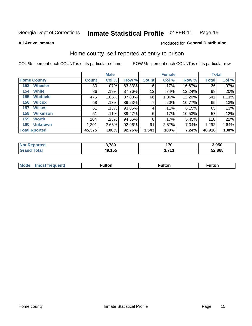#### Inmate Statistical Profile 02-FEB-11 Page 15

**All Active Inmates** 

# **Produced for General Distribution**

# Home county, self-reported at entry to prison

COL % - percent each COUNT is of its particular column

|                         |                 | <b>Male</b> |        |              | <b>Female</b> |          | <b>Total</b> |       |
|-------------------------|-----------------|-------------|--------|--------------|---------------|----------|--------------|-------|
| <b>Home County</b>      | <b>Count</b>    | Col %       | Row %  | <b>Count</b> | Col %         | Row %    | <b>Total</b> | Col % |
| <b>Wheeler</b><br>153   | 30 <sup>2</sup> | .07%        | 83.33% | 6            | .17%          | 16.67%   | 36           | .07%  |
| <b>White</b><br>154     | 86              | .19%        | 87.76% | 12           | .34%          | 12.24%   | 98           | .20%  |
| <b>Whitfield</b><br>155 | 475             | 1.05%       | 87.80% | 66           | 1.86%         | 12.20%   | 541          | 1.11% |
| <b>Wilcox</b><br>156    | 58              | .13%        | 89.23% | 7            | .20%          | 10.77%   | 65           | .13%  |
| <b>Wilkes</b><br>157    | 61              | .13%        | 93.85% | 4            | .11%          | 6.15%    | 65           | .13%  |
| <b>Wilkinson</b><br>158 | 51              | $.11\%$     | 89.47% | 6            | .17%          | 10.53%   | 57           | .12%  |
| 159<br><b>Worth</b>     | 104             | .23%        | 94.55% | 6            | $.17\%$       | $5.45\%$ | 110          | .22%  |
| <b>Unknown</b><br>160   | 1,201           | 2.65%       | 92.96% | 91           | 2.57%         | 7.04%    | 1,292        | 2.64% |
| <b>Total Rported</b>    | 45,375          | 100%        | 92.76% | 3,543        | 100%          | 7.24%    | 48,918       | 100%  |

| rtec<br><b>N</b> | 3,780  | 170<br>$\sim$      | 3,950  |
|------------------|--------|--------------------|--------|
| `otal            | 49,155 | <b>749</b><br>טווט | 52.868 |

|  | Mode | ™ulton | ∶ulton | ™ulton |
|--|------|--------|--------|--------|
|--|------|--------|--------|--------|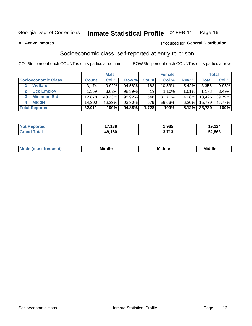#### Inmate Statistical Profile 02-FEB-11 Page 16

**All Active Inmates** 

### **Produced for General Distribution**

# Socioeconomic class, self-reported at entry to prison

COL % - percent each COUNT is of its particular column

|                            |         | <b>Male</b> |        |                 | <b>Female</b> |       |        | <b>Total</b> |
|----------------------------|---------|-------------|--------|-----------------|---------------|-------|--------|--------------|
| <b>Socioeconomic Class</b> | Count l | Col %       | Row %  | <b>Count</b>    | Col %         | Row % | Total, | Col %        |
| <b>Welfare</b>             | 3,174   | 9.92%       | 94.58% | 182             | $10.53\%$     | 5.42% | 3,356  | $9.95\%$     |
| <b>Occ Employ</b>          | .159'   | 3.62%       | 98.39% | 19 <sup>1</sup> | 1.10%         | 1.61% | 1.178  | 3.49%        |
| <b>Minimum Std</b><br>3    | 12.878  | 40.23%      | 95.92% | 548             | 31.71%        | 4.08% | 13,426 | 39.79%       |
| <b>Middle</b><br>4         | 14,800  | 46.23%      | 93.80% | 979             | 56.66%        | 6.20% | 15,779 | 46.77%       |
| <b>Total Reported</b>      | 32,011  | 100%        | 94.88% | 1,728           | 100%          | 5.12% | 33,739 | 100%         |

| <b>Not Reported</b>   | 17,139 | .985          | 19,124 |
|-----------------------|--------|---------------|--------|
| <b>Total</b><br>Grand | 49,150 | 742<br>.<br>◡ | 52,863 |

| ____<br>____ |
|--------------|
|--------------|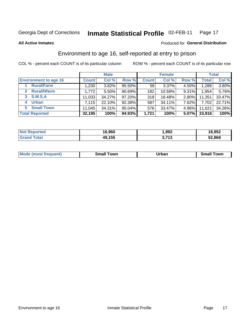#### Inmate Statistical Profile 02-FEB-11 Page 17

**All Active Inmates** 

# **Produced for General Distribution**

# Environment to age 16, self-reported at entry to prison

COL % - percent each COUNT is of its particular column

|                                      |              | <b>Male</b> |        |                 | <b>Female</b> |          |              | <b>Total</b> |
|--------------------------------------|--------------|-------------|--------|-----------------|---------------|----------|--------------|--------------|
| <b>Environment to age 16</b>         | <b>Count</b> | Col %       | Row %  | <b>Count</b>    | Col %         | Row %    | <b>Total</b> | Col %        |
| <b>Rural/Farm</b>                    | 1,230        | 3.82%       | 95.50% | 58 <sub>1</sub> | 3.37%         | 4.50%    | 1,288        | 3.80%        |
| <b>Rural/Nfarm</b><br>$\overline{2}$ | 1,772        | 5.50%       | 90.69% | 182             | 10.58%        | 9.31%    | 1,954        | 5.76%        |
| 3 S.M.S.A                            | 11,033       | 34.27%      | 97.20% | 318             | 18.48%        | $2.80\%$ | 11,351       | 33.47%       |
| <b>Urban</b><br>4                    | 7,115        | 22.10%      | 92.38% | 587             | 34.11%        | 7.62%    | 7,702        | 22.71%       |
| 5 Small Town                         | 11,045       | 34.31%      | 95.04% | 576             | 33.47%        | 4.96%    | 11,621       | 34.26%       |
| <b>Total Reported</b>                | 32,195       | 100%        | 94.93% | 1,721           | 100%          | 5.07%    | 33,916       | 100%         |

| <b>Not Reported</b> | 16,960 | 1,992                          | 18,952 |
|---------------------|--------|--------------------------------|--------|
| Total               | 49,155 | <b>1 אד</b> כ<br><b>J.I IJ</b> | 52,868 |

| <b>Mode</b><br>* 151 L | <b>own</b><br>----<br>smar | <b>Irhar</b><br>____ | `owr<br>_____ |
|------------------------|----------------------------|----------------------|---------------|
|                        |                            |                      |               |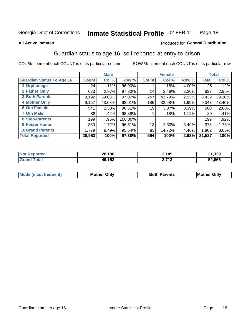#### Inmate Statistical Profile 02-FEB-11 Page 18

### **All Active Inmates**

# **Produced for General Distribution**

# Guardian status to age 16, self-reported at entry to prison

COL % - percent each COUNT is of its particular column

|                                  |               | <b>Male</b> |           |              | <b>Female</b> |       |        | <b>Total</b> |
|----------------------------------|---------------|-------------|-----------|--------------|---------------|-------|--------|--------------|
| <b>Guardian Status To Age 16</b> | <b>Count!</b> | Col %       | Row %     | <b>Count</b> | Col %         | Row % | Total  | Col %        |
| 1 Orphanage                      | 24            | .11%        | $96.00\%$ |              | .18%          | 4.00% | 25     | .12%         |
| 2 Father Only                    | 623           | 2.97%       | 97.80%    | 14           | 2.48%         | 2.20% | 637    | 2.96%        |
| <b>3 Both Parents</b>            | 8,192         | 39.08%      | 97.07%    | 247          | 43.79%        | 2.93% | 8,439  | 39.20%       |
| <b>4 Mother Only</b>             | 9,157         | 43.68%      | 98.01%    | 186          | 32.98%        | 1.99% | 9,343  | 43.40%       |
| <b>6 Oth Female</b>              | 541           | 2.58%       | 96.61%    | 19           | 3.37%         | 3.39% | 560    | 2.60%        |
| <b>7 Oth Male</b>                | 88            | .42%        | 98.88%    |              | .18%          | 1.12% | 89     | .41%         |
| 8 Step-Parents                   | 199           | .95%        | 100.00%   |              |               |       | 199    | $.92\%$      |
| 9 Foster Home                    | 360           | 1.72%       | 96.51%    | 13           | 2.30%         | 3.49% | 373    | 1.73%        |
| <b>10 Grand Parents</b>          | 1,779         | 8.49%       | 95.54%    | 83           | 14.72%        | 4.46% | 1,862  | 8.65%        |
| <b>Total Reported</b>            | 20,963        | 100%        | 97.38%    | 564          | 100%          | 2.62% | 21,527 | 100%         |

| <b>Not</b><br><b>Reported</b> | 28,190<br>י ס∠ | 3,149          | 31,339 |
|-------------------------------|----------------|----------------|--------|
| ™ota⊧<br><b>Grat</b>          | 49,153         | 2 742<br>ง. เว | 52,866 |

| Mode | วทIv<br>Mot | <b>Both Parents</b><br>Parents | lM.<br>Only<br>. |
|------|-------------|--------------------------------|------------------|
|      |             |                                |                  |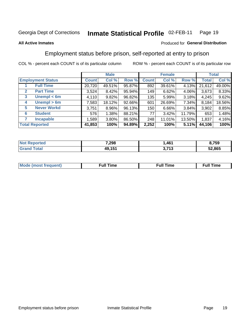#### Inmate Statistical Profile 02-FEB-11 Page 19

### **All Active Inmates**

### Produced for General Distribution

# Employment status before prison, self-reported at entry to prison

COL % - percent each COUNT is of its particular column

|                                  |              | <b>Male</b> |        |              | <b>Female</b> |        |        | <b>Total</b> |
|----------------------------------|--------------|-------------|--------|--------------|---------------|--------|--------|--------------|
| <b>Employment Status</b>         | <b>Count</b> | Col %       | Row %  | <b>Count</b> | Col %         | Row %  | Total  | Col %        |
| <b>Full Time</b>                 | 20,720       | 49.51%      | 95.87% | 892          | 39.61%        | 4.13%  | 21,612 | 49.00%       |
| <b>Part Time</b><br>$\mathbf{2}$ | 3,524        | 8.42%       | 95.94% | 149          | 6.62%         | 4.06%  | 3,673  | 8.33%        |
| Unempl $<$ 6m<br>3               | 4,110        | 9.82%       | 96.82% | 135          | 5.99%         | 3.18%  | 4,245  | 9.62%        |
| Unempl > 6m<br>4                 | 7,583        | 18.12%      | 92.66% | 601          | 26.69%        | 7.34%  | 8,184  | 18.56%       |
| <b>Never Workd</b><br>5          | 3,751        | $8.96\%$    | 96.13% | 150          | 6.66%         | 3.84%  | 3,902  | 8.85%        |
| <b>Student</b><br>6              | 576          | 1.38%       | 88.21% | 77           | 3.42%         | 11.79% | 653    | 1.48%        |
| <b>Incapable</b>                 | 1,589        | $3.80\%$    | 86.50% | 248          | 11.01%        | 13.50% | 1,837  | 4.16%        |
| <b>Total Reported</b>            | 41,853       | 100%        | 94.89% | 2,252        | 100%          | 5.11%  | 44,106 | 100%         |

| enorted | 7,298       | .461                       | 3,759  |
|---------|-------------|----------------------------|--------|
| ota     | AQ 151<br>w | <b>2742</b><br>. I J<br>∼. | 52,865 |

| Mc | ----<br>me<br>ш | nc<br>. |
|----|-----------------|---------|
|    |                 |         |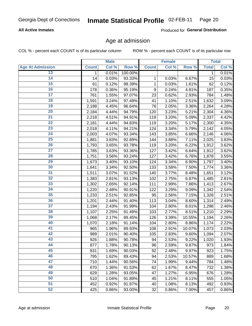# **All Active Inmates**

Produced for General Distribution

# Age at admission

COL % - percent each COUNT is of its particular column

|                         |              | <b>Male</b> |         |              | <b>Female</b> |        |              | <b>Total</b> |
|-------------------------|--------------|-------------|---------|--------------|---------------|--------|--------------|--------------|
| <b>Age At Admission</b> | <b>Count</b> | Col %       | Row %   | <b>Count</b> | Col %         | Row %  | <b>Total</b> | Col %        |
| 13                      | 1            | 0.01%       | 100.00% |              |               |        | 1            | 0.01%        |
| 14                      | 14           | 0.03%       | 93.33%  | 1            | 0.03%         | 6.67%  | 15           | 0.03%        |
| 15                      | 61           | 0.12%       | 98.39%  | 1            | 0.03%         | 1.61%  | 62           | 0.12%        |
| 16                      | 178          | 0.36%       | 95.19%  | 9            | 0.24%         | 4.81%  | 187          | 0.35%        |
| $\overline{17}$         | 761          | 1.55%       | 97.07%  | 23           | 0.62%         | 2.93%  | 784          | 1.48%        |
| 18                      | 1,591        | 3.24%       | 97.49%  | 41           | 1.10%         | 2.51%  | 1,632        | 3.09%        |
| 19                      | 2,188        | 4.45%       | 96.64%  | 76           | 2.05%         | 3.36%  | 2,264        | 4.28%        |
| 20                      | 2,184        | 4.44%       | 94.79%  | 120          | 3.23%         | 5.21%  | 2,304        | 4.36%        |
| $\overline{21}$         | 2,218        | 4.51%       | 94.91%  | 119          | 3.20%         | 5.09%  | 2,337        | 4.42%        |
| $\overline{22}$         | 2,181        | 4.44%       | 94.83%  | 119          | 3.20%         | 5.17%  | 2,300        | 4.35%        |
| 23                      | 2,018        | 4.11%       | 94.21%  | 124          | 3.34%         | 5.79%  | 2,142        | 4.05%        |
| $\overline{24}$         | 2,003        | 4.07%       | 93.34%  | 143          | 3.85%         | 6.66%  | 2,146        | 4.06%        |
| 25                      | 1,881        | 3.83%       | 92.89%  | 144          | 3.88%         | 7.11%  | 2,025        | 3.83%        |
| $\overline{26}$         | 1,793        | 3.65%       | 93.78%  | 119          | 3.20%         | 6.22%  | 1,912        | 3.62%        |
| $\overline{27}$         | 1,785        | 3.63%       | 93.36%  | 127          | 3.42%         | 6.64%  | 1,912        | 3.62%        |
| 28                      | 1,751        | 3.56%       | 93.24%  | 127          | 3.42%         | 6.76%  | 1,878        | 3.55%        |
| 29                      | 1,673        | 3.40%       | 93.10%  | 124          | 3.34%         | 6.90%  | 1,797        | 3.40%        |
| 30                      | 1,641        | 3.34%       | 92.50%  | 133          | 3.58%         | 7.50%  | 1,774        | 3.36%        |
| 31                      | 1,511        | 3.07%       | 91.52%  | 140          | 3.77%         | 8.48%  | 1,651        | 3.12%        |
| $\overline{32}$         | 1,383        | 2.81%       | 93.13%  | 102          | 2.75%         | 6.87%  | 1,485        | 2.81%        |
| 33                      | 1,302        | 2.65%       | 92.14%  | 111          | 2.99%         | 7.86%  | 1,413        | 2.67%        |
| 34                      | 1,220        | 2.48%       | 90.91%  | 122          | 3.29%         | 9.09%  | 1,342        | 2.54%        |
| 35                      | 1,233        | 2.51%       | 92.85%  | 95           | 2.56%         | 7.15%  | 1,328        | 2.51%        |
| 36                      | 1,201        | 2.44%       | 91.40%  | 113          | 3.04%         | 8.60%  | 1,314        | 2.49%        |
| $\overline{37}$         | 1,194        | 2.43%       | 91.99%  | 104          | 2.80%         | 8.01%  | 1,298        | 2.46%        |
| 38                      | 1,107        | 2.25%       | 91.49%  | 103          | 2.77%         | 8.51%  | 1,210        | 2.29%        |
| 39                      | 1,068        | 2.17%       | 89.45%  | 126          | 3.39%         | 10.55% | 1,194        | 2.26%        |
| 40                      | 1,070        | 2.18%       | 91.14%  | 104          | 2.80%         | 8.86%  | 1,174        | 2.22%        |
| 41                      | 965          | 1.96%       | 89.93%  | 108          | 2.91%         | 10.07% | 1,073        | 2.03%        |
| 42                      | 989          | 2.01%       | 90.40%  | 105          | 2.83%         | 9.60%  | 1,094        | 2.07%        |
| 43                      | 926          | 1.88%       | 90.78%  | 94           | 2.53%         | 9.22%  | 1,020        | 1.93%        |
| 44                      | 877          | 1.78%       | 90.13%  | 96           | 2.59%         | 9.87%  | 973          | 1.84%        |
| 45                      | 831          | 1.69%       | 90.03%  | 92           | 2.48%         | 9.97%  | 923          | 1.75%        |
| 46                      | 795          | 1.62%       | 89.43%  | 94           | 2.53%         | 10.57% | 889          | 1.68%        |
| 47                      | 710          | 1.44%       | 90.56%  | 74           | 1.99%         | 9.44%  | 784          | 1.48%        |
| 48                      | 670          | 1.36%       | 91.53%  | 62           | 1.67%         | 8.47%  | 732          | 1.38%        |
| 49                      | 629          | 1.28%       | 93.05%  | 47           | 1.27%         | 6.95%  | 676          | 1.28%        |
| 50                      | 510          | 1.04%       | 91.89%  | 45           | 1.21%         | 8.11%  | 555          | 1.05%        |
| 51                      | 452          | 0.92%       | 91.87%  | 40           | 1.08%         | 8.13%  | 492          | 0.93%        |
| 52                      | 425          | 0.86%       | 93.00%  | 32           | 0.86%         | 7.00%  | 457          | 0.86%        |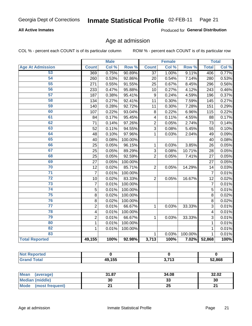### **All Active Inmates**

Produced for General Distribution

# Age at admission

COL % - percent each COUNT is of its particular column

|                         | <b>Male</b>             |       | <b>Female</b> |                  |       | <b>Total</b> |                |       |
|-------------------------|-------------------------|-------|---------------|------------------|-------|--------------|----------------|-------|
| <b>Age At Admission</b> | <b>Count</b>            | Col % | Row %         | <b>Count</b>     | Col % | Row %        | <b>Total</b>   | Col % |
| 53                      | 369                     | 0.75% | 90.89%        | 37               | 1.00% | 9.11%        | 406            | 0.77% |
| 54                      | 260                     | 0.53% | 92.86%        | 20               | 0.54% | 7.14%        | 280            | 0.53% |
| 55                      | 271                     | 0.55% | 91.55%        | 25               | 0.67% | 8.45%        | 296            | 0.56% |
| 56                      | 233                     | 0.47% | 95.88%        | 10               | 0.27% | 4.12%        | 243            | 0.46% |
| 57                      | 187                     | 0.38% | 95.41%        | $\boldsymbol{9}$ | 0.24% | 4.59%        | 196            | 0.37% |
| 58                      | 134                     | 0.27% | 92.41%        | 11               | 0.30% | 7.59%        | 145            | 0.27% |
| 59                      | 140                     | 0.28% | 92.72%        | 11               | 0.30% | 7.28%        | 151            | 0.29% |
| 60                      | 107                     | 0.22% | 93.04%        | 8                | 0.22% | 6.96%        | 115            | 0.22% |
| 61                      | 84                      | 0.17% | 95.45%        | 4                | 0.11% | 4.55%        | 88             | 0.17% |
| 62                      | 71                      | 0.14% | 97.26%        | $\overline{2}$   | 0.05% | 2.74%        | 73             | 0.14% |
| 63                      | 52                      | 0.11% | 94.55%        | $\overline{3}$   | 0.08% | 5.45%        | 55             | 0.10% |
| 64                      | 48                      | 0.10% | 97.96%        | $\mathbf{1}$     | 0.03% | 2.04%        | 49             | 0.09% |
| 65                      | 40                      | 0.08% | 100.00%       |                  |       |              | 40             | 0.08% |
| 66                      | 25                      | 0.05% | 96.15%        | 1                | 0.03% | 3.85%        | 26             | 0.05% |
| 67                      | 25                      | 0.05% | 89.29%        | 3                | 0.08% | 10.71%       | 28             | 0.05% |
| 68                      | 25                      | 0.05% | 92.59%        | $\overline{2}$   | 0.05% | 7.41%        | 27             | 0.05% |
| 69                      | 27                      | 0.05% | 100.00%       |                  |       |              | 27             | 0.05% |
| 70                      | 12                      | 0.02% | 85.71%        | $\mathbf 2$      | 0.05% | 14.29%       | 14             | 0.03% |
| 71                      | $\overline{7}$          | 0.01% | 100.00%       |                  |       |              | $\overline{7}$ | 0.01% |
| $\overline{72}$         | 10                      | 0.02% | 83.33%        | $\overline{2}$   | 0.05% | 16.67%       | 12             | 0.02% |
| $\overline{73}$         | $\overline{7}$          | 0.01% | 100.00%       |                  |       |              | $\overline{7}$ | 0.01% |
| $\overline{74}$         | $\overline{5}$          | 0.01% | 100.00%       |                  |       |              | $\overline{5}$ | 0.01% |
| 75                      | 8                       | 0.02% | 100.00%       |                  |       |              | 8              | 0.02% |
| 76                      | 8                       | 0.02% | 100.00%       |                  |       |              | 8              | 0.02% |
| $\overline{77}$         | $\overline{c}$          | 0.01% | 66.67%        | 1                | 0.03% | 33.33%       | 3              | 0.01% |
| 78                      | $\overline{\mathbf{4}}$ | 0.01% | 100.00%       |                  |       |              | 4              | 0.01% |
| 79                      | $\overline{c}$          | 0.01% | 66.67%        | 1                | 0.03% | 33.33%       | 3              | 0.01% |
| 80                      | $\mathbf{1}$            | 0.01% | 100.00%       |                  |       |              | 1              | 0.01% |
| $\overline{82}$         | $\mathbf{1}$            | 0.01% | 100.00%       |                  |       |              | 1              | 0.01% |
| 83                      |                         |       |               | 1                | 0.03% | 100.00%      | 1              | 0.01% |
| <b>Total Reported</b>   | 49,155                  | 100%  | 92.98%        | 3,713            | 100%  | 7.02%        | 52,868         | 100%  |

| <b>Not Reported</b> |        |             |        |
|---------------------|--------|-------------|--------|
| <b>Grand Total</b>  | 49,155 | 2742<br>ں ا | 52,868 |

| Mean<br>(average)       | 31.87 | 34.08 | 32.02 |
|-------------------------|-------|-------|-------|
| <b>Median (middle)</b>  | 30    | აა    | 30    |
| Mode<br>(most frequent) |       | 25    | n,    |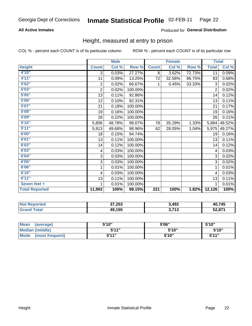# **All Active Inmates**

### Produced for General Distribution

# Height, measured at entry to prison

COL % - percent each COUNT is of its particular column

|                       |                           | <b>Male</b> |         |                  | <b>Female</b> |        | <b>Total</b>   |        |
|-----------------------|---------------------------|-------------|---------|------------------|---------------|--------|----------------|--------|
| <b>Height</b>         | <b>Count</b>              | Col %       | Row %   | <b>Count</b>     | Col %         | Row %  | <b>Total</b>   | Col %  |
| 4'10"                 | $\overline{3}$            | 0.03%       | 27.27%  | 8                | 3.62%         | 72.73% | 11             | 0.09%  |
| 4'11''                | 11                        | 0.09%       | 13.25%  | 72               | 32.58%        | 86.75% | 83             | 0.68%  |
| 5'02''                | $\boldsymbol{2}$          | 0.02%       | 66.67%  | $\mathbf{1}$     | 0.45%         | 33.33% | 3              | 0.02%  |
| 5'03''                | $\overline{2}$            | 0.02%       | 100.00% |                  |               |        | $\overline{2}$ | 0.02%  |
| 5'05''                | 13                        | 0.11%       | 92.86%  |                  |               |        | 14             | 0.12%  |
| 5'06''                | 12                        | 0.10%       | 92.31%  |                  |               |        | 13             | 0.11%  |
| 5'07''                | 21                        | 0.18%       | 100.00% |                  |               |        | 21             | 0.17%  |
| 5'08''                | 19                        | 0.16%       | 100.00% |                  |               |        | 19             | 0.16%  |
| 5'09''                | 26                        | 0.22%       | 100.00% |                  |               |        | 26             | 0.21%  |
| 5'10''                | 5,806                     | 48.78%      | 98.67%  | 78               | 35.29%        | 1.33%  | 5,884          | 48.52% |
| 5'11''                | 5,913                     | 49.68%      | 98.96%  | 62               | 28.05%        | 1.04%  | 5,975          | 49.27% |
| 6'00''                | 18                        | 0.15%       | 94.74%  |                  |               |        | 19             | 0.16%  |
| 6'01''                | 13                        | 0.11%       | 100.00% |                  |               |        | 13             | 0.11%  |
| 6'02''                | 14                        | 0.12%       | 100.00% |                  |               |        | 14             | 0.12%  |
| 6'03''                | $\overline{\mathbf{4}}$   | 0.03%       | 100.00% |                  |               |        | 4              | 0.03%  |
| 6'04''                | $\ensuremath{\mathsf{3}}$ | 0.03%       | 100.00% |                  |               |        | 3              | 0.02%  |
| 6'05''                | 3                         | 0.03%       | 100.00% |                  |               |        | 3              | 0.02%  |
| 6'06''                | 1                         | 0.01%       | 100.00% |                  |               |        | 1              | 0.01%  |
| 6'10''                | 4                         | 0.03%       | 100.00% |                  |               |        | 4              | 0.03%  |
| 6'11''                | 13                        | 0.11%       | 100.00% |                  |               |        | 13             | 0.11%  |
| Seven feet +          | 1                         | 0.01%       | 100.00% |                  |               |        | 1              | 0.01%  |
| <b>Total Reported</b> | 11,902                    | 100%        | 98.15%  | $\overline{221}$ | 100%          | 1.82%  | 12,126         | 100%   |

| <b>Not</b><br><b>Reported</b> | 37,253 | 3,492                     | 40,745 |
|-------------------------------|--------|---------------------------|--------|
| ™otar                         | 49,155 | <b>2.742</b><br>- 19<br>◡ | 52,87' |

| <b>Mean</b><br>(average) | 5'10" | 5'06" | 5'10"  |
|--------------------------|-------|-------|--------|
| Median (middle)          | 544"  | 5'10" | 5'10'' |
| Mode<br>(most frequent)  | 5'11" | 5'10" | 544"   |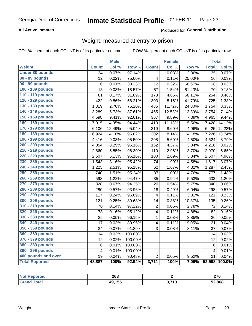# **All Active Inmates**

### Produced for General Distribution

# Weight, measured at entry to prison

COL % - percent each COUNT is of its particular column

|                        |                         | <b>Male</b> |                  |                         | <b>Female</b> |        | <b>Total</b>            |        |
|------------------------|-------------------------|-------------|------------------|-------------------------|---------------|--------|-------------------------|--------|
| Weight                 | <b>Count</b>            | Col %       | Row <sup>%</sup> | <b>Count</b>            | Col%          | Row %  | <b>Total</b>            | Col %  |
| <b>Under 80 pounds</b> | 34                      | 0.07%       | 97.14%           | 1                       | 0.03%         | 2.86%  | $\overline{35}$         | 0.07%  |
| 80 - 89 pounds         | 12                      | 0.02%       | 75.00%           | $\overline{\mathbf{4}}$ | 0.11%         | 25.00% | 16                      | 0.03%  |
| 90 - 99 pounds         | 6                       | 0.01%       | 33.33%           | 12                      | 0.32%         | 66.67% | 18                      | 0.03%  |
| 100 - 109 pounds       | 13                      | 0.03%       | 18.57%           | 57                      | 1.54%         | 81.43% | 70                      | 0.13%  |
| 110 - 119 pounds       | 81                      | 0.17%       | 31.89%           | 173                     | 4.66%         | 68.11% | 254                     | 0.48%  |
| 120 - 129 pounds       | 422                     | 0.86%       | 58.21%           | 303                     | 8.16%         | 41.79% | 725                     | 1.38%  |
| 130 - 139 pounds       | 1,319                   | 2.70%       | 75.20%           | 435                     | 11.72%        | 24.80% | 1,754                   | 3.33%  |
| 140 - 149 pounds       | 3,289                   | 6.73%       | 87.61%           | 465                     | 12.53%        | 12.39% | 3,754                   | 7.14%  |
| 150 - 159 pounds       | 4,598                   | 9.41%       | 92.61%           | 367                     | 9.89%         | 7.39%  | 4,965                   | 9.44%  |
| 160 - 169 pounds       | 7,015                   | 14.35%      | 94.44%           | 413                     | 11.13%        | 5.56%  | 7,428                   | 14.12% |
| 170 - 179 pounds       | 6,106                   | 12.49%      | 95.04%           | 319                     | 8.60%         | 4.96%  | 6,425                   | 12.22% |
| 180 - 189 pounds       | 6,924                   | 14.16%      | 95.82%           | 302                     | 8.14%         | 4.18%  | 7,226                   | 13.74% |
| 190 - 199 pounds       | 4,416                   | 9.03%       | 95.50%           | 208                     | 5.60%         | 4.50%  | 4,624                   | 8.79%  |
| 200 - 209 pounds       | 4,054                   | 8.29%       | 96.16%           | 162                     | 4.37%         | 3.84%  | 4,216                   | 8.02%  |
| 210 - 219 pounds       | 2,860                   | 5.85%       | 96.30%           | 110                     | 2.96%         | 3.70%  | 2,970                   | 5.65%  |
| 220 - 229 pounds       | 2,507                   | 5.13%       | 96.16%           | 100                     | 2.69%         | 3.84%  | 2,607                   | 4.96%  |
| 230 - 239 pounds       | 1,543                   | 3.16%       | 95.42%           | 74                      | 1.99%         | 4.58%  | 1,617                   | 3.07%  |
| 240 - 249 pounds       | 1,225                   | 2.51%       | 95.18%           | 62                      | 1.67%         | 4.82%  | 1,287                   | 2.45%  |
| 250 - 259 pounds       | 740                     | 1.51%       | 95.24%           | 37                      | 1.00%         | 4.76%  | 777                     | 1.48%  |
| 260 - 269 pounds       | 598                     | 1.22%       | 94.47%           | 35                      | 0.94%         | 5.53%  | 633                     | 1.20%  |
| 270 - 279 pounds       | 328                     | 0.67%       | 94.25%           | 20                      | 0.54%         | 5.75%  | 348                     | 0.66%  |
| 280 - 289 pounds       | 280                     | 0.57%       | 93.96%           | 18                      | 0.49%         | 6.04%  | 298                     | 0.57%  |
| 290 - 299 pounds       | 117                     | 0.24%       | 96.69%           | 4                       | 0.11%         | 3.31%  | 121                     | 0.23%  |
| 300 - 309 pounds       | 121                     | 0.25%       | 89.63%           | 14                      | 0.38%         | 10.37% | 135                     | 0.26%  |
| 310 - 319 pounds       | 70                      | 0.14%       | 97.22%           | 2                       | 0.05%         | 2.78%  | 72                      | 0.14%  |
| 320 - 329 pounds       | 78                      | 0.16%       | 95.12%           | 4                       | 0.11%         | 4.88%  | 82                      | 0.16%  |
| 330 - 339 pounds       | 25                      | 0.05%       | 96.15%           | 1                       | 0.03%         | 3.85%  | 26                      | 0.05%  |
| 340 - 349 pounds       | 17                      | 0.03%       | 80.95%           | $\overline{\mathbf{4}}$ | 0.11%         | 19.05% | 21                      | 0.04%  |
| 350 - 359 pounds       | 34                      | 0.07%       | 91.89%           | 3                       | 0.08%         | 8.11%  | 37                      | 0.07%  |
| 360 - 369 pounds       | 14                      | 0.03%       | 100.00%          |                         |               |        | 14                      | 0.03%  |
| 370 - 379 pounds       | 12                      | 0.02%       | 100.00%          |                         |               |        | 12                      | 0.02%  |
| 380 - 389 pounds       | 6                       | 0.01%       | 100.00%          |                         |               |        | $6\phantom{1}6$         | 0.01%  |
| 390 - 399 pounds       | $\overline{\mathbf{4}}$ | 0.01%       | 100.00%          |                         |               |        | $\overline{\mathbf{4}}$ | 0.01%  |
| 400 pounds and over    | 19                      | 0.04%       | 90.48%           | $\overline{2}$          | 0.05%         | 9.52%  | $\overline{21}$         | 0.04%  |
| <b>Total Reported</b>  | 48,887                  | 100%        | 92.94%           | 3,711                   | 100%          | 7.06%  | 52,598                  | 100.0% |

| <b>Not</b><br>ported<br><b>NGI</b> | 268    |              | 270<br>41 V |
|------------------------------------|--------|--------------|-------------|
| <b>Total</b>                       | 49,155 | 2 742<br>. . | 52,868      |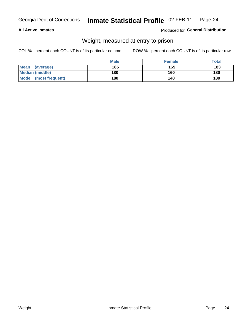### **All Active Inmates**

### Produced for General Distribution

# Weight, measured at entry to prison

COL % - percent each COUNT is of its particular column

|                          | <b>Male</b> | <b>Female</b> | Total |
|--------------------------|-------------|---------------|-------|
| <b>Mean</b><br>(average) | 185         | 165           | 183   |
| <b>Median (middle)</b>   | 180         | 160           | 180   |
| Mode<br>(most frequent)  | 180         | 140           | 180   |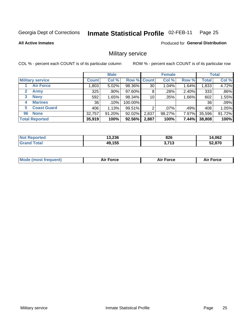#### Inmate Statistical Profile 02-FEB-11 Page 25

### **All Active Inmates**

Produced for General Distribution

# Military service

COL % - percent each COUNT is of its particular column

|                          |              | <b>Male</b> |             |       | <b>Female</b> |          |              | <b>Total</b> |
|--------------------------|--------------|-------------|-------------|-------|---------------|----------|--------------|--------------|
| <b>Military service</b>  | <b>Count</b> | Col %       | Row % Count |       | Col %         | Row %    | <b>Total</b> | Col %        |
| <b>Air Force</b>         | ,803         | $5.02\%$    | 98.36%      | 30    | $1.04\%$      | 1.64%    | 1,833        | 4.72%        |
| 2<br>Army                | 325          | .90%        | 97.60%      | 8     | .28%          | 2.40%    | 333          | .86%         |
| <b>Navy</b><br>3         | 592          | 1.65%       | 98.34%      | 10    | .35%          | 1.66%    | 602          | 1.55%        |
| <b>Marines</b><br>4      | 36           | $.10\%$     | 100.00%     |       |               |          | 36           | .09%         |
| <b>Coast Guard</b><br>5. | 406          | 1.13%       | 99.51%      | റ     | $.07\%$       | .49%     | 408          | 1.05%        |
| <b>None</b><br>96        | 32,757       | 91.20%      | 92.02%      | 2,837 | 98.27%        | 7.97%    | 35,596       | 91.72%       |
| <b>Total Reported</b>    | 35,919       | 100%        | 92.56%      | 2,887 | 100%          | $7.44\%$ | 38,808       | 100%         |

| orted<br>N          | 13,236 | 02c<br>ο∠σ      | 14,062 |
|---------------------|--------|-----------------|--------|
| <b>ota</b><br>'Grai | 49,155 | $-742$<br>. I J | 52,870 |

| <b>Mode (most frequent)</b><br><b>Force</b><br><b>Force</b><br>orce<br>Aır |
|----------------------------------------------------------------------------|
|----------------------------------------------------------------------------|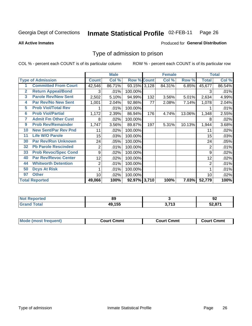#### Inmate Statistical Profile 02-FEB-11 Page 26

**All Active Inmates** 

### Produced for General Distribution

# Type of admission to prison

COL % - percent each COUNT is of its particular column

|                 |                             |                | <b>Male</b> |                    |     | <b>Female</b> |          |                | <b>Total</b> |
|-----------------|-----------------------------|----------------|-------------|--------------------|-----|---------------|----------|----------------|--------------|
|                 | <b>Type of Admission</b>    | <b>Count</b>   | Col %       | <b>Row % Count</b> |     | Col %         | Row %    | <b>Total</b>   | Col %        |
|                 | <b>Committed From Court</b> | 42,546         | 86.71%      | 93.15% 3,128       |     | 84.31%        | $6.85\%$ | 45,677         | 86.54%       |
| $\overline{2}$  | <b>Return Appeal/Bond</b>   | 3              | .01%        | 100.00%            |     |               |          | 3              | .01%         |
| 3               | <b>Parole Rev/New Sent</b>  | 2,502          | 5.10%       | 94.99%             | 132 | 3.56%         | 5.01%    | 2,634          | 4.99%        |
| 4               | <b>Par Rev/No New Sent</b>  | 1,001          | 2.04%       | 92.86%             | 77  | 2.08%         | 7.14%    | 1,078          | 2.04%        |
| 5               | <b>Prob Viol/Total Rev</b>  |                | .01%        | 100.00%            |     |               |          |                | .01%         |
| $6\phantom{1}6$ | <b>Prob Viol/Partial</b>    | 1,172          | 2.39%       | 86.94%             | 176 | 4.74%         | 13.06%   | 1,348          | 2.55%        |
| 7               | <b>Admit Fm Other Cust</b>  | 8              | .02%        | 100.00%            |     |               |          | 8              | .02%         |
| 9               | <b>Prob Rev/Remainder</b>   | 1,747          | 3.56%       | 89.87%             | 197 | 5.31%         | 10.13%   | 1,944          | 3.68%        |
| 10              | <b>New Sent/Par Rev Pnd</b> | 11             | .02%        | 100.00%            |     |               |          | 11             | .02%         |
| 11              | <b>Life W/O Parole</b>      | 15             | .03%        | 100.00%            |     |               |          | 15             | .03%         |
| 30              | <b>Par Rev/Rsn Unknown</b>  | 24             | .05%        | 100.00%            |     |               |          | 24             | .05%         |
| 32              | <b>Pb Parole Rescinded</b>  | $\overline{c}$ | .01%        | 100.00%            |     |               |          | $\overline{2}$ | .01%         |
| 33              | <b>Prob Revoc/Spec Cond</b> | 9              | $.02\%$     | 100.00%            |     |               |          | 9              | .02%         |
| 40              | <b>Par Rev/Revoc Center</b> | 12             | .02%        | 100.00%            |     |               |          | 12             | .02%         |
| 44              | <b>Whitworth Detention</b>  | $\overline{2}$ | .01%        | 100.00%            |     |               |          | $\overline{2}$ | .01%         |
| 50              | <b>Dcys At Risk</b>         | 1              | .01%        | 100.00%            |     |               |          |                | .01%         |
| 97              | <b>Other</b>                | 10             | .02%        | 100.00%            |     |               |          | 10             | .02%         |
|                 | <b>Total Reported</b>       | 49,066         | 100%        | 92.97% 3,710       |     | 100%          | $7.03\%$ | 52,779         | 100%         |

| <b>Not</b><br><b>Reported</b> | 89     |                      | Ωſ<br>94         |
|-------------------------------|--------|----------------------|------------------|
| <b>Total</b>                  | 49,155 | つ フィつ<br>.<br>. J. I | : 2.074<br>32.87 |

| <b>Mode (most frequent)</b> | Court Cmmt | <b>Court Cmmt</b> | Court Cmmt |
|-----------------------------|------------|-------------------|------------|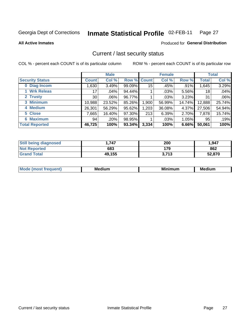#### Inmate Statistical Profile 02-FEB-11 Page 27

**All Active Inmates** 

# **Produced for General Distribution**

# Current / last security status

COL % - percent each COUNT is of its particular column

|                        |                 | <b>Male</b> |             |       | <b>Female</b> |          |              | <b>Total</b> |
|------------------------|-----------------|-------------|-------------|-------|---------------|----------|--------------|--------------|
| <b>Security Status</b> | <b>Count</b>    | Col %       | Row % Count |       | Col %         | Row %    | <b>Total</b> | Col %        |
| 0 Diag Incom           | ,630            | 3.49%       | 99.09%      | 15    | .45%          | .91%     | 1,645        | 3.29%        |
| 1 Wrk Releas           | 17              | .04%        | 94.44%      |       | .03%          | 5.56%    | 18           | .04%         |
| 2 Trusty               | 30 <sup>2</sup> | $.06\%$     | 96.77%      |       | $.03\%$       | 3.23%    | 31           | .06%         |
| 3 Minimum              | 10,988          | 23.52%      | 85.26%      | 1,900 | 56.99%        | 14.74%   | 12,888       | 25.74%       |
| 4 Medium               | 26,301          | 56.29%      | 95.62%      | 1,203 | 36.08%        | 4.37%    | 27,506       | 54.94%       |
| 5 Close                | 7,665           | 16.40%      | 97.30%      | 213   | 6.39%         | 2.70%    | 7,878        | 15.74%       |
| <b>Maximum</b><br>6.   | 94              | .20%        | 98.95%      |       | .03%          | $1.05\%$ | 95           | .19%         |
| <b>Total Reported</b>  | 46,725          | 100%        | 93.34%      | 3,334 | 100%          | 6.66%    | 50,061       | 100%         |

| <b>Still being diagnosed</b> | 1.747  | 200   | 1,947  |
|------------------------------|--------|-------|--------|
| <b>Not Reported</b>          | 683    | 179   | 862    |
| <b>Grand Total</b>           | 49,155 | 3.713 | 52,870 |

| <b>Mode</b><br>auent<br>∽ | <b>Medium</b> | ---<br>mum<br>м. | <b>Medium</b> |
|---------------------------|---------------|------------------|---------------|
|                           |               |                  |               |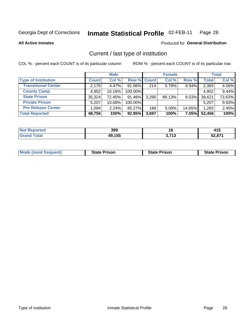#### Inmate Statistical Profile 02-FEB-11 Page 28

**All Active Inmates** 

### Produced for General Distribution

# Current / last type of institution

COL % - percent each COUNT is of its particular column

|                            |              | <b>Male</b> |             |       | <b>Female</b> |          |              | <b>Total</b> |
|----------------------------|--------------|-------------|-------------|-------|---------------|----------|--------------|--------------|
| <b>Type of Institution</b> | <b>Count</b> | Col %       | Row % Count |       | Col %         | Row %    | <b>Total</b> | Col %        |
| <b>Transitional Center</b> | 2,179        | 4.47%       | 91.06%      | 214   | 5.79%         | 8.94%    | 2,393        | 4.56%        |
| <b>County Camp</b>         | 4,952        | $10.16\%$   | 100.00%     |       |               |          | 4,952        | 9.44%        |
| <b>State Prison</b>        | 35,324       | 72.45%      | 91.46%      | 3,295 | 89.13%        | $8.53\%$ | 38,621       | 73.63%       |
| <b>Private Prison</b>      | 5,207        | 10.68%      | 100.00%     |       |               |          | 5,207        | 9.93%        |
| <b>Pre Release Center</b>  | 1,094        | 2.24%       | 85.27%      | 188   | 5.09%         | 14.65%   | 1,283        | 2.45%        |
| <b>Total Reported</b>      | 48,756       | 100%        | 92.95%      | 3,697 | 100%          | 7.05%    | 52,456       | 100%         |

| eported      | 399    | 16               | <i><b>AAC</b></i><br>טו+ |
|--------------|--------|------------------|--------------------------|
| <b>Total</b> | 49,155 | <b>2.742</b><br> | 52,871                   |

| <b>Mode (most frequent)</b> | <b>State Prison</b> | <b>State Prison</b> | <b>State Prison</b> |
|-----------------------------|---------------------|---------------------|---------------------|
|-----------------------------|---------------------|---------------------|---------------------|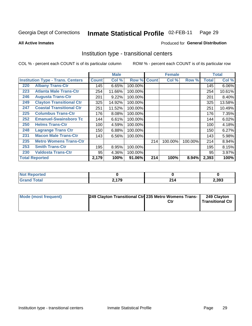#### Inmate Statistical Profile 02-FEB-11 Page 29

**All Active Inmates** 

### Produced for General Distribution

# Institution type - transitional centers

COL % - percent each COUNT is of its particular column

|     |                                          |              | <b>Male</b> |         |              | <b>Female</b> |         |              | <b>Total</b> |
|-----|------------------------------------------|--------------|-------------|---------|--------------|---------------|---------|--------------|--------------|
|     | <b>Institution Type - Trans. Centers</b> | <b>Count</b> | Col %       | Row %   | <b>Count</b> | Col %         | Row %   | <b>Total</b> | Col %        |
| 220 | <b>Albany Trans-Ctr</b>                  | 145          | 6.65%       | 100.00% |              |               |         | 145          | 6.06%        |
| 223 | <b>Atlanta Male Trans-Ctr</b>            | 254          | 11.66%      | 100.00% |              |               |         | 254          | 10.61%       |
| 246 | <b>Augusta Trans-Ctr</b>                 | 201          | 9.22%       | 100.00% |              |               |         | 201          | 8.40%        |
| 249 | <b>Clayton Transitional Ctr</b>          | 325          | 14.92%      | 100.00% |              |               |         | 325          | 13.58%       |
| 247 | <b>Coastal Transitional Ctr</b>          | 251          | 11.52%      | 100.00% |              |               |         | 251          | 10.49%       |
| 225 | <b>Columbus Trans-Ctr</b>                | 176          | 8.08%       | 100.00% |              |               |         | 176          | 7.35%        |
| 252 | <b>Emanuel-Swainsboro Tc</b>             | 144          | 6.61%       | 100.00% |              |               |         | 144          | 6.02%        |
| 250 | <b>Helms Trans-Ctr</b>                   | 100          | 4.59%       | 100.00% |              |               |         | 100          | 4.18%        |
| 248 | <b>Lagrange Trans Ctr</b>                | 150          | 6.88%       | 100.00% |              |               |         | 150          | 6.27%        |
| 231 | <b>Macon Male Trans-Ctr</b>              | 143          | 6.56%       | 100.00% |              |               |         | 143          | 5.98%        |
| 235 | <b>Metro Womens Trans-Ctr</b>            |              |             |         | 214          | 100.00%       | 100.00% | 214          | 8.94%        |
| 253 | <b>Smith Trans-Ctr</b>                   | 195          | 8.95%       | 100.00% |              |               |         | 195          | 8.15%        |
| 230 | <b>Valdosta Trans-Ctr</b>                | 95           | 4.36%       | 100.00% |              |               |         | 95           | 3.97%        |
|     | <b>Total Reported</b>                    | 2,179        | 100%        | 91.06%  | 214          | 100%          | 8.94%   | 2,393        | 100%         |

| NO<br>rtea |                    |          |       |
|------------|--------------------|----------|-------|
| _____      | 2.170<br>- 3<br>-- | п.<br>-- | 2,393 |

| <b>Mode (most frequent)</b> | 249 Clayton Transitional Ctr 235 Metro Womens Trans- | 249 Clayton<br>Transitional Ctr |
|-----------------------------|------------------------------------------------------|---------------------------------|
|                             |                                                      |                                 |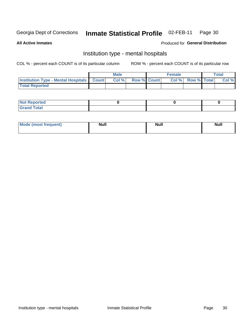#### Inmate Statistical Profile 02-FEB-11 Page 30

### **All Active Inmates**

### Produced for General Distribution

# Institution type - mental hospitals

COL % - percent each COUNT is of its particular column

|                                                  | Male |                    | <b>Female</b> |                   | <b>Total</b> |
|--------------------------------------------------|------|--------------------|---------------|-------------------|--------------|
| <b>Institution Type - Mental Hospitals Count</b> | Col% | <b>Row % Count</b> |               | Col % Row % Total | Col %        |
| <b>Total Reported</b>                            |      |                    |               |                   |              |

| <b>Not Reported</b>   |  |  |
|-----------------------|--|--|
| <b>Total</b><br>_____ |  |  |

| Mode.<br>frequent) | <b>Nul</b><br>_____ | <b>Null</b> | <b>Null</b> |
|--------------------|---------------------|-------------|-------------|
|                    |                     |             |             |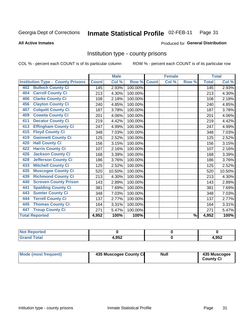#### Inmate Statistical Profile 02-FEB-11 Page 31

### **All Active Inmates**

### **Produced for General Distribution**

# Institution type - county prisons

COL % - percent each COUNT is of its particular column

|                                          |              | <b>Male</b> |         |              | <b>Female</b> |                          |              | <b>Total</b>               |
|------------------------------------------|--------------|-------------|---------|--------------|---------------|--------------------------|--------------|----------------------------|
| <b>Institution Type - County Prisons</b> | <b>Count</b> | Col %       | Row %   | <b>Count</b> | Col %         | Row %                    | <b>Total</b> | $\overline{\text{Col }^9}$ |
| <b>Bulloch County Ci</b><br>402          | 145          | 2.93%       | 100.00% |              |               |                          | 145          | 2.93%                      |
| <b>Carroll County Ci</b><br>404          | 213          | 4.30%       | 100.00% |              |               |                          | 213          | 4.30%                      |
| <b>Clarke County Ci</b><br>406           | 108          | 2.18%       | 100.00% |              |               |                          | 108          | 2.18%                      |
| <b>Clayton County Ci</b><br>456          | 240          | 4.85%       | 100.00% |              |               |                          | 240          | 4.85%                      |
| <b>Colquitt County Ci</b><br>407         | 187          | 3.78%       | 100.00% |              |               |                          | 187          | 3.78%                      |
| <b>Coweta County Ci</b><br>409           | 201          | 4.06%       | 100.00% |              |               |                          | 201          | 4.06%                      |
| <b>Decatur County Ci</b><br>411          | 219          | 4.42%       | 100.00% |              |               |                          | 219          | 4.42%                      |
| <b>Effingham County Ci</b><br>413        | 247          | 4.99%       | 100.00% |              |               |                          | 247          | 4.99%                      |
| <b>Floyd County Ci</b><br>415            | 348          | 7.03%       | 100.00% |              |               |                          | 348          | 7.03%                      |
| <b>Gwinnett County Ci</b><br>419         | 125          | 2.52%       | 100.00% |              |               |                          | 125          | 2.52%                      |
| <b>Hall County Ci</b><br>420             | 156          | 3.15%       | 100.00% |              |               |                          | 156          | 3.15%                      |
| <b>Harris County Ci</b><br>422           | 107          | 2.16%       | 100.00% |              |               |                          | 107          | 2.16%                      |
| <b>Jackson County Ci</b><br>426          | 168          | 3.39%       | 100.00% |              |               |                          | 168          | 3.39%                      |
| <b>Jefferson County Ci</b><br>428        | 186          | 3.76%       | 100.00% |              |               |                          | 186          | 3.76%                      |
| <b>Mitchell County Ci</b><br>433         | 125          | 2.52%       | 100.00% |              |               |                          | 125          | 2.52%                      |
| <b>Muscogee County Ci</b><br>435         | 520          | 10.50%      | 100.00% |              |               |                          | 520          | 10.50%                     |
| <b>Richmond County Ci</b><br>439         | 213          | 4.30%       | 100.00% |              |               |                          | 213          | 4.30%                      |
| <b>Screven County Prison</b><br>440      | 143          | 2.89%       | 100.00% |              |               |                          | 143          | 2.89%                      |
| <b>Spalding County Ci</b><br>441         | 381          | 7.69%       | 100.00% |              |               |                          | 381          | 7.69%                      |
| <b>Sumter County Ci</b><br>443           | 348          | 7.03%       | 100.00% |              |               |                          | 348          | 7.03%                      |
| <b>Terrell County Ci</b><br>444          | 137          | 2.77%       | 100.00% |              |               |                          | 137          | 2.77%                      |
| <b>Thomas County Ci</b><br>445           | 164          | 3.31%       | 100.00% |              |               |                          | 164          | 3.31%                      |
| <b>Troup County Ci</b><br>447            | 271          | 5.47%       | 100.00% |              |               |                          | 271          | 5.47%                      |
| <b>Total Reported</b>                    | 4,952        | 100%        | 100%    |              |               | $\overline{\frac{9}{6}}$ | 4,952        | 100%                       |

| <b>Not</b><br><b>Reported</b> |       |       |
|-------------------------------|-------|-------|
| <b>Grand Total</b>            | 1.952 | 4,952 |

| Mode (most frequent) | 435 Muscogee County Ci | <b>Null</b> | 435 Muscogee<br><b>County Ci</b> |
|----------------------|------------------------|-------------|----------------------------------|
|----------------------|------------------------|-------------|----------------------------------|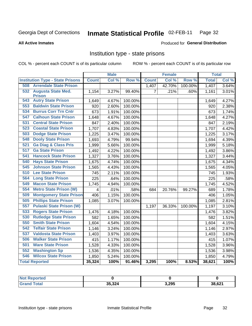#### Inmate Statistical Profile 02-FEB-11 Page 32

### **All Active Inmates**

### Produced for General Distribution

# Institution type - state prisons

COL % - percent each COUNT is of its particular column

|                                         |              | <b>Male</b> |         |                | <b>Female</b> |         | <b>Total</b> |       |
|-----------------------------------------|--------------|-------------|---------|----------------|---------------|---------|--------------|-------|
| <b>Institution Type - State Prisons</b> | <b>Count</b> | Col %       | Row %   | <b>Count</b>   | Col %         | Row %   | <b>Total</b> | Col % |
| <b>508 Arrendale State Prison</b>       |              |             |         | 1,407          | 42.70%        | 100.00% | 1,407        | 3.64% |
| 532<br><b>Augusta State Med.</b>        | 1,154        | 3.27%       | 99.40%  | $\overline{7}$ | .21%          | .60%    | 1,161        | 3.01% |
| <b>Prison</b>                           |              |             |         |                |               |         |              |       |
| <b>Autry State Prison</b><br>543        | 1,649        | 4.67%       | 100.00% |                |               |         | 1,649        | 4.27% |
| <b>Baldwin State Prison</b><br>553      | 920          | 2.60%       | 100.00% |                |               |         | 920          | 2.38% |
| <b>Burrus Corr Trn Cntr</b><br>534      | 673          | 1.91%       | 100.00% |                |               |         | 673          | 1.74% |
| <b>Calhoun State Prison</b><br>547      | 1,648        | 4.67%       | 100.00% |                |               |         | 1,648        | 4.27% |
| <b>Central State Prison</b><br>531      | 847          | 2.40%       | 100.00% |                |               |         | 847          | 2.19% |
| <b>Coastal State Prison</b><br>523      | 1,707        | 4.83%       | 100.00% |                |               |         | 1,707        | 4.42% |
| 503<br><b>Dodge State Prison</b>        | 1,225        | 3.47%       | 100.00% |                |               |         | 1,225        | 3.17% |
| 548<br><b>Dooly State Prison</b>        | 1,693        | 4.79%       | 99.94%  |                |               |         | 1,694        | 4.39% |
| <b>Ga Diag &amp; Class Pris</b><br>521  | 1,999        | 5.66%       | 100.00% |                |               |         | 1,999        | 5.18% |
| <b>Ga State Prison</b><br>517           | 1,492        | 4.22%       | 100.00% |                |               |         | 1,492        | 3.86% |
| 541<br><b>Hancock State Prison</b>      | 1,327        | 3.76%       | 100.00% |                |               |         | 1,327        | 3.44% |
| 540<br><b>Hays State Prison</b>         | 1,675        | 4.74%       | 100.00% |                |               |         | 1,675        | 4.34% |
| 545<br><b>Johnson State Prison</b>      | 1,565        | 4.43%       | 100.00% |                |               |         | 1,565        | 4.05% |
| 510<br><b>Lee State Prison</b>          | 745          | 2.11%       | 100.00% |                |               |         | 745          | 1.93% |
| 564<br><b>Long State Prison</b>         | 225          | .64%        | 100.00% |                |               |         | 225          | .58%  |
| <b>Macon State Prison</b><br>549        | 1,745        | 4.94%       | 100.00% |                |               |         | 1,745        | 4.52% |
| 554<br><b>Metro State Prison (W)</b>    | 4            | .01%        | .58%    | 684            | 20.76%        | 99.27%  | 689          | 1.78% |
| <b>Montgomery State Prison</b><br>509   | 406          | 1.15%       | 100.00% |                |               |         | 406          | 1.05% |
| <b>Phillips State Prison</b><br>505     | 1,085        | 3.07%       | 100.00% |                |               |         | 1,085        | 2.81% |
| <b>Pulaski State Prison (W)</b><br>557  |              |             |         | 1,197          | 36.33%        | 100.00% | 1,197        | 3.10% |
| 533<br><b>Rogers State Prison</b>       | 1,476        | 4.18%       | 100.00% |                |               |         | 1,476        | 3.82% |
| <b>Rutledge State Prison</b><br>530     | 582          | 1.65%       | 100.00% |                |               |         | 582          | 1.51% |
| <b>Smith State Prison</b><br>550        | 1,604        | 4.54%       | 100.00% |                |               |         | 1,604        | 4.15% |
| 542<br><b>Telfair State Prison</b>      | 1,146        | 3.24%       | 100.00% |                |               |         | 1,146        | 2.97% |
| <b>Valdosta State Prison</b><br>537     | 1,403        | 3.97%       | 100.00% |                |               |         | 1,403        | 3.63% |
| <b>Walker State Prison</b><br>506       | 415          | 1.17%       | 100.00% |                |               |         | 415          | 1.07% |
| 501<br><b>Ware State Prison</b>         | 1,528        | 4.33%       | 100.00% |                |               |         | 1,528        | 3.96% |
| <b>Washington Sp</b><br>552             | 1,536        | 4.35%       | 100.00% |                |               |         | 1,536        | 3.98% |
| <b>Wilcox State Prison</b><br>546       | 1,850        | 5.24%       | 100.00% |                |               |         | 1,850        | 4.79% |
| <b>Total Reported</b>                   | 35,324       | 100%        | 91.46%  | 3,295          | 100%          | 8.53%   | 38,621       | 100%  |

| N <sub>0</sub><br><b>rted</b> |        |       |        |
|-------------------------------|--------|-------|--------|
| <b>Total</b>                  | 35,324 | 3,295 | 38,621 |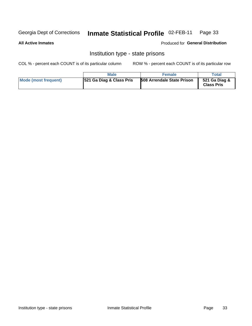#### Inmate Statistical Profile 02-FEB-11 Page 33

### **All Active Inmates**

### Produced for General Distribution

# Institution type - state prisons

COL % - percent each COUNT is of its particular column

|                      | Male                                | <b>Female</b>                     | Total                              |
|----------------------|-------------------------------------|-----------------------------------|------------------------------------|
| Mode (most frequent) | <b>521 Ga Diag &amp; Class Pris</b> | <b>508 Arrendale State Prison</b> | 521 Ga Diag &<br><b>Class Pris</b> |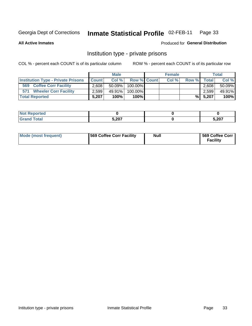#### Inmate Statistical Profile 02-FEB-11 Page 33

**All Active Inmates** 

### Produced for General Distribution

# Institution type - private prisons

COL % - percent each COUNT is of its particular column

|                                           |              | <b>Male</b> |                    | <b>Female</b> |       |              | <b>Total</b> |
|-------------------------------------------|--------------|-------------|--------------------|---------------|-------|--------------|--------------|
| <b>Institution Type - Private Prisons</b> | <b>Count</b> | Col%        | <b>Row % Count</b> | Col %         | Row % | <b>Total</b> | Col %        |
| 569<br><b>Coffee Corr Facility</b>        | 2,608        | $50.09\%$   | 100.00%            |               |       | 2.608        | 50.09%       |
| <b>Wheeler Corr Facility</b><br>571       | 2,599        | 49.91%      | 100.00%            |               |       | 2,599        | 49.91%       |
| <b>Total Reported</b>                     | 5.207        | 100%        | $100\%$            |               | %I    | 5,207        | 100%         |

| portea<br>ma a  |                       |       |
|-----------------|-----------------------|-------|
| $int^{\bullet}$ | $F \Omega T$<br>ວ,∠ບ≀ | 5,207 |

| Mode (most frequent) | <b>569 Coffee Corr Facility</b> | <b>Null</b> | 569 Coffee Corr<br><b>Facility</b> |
|----------------------|---------------------------------|-------------|------------------------------------|
|----------------------|---------------------------------|-------------|------------------------------------|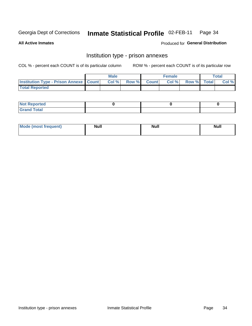#### Inmate Statistical Profile 02-FEB-11 Page 34

**All Active Inmates** 

Produced for General Distribution

# Institution type - prison annexes

COL % - percent each COUNT is of its particular column

|                                                   | <b>Male</b> |                    | <b>Female</b> |             | <b>Total</b> |
|---------------------------------------------------|-------------|--------------------|---------------|-------------|--------------|
| <b>Institution Type - Prison Annexe   Count  </b> | Col %       | <b>Row % Count</b> | Col %         | Row % Total | Col %        |
| <b>Total Reported</b>                             |             |                    |               |             |              |

| <b>Reported</b><br>I NOT                      |  |  |
|-----------------------------------------------|--|--|
| <b>Total</b><br>Carar<br>$\sim$ . When $\sim$ |  |  |

| <b>Mode</b>     | <b>Null</b> | <b>Null</b> | <b>Null</b> |
|-----------------|-------------|-------------|-------------|
| most frequent). |             |             |             |
|                 |             |             |             |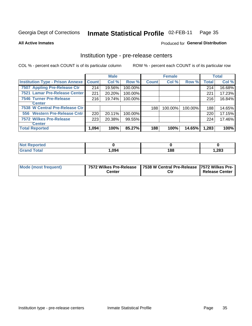#### Inmate Statistical Profile 02-FEB-11 Page 35

**All Active Inmates** 

**Produced for General Distribution** 

# Institution type - pre-release centers

COL % - percent each COUNT is of its particular column

|                                         |              | <b>Male</b> |         |              | <b>Female</b> |         |              | <b>Total</b> |
|-----------------------------------------|--------------|-------------|---------|--------------|---------------|---------|--------------|--------------|
| <b>Institution Type - Prison Annexe</b> | <b>Count</b> | Col %       | Row %   | <b>Count</b> | Col %         | Row %   | <b>Total</b> | Col %        |
| 7507 Appling Pre-Release Ctr            | 214          | 19.56%      | 100.00% |              |               |         | 214          | 16.68%       |
| 7521 Lamar Pre-Release Center           | 221          | 20.20%      | 100.00% |              |               |         | 221          | 17.23%       |
| <b>7546 Turner Pre-Release</b>          | 216          | 19.74%      | 100.00% |              |               |         | 216          | 16.84%       |
| <b>Center</b>                           |              |             |         |              |               |         |              |              |
| 7538 W Central Pre-Release Ctr          |              |             |         | 188          | 100.00%       | 100.00% | 188          | 14.65%       |
| 556 Western Pre-Release Cntr            | 220          | 20.11%      | 100.00% |              |               |         | 220          | 17.15%       |
| 7572 Wilkes Pre-Release                 | 223          | 20.38%      | 99.55%  |              |               |         | 224          | 17.46%       |
| <b>Center</b>                           |              |             |         |              |               |         |              |              |
| <b>Total Reported</b>                   | 1,094        | 100%        | 85.27%  | 188          | 100%          | 14.65%  | 1,283        | 100%         |

| Reported     |       |     |       |
|--------------|-------|-----|-------|
| <b>Total</b> | 1,094 | 188 | 1,283 |

| Mode (most frequent) |        | 7572 Wilkes Pre-Release   7538 W Central Pre-Release   7572 Wilkes Pre- |                       |
|----------------------|--------|-------------------------------------------------------------------------|-----------------------|
|                      | £enter | Ctı                                                                     | <b>Release Center</b> |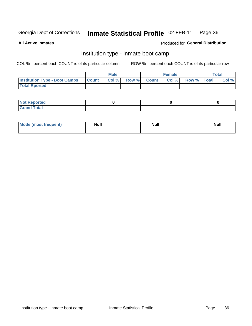#### Inmate Statistical Profile 02-FEB-11 Page 36

**All Active Inmates** 

### Produced for General Distribution

## Institution type - inmate boot camp

COL % - percent each COUNT is of its particular column

|                                      |              | <b>Male</b> |       |              | <b>Female</b> |             | <b>Total</b> |
|--------------------------------------|--------------|-------------|-------|--------------|---------------|-------------|--------------|
| <b>Institution Type - Boot Camps</b> | <b>Count</b> | Col %       | Row % | <b>Count</b> | Col %         | Row % Total | Col %        |
| <b>Total Rported</b>                 |              |             |       |              |               |             |              |

| <b>Not Reported</b> |  |  |
|---------------------|--|--|
| <b>Total</b><br>Cro |  |  |

| <b>I Mode (most frequent)</b> | <b>Null</b> | <b>Null</b> | <b>Null</b> |
|-------------------------------|-------------|-------------|-------------|
|                               |             |             |             |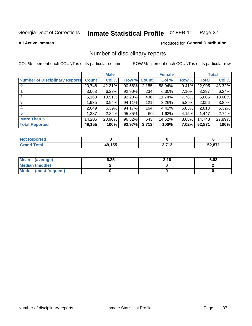### Inmate Statistical Profile 02-FEB-11 Page 37

### **All Active Inmates**

## **Produced for General Distribution**

## Number of disciplinary reports

COL % - percent each COUNT is of its particular column

|                                       |              | <b>Male</b> |             |       | <b>Female</b> |          |              | <b>Total</b> |
|---------------------------------------|--------------|-------------|-------------|-------|---------------|----------|--------------|--------------|
| <b>Number of Disciplinary Reports</b> | <b>Count</b> | Col %       | Row % Count |       | Col %         | Row %    | <b>Total</b> | Col %        |
|                                       | 20,748       | 42.21%      | 90.58%      | 2,155 | 58.04%        | 9.41%    | 22,905       | 43.32%       |
|                                       | 3,063        | 6.23%       | 92.90%      | 234   | 6.30%         | 7.10%    | 3,297        | 6.24%        |
| $\mathbf{2}$                          | 5,168        | 10.51%      | 92.20%      | 436   | 11.74%        | 7.78%    | 5,605        | 10.60%       |
| 3                                     | 1,935        | $3.94\%$    | 94.11%      | 121   | 3.26%         | 5.89%    | 2,056        | 3.89%        |
| 4                                     | 2,649        | 5.39%       | 94.17%      | 164   | 4.42%         | 5.83%    | 2,813        | 5.32%        |
| 5                                     | 1,387        | 2.82%       | 95.85%      | 60    | 1.62%         | 4.15%    | 1,447        | 2.74%        |
| <b>More Than 5</b>                    | 14,205       | 28.90%      | 96.32%      | 543   | 14.62%        | $3.68\%$ | 14,748       | 27.89%       |
| <b>Total Reported</b>                 | 49,155       | 100%        | 92.97%      | 3,713 | 100%          | 7.02%    | 52,871       | 100%         |

| orted<br>NO: |        |                        |               |
|--------------|--------|------------------------|---------------|
| <b>Total</b> | 40 15F | <b>1 74 מ</b><br>. . U | <b>EQ 074</b> |

| Mean (average)         | 6.25 | 3.10 | 6.03 |
|------------------------|------|------|------|
| <b>Median (middle)</b> |      |      |      |
| Mode (most frequent)   |      |      |      |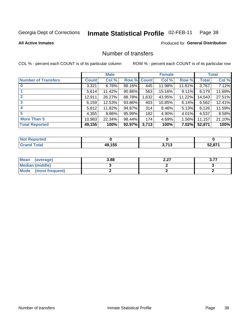### Inmate Statistical Profile 02-FEB-11 Page 38

**All Active Inmates** 

## **Produced for General Distribution**

## Number of transfers

COL % - percent each COUNT is of its particular column

|                            |              | <b>Male</b> |             |       | <b>Female</b> |          |        | <b>Total</b> |
|----------------------------|--------------|-------------|-------------|-------|---------------|----------|--------|--------------|
| <b>Number of Transfers</b> | <b>Count</b> | Col %       | Row % Count |       | Col %         | Row %    | Total  | Col %        |
| $\bf{0}$                   | 3,321        | 6.76%       | 88.16%      | 445   | 11.98%        | 11.81%   | 3,767  | 7.12%        |
|                            | 5,614        | 11.42%      | $90.86\%$   | 563   | 15.16%        | $9.11\%$ | 6,179  | 11.69%       |
| $\mathbf{2}$               | 12,911       | 26.27%      | 88.78%      | 1,632 | 43.95%        | 11.22%   | 14,543 | 27.51%       |
| 3                          | 6,159        | 12.53%      | 93.86%      | 403   | 10.85%        | 6.14%    | 6,562  | 12.41%       |
|                            | 5,812        | 11.82%      | 94.87%      | 314   | 8.46%         | 5.13%    | 6,126  | 11.59%       |
| 5                          | 4,355        | 8.86%       | 95.99%      | 182   | 4.90%         | 4.01%    | 4,537  | 8.58%        |
| <b>More Than 5</b>         | 10,983       | 22.34%      | 98.44%      | 174   | 4.69%         | 1.56%    | 11,157 | 21.10%       |
| <b>Total Reported</b>      | 49,155       | 100%        | 92.97%      | 3,713 | 100%          | 7.02%    | 52,871 | 100%         |

| orted<br>NO: |        |                        |               |
|--------------|--------|------------------------|---------------|
| <b>Total</b> | 40 15F | <b>1 74 מ</b><br>. . U | <b>EQ 074</b> |

| Mean (average)       | 3.88 | ר ה<br>L.LI | $\sim$ 77<br>. |
|----------------------|------|-------------|----------------|
| Median (middle)      |      |             |                |
| Mode (most frequent) |      |             |                |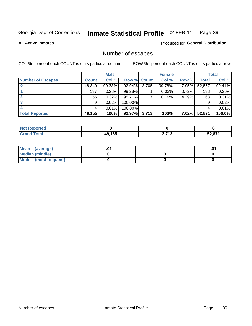### Inmate Statistical Profile 02-FEB-11 Page 39

**All Active Inmates** 

## **Produced for General Distribution**

# Number of escapes

COL % - percent each COUNT is of its particular column

|                          |              | <b>Male</b> |             |       | <b>Female</b> |          |        | <b>Total</b> |
|--------------------------|--------------|-------------|-------------|-------|---------------|----------|--------|--------------|
| <b>Number of Escapes</b> | <b>Count</b> | Col %       | Row % Count |       | Col %         | Row %    | Total  | Col %        |
|                          | 48,849       | 99.38%      | 92.94%      | 3,705 | 99.78%        | 7.05%    | 52,557 | 99.41%       |
|                          | 137          | 0.28%       | 99.28%      |       | 0.03%         | 0.72%    | 138    | 0.26%        |
|                          | 156          | 0.32%       | 95.71%      |       | 0.19%         | 4.29%    | 163    | 0.31%        |
|                          | 9            | 0.02%       | 100.00%     |       |               |          | 9      | 0.02%        |
|                          |              | 0.01%       | 100.00%     |       |               |          |        | 0.01%        |
| <b>Total Reported</b>    | 49,155       | 100%        | 92.97%      | 3,713 | 100%          | $7.02\%$ | 52,871 | 100.0%       |

| <b>Not Reported</b> |                        |                           |        |
|---------------------|------------------------|---------------------------|--------|
| <b>Grand Total</b>  | <b>40155</b><br>73.IJJ | <b>2 אד</b><br>. . J<br>◡ | 50.074 |

| Mean (average)         |  | .0 <sup>4</sup> |
|------------------------|--|-----------------|
| <b>Median (middle)</b> |  |                 |
| Mode (most frequent)   |  |                 |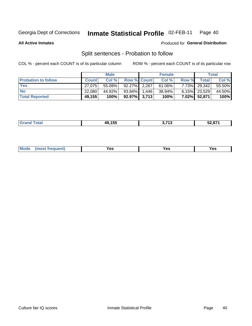#### Inmate Statistical Profile 02-FEB-11 Page 40

**All Active Inmates** 

### Produced for General Distribution

# Split sentences - Probation to follow

COL % - percent each COUNT is of its particular column

|                            |              | <b>Male</b> |                    | <b>Female</b> |       |                 | <b>Total</b> |
|----------------------------|--------------|-------------|--------------------|---------------|-------|-----------------|--------------|
| <b>Probation to follow</b> | <b>Count</b> | Col %       | <b>Row % Count</b> | Col %         | Row % | Total           | Col %        |
| <b>Yes</b>                 | 27.075       | $55.08\%$   | 92.27% 2.267       | $61.06\%$     |       | 7.73% 29,342    | 55.50%       |
| <b>No</b>                  | 22.080       | 44.92%      | 93.84% 1.446       | 38.94%        |       | $6.15\%$ 23,529 | 44.50%       |
| <b>Total Reported</b>      | 49,155       | 100%        | $92.97\%$ 3,713    | 100%          | 7.02% | 52,871          | 100%         |

|  | المستقاسات | 10 155<br>лu<br>1 J J<br>-- | <b>יאד נ</b><br>- 1 | $F^{\prime}$ $\sim$ $\sim$ $\sim$<br>ว∠,o <i>เ</i> |
|--|------------|-----------------------------|---------------------|----------------------------------------------------|
|--|------------|-----------------------------|---------------------|----------------------------------------------------|

| reauent)<br>Yes<br>v.c<br>0٥<br>.<br>. .<br>$\sim$ |  | <b>Mode</b> |  |  |  |
|----------------------------------------------------|--|-------------|--|--|--|
|----------------------------------------------------|--|-------------|--|--|--|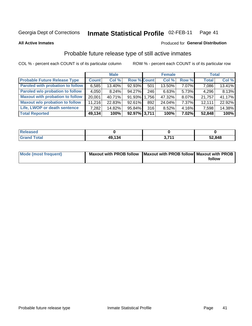#### Inmate Statistical Profile 02-FEB-11 Page 41

**All Active Inmates** 

### Produced for General Distribution

# Probable future release type of still active inmates

COL % - percent each COUNT is of its particular column

|                                         |              | <b>Male</b> |                    |     | <b>Female</b> |          | <b>Total</b> |        |
|-----------------------------------------|--------------|-------------|--------------------|-----|---------------|----------|--------------|--------|
| <b>Probable Future Release Type</b>     | <b>Count</b> | Col %       | <b>Row % Count</b> |     | Col %         | Row %    | <b>Total</b> | Col %  |
| <b>Paroled with probation to follow</b> | 6,585        | 13.40%      | 92.93%             | 501 | 13.50%        | 7.07%    | 7,086        | 13.41% |
| Paroled w/o probation to follow         | 4,050        | 8.24%       | 94.27%             | 246 | 6.63%         | 5.73%    | 4,296        | 8.13%  |
| <b>Maxout with probation to follow</b>  | 20.001       | 40.71%      | 91.93% 1.756       |     | 47.32%        | 8.07%    | 21,757       | 41.17% |
| <b>Maxout w/o probation to follow</b>   | 11,216       | 22.83%      | 92.61%             | 892 | 24.04%        | $7.37\%$ | 12,111       | 22.92% |
| Life, LWOP or death sentence            | 7,282        | 14.82%      | 95.84%             | 316 | 8.52%         | $4.16\%$ | 7,598        | 14.38% |
| <b>Total Reported</b>                   | 49,134       | 100%        | 92.97% 3,711       |     | 100%          | 7.02%    | 52,848       | 100%   |

| .eleased             |        |           |        |
|----------------------|--------|-----------|--------|
| <b>cotal</b><br>C-r- | 49.134 | 744<br>v. | 52,848 |

| <b>Mode (most frequent)</b> | Maxout with PROB follow   Maxout with PROB follow   Maxout with PROB |        |
|-----------------------------|----------------------------------------------------------------------|--------|
|                             |                                                                      | follow |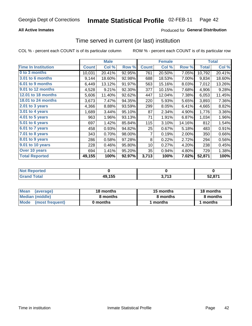## **All Active Inmates**

## **Produced for General Distribution**

# Time served in current (or last) institution

COL % - percent each COUNT is of its particular column

|                            |              | <b>Male</b> |        |              | <b>Female</b> |        |              | <b>Total</b> |
|----------------------------|--------------|-------------|--------|--------------|---------------|--------|--------------|--------------|
| <b>Time In Institution</b> | <b>Count</b> | Col %       | Row %  | <b>Count</b> | Col %         | Row %  | <b>Total</b> | Col %        |
| 0 to 3 months              | 10,031       | 20.41%      | 92.95% | 761          | 20.50%        | 7.05%  | 10,792       | 20.41%       |
| 3.01 to 6 months           | 9,144        | 18.60%      | 92.98% | 688          | 18.53%        | 7.00%  | 9,834        | 18.60%       |
| 6.01 to 9 months           | 6,449        | 13.12%      | 91.97% | 563          | 15.16%        | 8.03%  | 7,012        | 13.26%       |
| 9.01 to 12 months          | 4,528        | 9.21%       | 92.30% | 377          | 10.15%        | 7.68%  | 4,906        | 9.28%        |
| 12.01 to 18 months         | 5,606        | 11.40%      | 92.62% | 447          | 12.04%        | 7.38%  | 6,053        | 11.45%       |
| <b>18.01 to 24 months</b>  | 3,673        | 7.47%       | 94.35% | 220          | 5.93%         | 5.65%  | 3,893        | 7.36%        |
| $2.01$ to 3 years          | 4,366        | 8.88%       | 93.59% | 299          | 8.05%         | 6.41%  | 4,665        | 8.82%        |
| 3.01 to 4 years            | 1,689        | 3.44%       | 95.10% | 87           | 2.34%         | 4.90%  | 1,776        | 3.36%        |
| $4.01$ to 5 years          | 963          | 1.96%       | 93.13% | 71           | 1.91%         | 6.87%  | 1,034        | 1.96%        |
| 5.01 to 6 years            | 697          | 1.42%       | 85.84% | 115          | 3.10%         | 14.16% | 812          | 1.54%        |
| 6.01 to 7 years            | 458          | 0.93%       | 94.82% | 25           | 0.67%         | 5.18%  | 483          | 0.91%        |
| 7.01 to 8 years            | 343          | 0.70%       | 98.00% | 7            | 0.19%         | 2.00%  | 350          | 0.66%        |
| $8.01$ to 9 years          | 286          | 0.58%       | 97.28% | 8            | 0.22%         | 2.72%  | 294          | 0.56%        |
| 9.01 to 10 years           | 228          | 0.46%       | 95.80% | 10           | 0.27%         | 4.20%  | 238          | 0.45%        |
| Over 10 years              | 694          | 1.41%       | 95.20% | 35           | 0.94%         | 4.80%  | 729          | 1.38%        |
| <b>Total Reported</b>      | 49,155       | 100%        | 92.97% | 3,713        | 100%          | 7.02%  | 52,871       | 100%         |

| <b>Not</b><br>Reported |        |                         |                     |
|------------------------|--------|-------------------------|---------------------|
| <b>otal</b>            | 49,155 | י די<br>. IJ<br><b></b> | $E^{\prime}$ $0.77$ |

| <b>Mean</b><br>(average) | 18 months | 15 months | 18 months |  |
|--------------------------|-----------|-----------|-----------|--|
| Median (middle)          | 8 months  | 8 months  | 8 months  |  |
| Mode<br>(most frequent)  | 0 months  | months    | ∖ months  |  |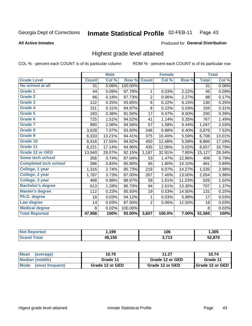### Inmate Statistical Profile 02-FEB-11 Page 43

### **All Active Inmates**

### Produced for General Distribution

## Highest grade level attained

COL % - percent each COUNT is of its particular column

|                              |              | <b>Male</b> |         |                         | <b>Female</b> |        |              | <b>Total</b> |
|------------------------------|--------------|-------------|---------|-------------------------|---------------|--------|--------------|--------------|
| <b>Grade Level</b>           | <b>Count</b> | Col %       | Row %   | <b>Count</b>            | Col %         | Row %  | <b>Total</b> | Col %        |
| No school at all             | 31           | 0.06%       | 100.00% |                         |               |        | 31           | $0.06\%$     |
| Grade 1                      | 44           | 0.09%       | 97.78%  | 1                       | 0.03%         | 2.22%  | 45           | 0.09%        |
| <b>Grade 2</b>               | 86           | 0.18%       | 97.73%  | $\overline{\mathbf{c}}$ | 0.06%         | 2.27%  | 88           | 0.17%        |
| Grade 3                      | 122          | 0.25%       | 93.85%  | $\bf 8$                 | 0.22%         | 6.15%  | 130          | 0.25%        |
| Grade 4                      | 151          | 0.31%       | 94.97%  | 8                       | 0.22%         | 5.03%  | 159          | 0.31%        |
| Grade 5                      | 183          | 0.38%       | 91.50%  | 17                      | 0.47%         | 8.50%  | 200          | 0.39%        |
| Grade 6                      | 725          | 1.51%       | 94.52%  | 41                      | 1.14%         | 5.35%  | 767          | 1.49%        |
| <b>Grade 7</b>               | 990          | 2.06%       | 94.56%  | 57                      | 1.58%         | 5.44%  | 1,047        | 2.03%        |
| Grade 8                      | 3,628        | 7.57%       | 93.60%  | 248                     | 6.88%         | 6.40%  | 3,876        | 7.52%        |
| <b>Grade 9</b>               | 6,333        | 13.21%      | 94.41%  | 375                     | 10.40%        | 5.59%  | 6,708        | 13.01%       |
| Grade 10                     | 8,416        | 17.55%      | 94.92%  | 450                     | 12.48%        | 5.08%  | 8,866        | 17.19%       |
| Grade 11                     | 8,221        | 17.14%      | 94.96%  | 435                     | 12.06%        | 5.02%  | 8,657        | 16.79%       |
| <b>Grade 12 or GED</b>       | 13,940       | 29.07%      | 92.15%  | 1,187                   | 32.91%        | 7.85%  | 15,127       | 29.34%       |
| Some tech school             | 356          | 0.74%       | 87.04%  | 53                      | 1.47%         | 12.96% | 409          | 0.79%        |
| <b>Completed tech school</b> | 396          | 0.83%       | 85.90%  | 65                      | 1.80%         | 14.10% | 461          | 0.89%        |
| College, 1 year              | 1,316        | 2.74%       | 85.73%  | 219                     | 6.07%         | 14.27% | 1,535        | 2.98%        |
| College, 2 year              | 1,787        | 3.73%       | 87.00%  | 267                     | 7.40%         | 13.00% | 2,054        | 3.98%        |
| College, 3 year              | 468          | 0.98%       | 88.97%  | 58                      | 1.61%         | 11.03% | 526          | 1.02%        |
| <b>Bachelor's degree</b>     | 613          | 1.28%       | 86.70%  | 94                      | 2.61%         | 13.30% | 707          | 1.37%        |
| <b>Master's degree</b>       | 112          | 0.23%       | 85.50%  | 19                      | 0.53%         | 14.50% | 131          | 0.25%        |
| Ph.D. degree                 | 16           | 0.03%       | 94.12%  | 1                       | 0.03%         | 5.88%  | 17           | 0.03%        |
| Law degree                   | 14           | 0.03%       | 87.50%  | $\overline{2}$          | 0.06%         | 12.50% | 16           | 0.03%        |
| <b>Medical degree</b>        | 8            | 0.02%       | 100.00% |                         |               |        | 8            | 0.02%        |
| <b>Total Reported</b>        | 47,956       | 100%        | 93.00%  | 3,607                   | 100.0%        | 7.00%  | 51,565       | 100%         |

| N6<br>nrteu : | 199           | 1 N C<br>. vv<br>$ -$                      | ,305                              |
|---------------|---------------|--------------------------------------------|-----------------------------------|
|               | <b>49 155</b> | <b>1 אד</b><br><br>$\bullet\bullet\bullet$ | $E^{\alpha}$ $\alpha \neq \alpha$ |

| <b>Mean</b><br>(average)       | 10.70           | 11.27           | 10.74             |
|--------------------------------|-----------------|-----------------|-------------------|
| Median (middle)                | Grade 11        | Grade 12 or GED | Grade 11          |
| <b>Mode</b><br>(most frequent) | Grade 12 or GED | Grade 12 or GED | I Grade 12 or GED |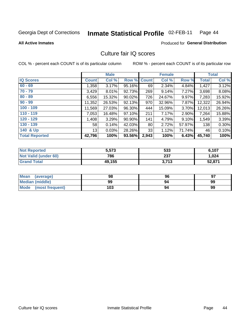### Inmate Statistical Profile 02-FEB-11 Page 44

**All Active Inmates** 

## **Produced for General Distribution**

## Culture fair IQ scores

COL % - percent each COUNT is of its particular column

|                       |              | <b>Male</b> |             |                 | <b>Female</b> |        |              | <b>Total</b> |
|-----------------------|--------------|-------------|-------------|-----------------|---------------|--------|--------------|--------------|
| <b>IQ Scores</b>      | <b>Count</b> | Col %       | Row % Count |                 | Col %         | Row %  | <b>Total</b> | Col %        |
| $60 - 69$             | 1,358        | 3.17%       | 95.16%      | 69              | 2.34%         | 4.84%  | 1,427        | 3.12%        |
| $70 - 79$             | 3,429        | 8.01%       | 92.73%      | 269             | 9.14%         | 7.27%  | 3,698        | 8.08%        |
| $80 - 89$             | 6,556        | 15.32%      | 90.02%      | 726             | 24.67%        | 9.97%  | 7,283        | 15.92%       |
| $90 - 99$             | 11,352       | 26.53%      | 92.13%      | 970             | 32.96%        | 7.87%  | 12,322       | 26.94%       |
| $100 - 109$           | 11,569       | 27.03%      | 96.30%      | 444             | 15.09%        | 3.70%  | 12,013       | 26.26%       |
| $110 - 119$           | 7,053        | 16.48%      | 97.10%      | 211             | 7.17%         | 2.90%  | 7,264        | 15.88%       |
| $120 - 129$           | 1,408        | 3.29%       | 90.90%      | 141             | 4.79%         | 9.10%  | 1,549        | 3.39%        |
| $130 - 139$           | 58           | 0.14%       | 42.03%      | 80 <sub>1</sub> | 2.72%         | 57.97% | 138          | $0.30\%$     |
| 140 & Up              | 13           | 0.03%       | 28.26%      | 33              | 1.12%         | 71.74% | 46           | 0.10%        |
| <b>Total Reported</b> | 42,796       | 100%        | 93.56%      | 2,943           | 100%          | 6.43%  | 45,740       | 100%         |

| <b>Not Reported</b>         | 5,573  | 533   | 6,107  |
|-----------------------------|--------|-------|--------|
| <b>Not Valid (under 60)</b> | 786    | 237   | 1,024  |
| <b>Grand Total</b>          | 49,155 | 3,713 | 52,871 |

| <b>Mean</b><br>(average) | 98  | 96 | 97 |
|--------------------------|-----|----|----|
| <b>Median (middle)</b>   | 99  | 94 | 99 |
| Mode<br>(most frequent)  | 103 | 94 | 99 |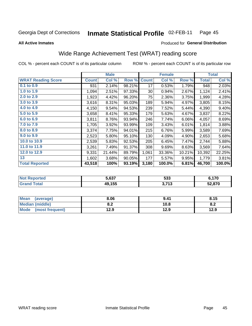### Inmate Statistical Profile 02-FEB-11 Page 45

**All Active Inmates** 

## Produced for General Distribution

# Wide Range Achievement Test (WRAT) reading score

COL % - percent each COUNT is of its particular column

|                           |              | <b>Male</b> |        |              | <b>Female</b> |        |              | <b>Total</b> |
|---------------------------|--------------|-------------|--------|--------------|---------------|--------|--------------|--------------|
| <b>WRAT Reading Score</b> | <b>Count</b> | Col %       | Row %  | <b>Count</b> | Col %         | Row %  | <b>Total</b> | Col %        |
| 0.1 to 0.9                | 931          | 2.14%       | 98.21% | 17           | 0.53%         | 1.79%  | 948          | 2.03%        |
| 1.0 to 1.9                | 1,094        | 2.51%       | 97.33% | 30           | 0.94%         | 2.67%  | 1,124        | 2.41%        |
| 2.0 to 2.9                | 1,923        | 4.42%       | 96.20% | 75           | 2.36%         | 3.75%  | 1,999        | 4.28%        |
| 3.0 to 3.9                | 3,616        | 8.31%       | 95.03% | 189          | 5.94%         | 4.97%  | 3,805        | 8.15%        |
| 4.0 to 4.9                | 4,150        | 9.54%       | 94.53% | 239          | 7.52%         | 5.44%  | 4,390        | 9.40%        |
| 5.0 to 5.9                | 3,658        | 8.41%       | 95.33% | 179          | 5.63%         | 4.67%  | 3,837        | 8.22%        |
| 6.0 to 6.9                | 3,811        | 8.76%       | 93.94% | 246          | 7.74%         | 6.06%  | 4,057        | 8.69%        |
| 7.0 to 7.9                | 1,705        | 3.92%       | 93.99% | 109          | 3.43%         | 6.01%  | 1,814        | 3.88%        |
| 8.0 to 8.9                | 3,374        | 7.75%       | 94.01% | 215          | 6.76%         | 5.99%  | 3,589        | 7.69%        |
| 9.0 to 9.9                | 2,523        | 5.80%       | 95.10% | 130          | 4.09%         | 4.90%  | 2,653        | 5.68%        |
| 10.0 to 10.9              | 2,539        | 5.83%       | 92.53% | 205          | 6.45%         | 7.47%  | 2,744        | 5.88%        |
| 11.0 to 11.9              | 3,261        | 7.49%       | 91.37% | 308          | 9.69%         | 8.63%  | 3,569        | 7.64%        |
| 12.0 to 12.9              | 9,331        | 21.44%      | 89.79% | 1,061        | 33.36%        | 10.21% | 10,392       | 22.25%       |
| 13                        | 1,602        | 3.68%       | 90.05% | 177          | 5.57%         | 9.95%  | 1,779        | 3.81%        |
| <b>Total Reported</b>     | 43,518       | 100%        | 93.19% | 3,180        | 100.0%        | 6.81%  | 46,700       | 100.0%       |

| rted<br>NO              | 5,637  | につつ<br>უაა                   | : 470  |
|-------------------------|--------|------------------------------|--------|
| $f$ $f \circ f \circ f$ | 49,155 | <b>2742</b><br><b>J.I IJ</b> | 52,870 |

| Mean<br>(average)    | 8.06       | 9.41 | 8.15                       |
|----------------------|------------|------|----------------------------|
| Median (middle)      | י ה<br>o.z | 10.8 | $\bullet$ $\bullet$<br>o.z |
| Mode (most frequent) | 12.9       | 12.9 | 12.9                       |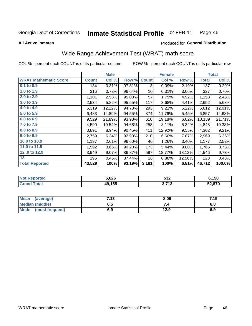### Inmate Statistical Profile 02-FEB-11 Page 46

**All Active Inmates** 

### Produced for General Distribution

# Wide Range Achievement Test (WRAT) math score

COL % - percent each COUNT is of its particular column

|                              |              | <b>Male</b> |        |                 | <b>Female</b> |        |              | <b>Total</b> |
|------------------------------|--------------|-------------|--------|-----------------|---------------|--------|--------------|--------------|
| <b>WRAT Mathematic Score</b> | <b>Count</b> | Col %       | Row %  | <b>Count</b>    | Col %         | Row %  | <b>Total</b> | Col %        |
| $0.1$ to $0.9$               | 134          | 0.31%       | 97.81% | 3               | 0.09%         | 2.19%  | 137          | 0.29%        |
| 1.0 to 1.9                   | 316          | 0.73%       | 96.64% | 10 <sup>1</sup> | 0.31%         | 3.06%  | 327          | 0.70%        |
| 2.0 to 2.9                   | 1,101        | 2.53%       | 95.08% | 57              | 1.79%         | 4.92%  | 1,158        | 2.48%        |
| 3.0 to 3.9                   | 2,534        | 5.82%       | 95.55% | 117             | 3.68%         | 4.41%  | 2,652        | 5.68%        |
| 4.0 to 4.9                   | 5,319        | 12.22%      | 94.78% | 293             | 9.21%         | 5.22%  | 5,612        | 12.01%       |
| 5.0 to 5.9                   | 6,483        | 14.89%      | 94.55% | 374             | 11.76%        | 5.45%  | 6,857        | 14.68%       |
| 6.0 to 6.9                   | 9,529        | 21.89%      | 93.98% | 610             | 19.18%        | 6.02%  | 10,139       | 21.71%       |
| 7.0 to 7.9                   | 4,590        | 10.54%      | 94.68% | 258             | 8.11%         | 5.32%  | 4,848        | 10.38%       |
| 8.0 to 8.9                   | 3,891        | 8.94%       | 90.45% | 411             | 12.92%        | 9.55%  | 4,302        | 9.21%        |
| 9.0 to 9.9                   | 2,759        | 6.34%       | 92.93% | 210             | 6.60%         | 7.07%  | 2,969        | 6.36%        |
| 10.0 to 10.9                 | 1,137        | 2.61%       | 96.60% | 40              | 1.26%         | 3.40%  | 1,177        | 2.52%        |
| 11.0 to 11.9                 | 1,592        | 3.66%       | 90.20% | 173             | 5.44%         | 9.80%  | 1,765        | 3.78%        |
| 12.0 to 12.9                 | 3,949        | 9.07%       | 86.87% | 597             | 18.77%        | 13.13% | 4,546        | 9.73%        |
| 13                           | 195          | 0.45%       | 87.44% | 28              | 0.88%         | 12.56% | 223          | 0.48%        |
| <b>Total Reported</b>        | 43,529       | 100%        | 93.19% | 3,181           | 100%          | 6.81%  | 46,712       | 100.0%       |

| <b>Not</b><br><b>Reported</b> | 5.626  | רפה<br>ാാ∠             | 6,158  |
|-------------------------------|--------|------------------------|--------|
| <b>cotal</b>                  | 49,155 | つ フィつ<br>- 10<br>. J.I | 52,870 |

| Mean (average)         | 7.13 | 8.06 | 7.19 |
|------------------------|------|------|------|
| <b>Median (middle)</b> | ง. ว | 74   | o.o  |
| Mode (most frequent)   | 6.9  | 12.9 | 6.9  |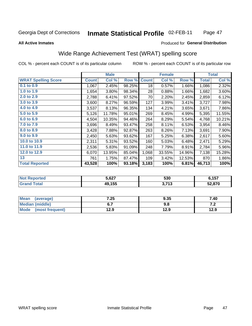### Inmate Statistical Profile 02-FEB-11 Page 47

### **All Active Inmates**

### Produced for General Distribution

# Wide Range Achievement Test (WRAT) spelling score

COL % - percent each COUNT is of its particular column

|                            |              | <b>Male</b> |        |              | <b>Female</b> |        |              | <b>Total</b> |
|----------------------------|--------------|-------------|--------|--------------|---------------|--------|--------------|--------------|
| <b>WRAT Spelling Score</b> | <b>Count</b> | Col %       | Row %  | <b>Count</b> | Col %         | Row %  | <b>Total</b> | Col %        |
| $0.1$ to $0.9$             | 1,067        | 2.45%       | 98.25% | 18           | 0.57%         | 1.66%  | 1,086        | 2.32%        |
| 1.0 to 1.9                 | 1,654        | 3.80%       | 98.34% | 28           | 0.88%         | 1.66%  | 1,682        | 3.60%        |
| 2.0 to 2.9                 | 2,788        | 6.41%       | 97.52% | 70           | 2.20%         | 2.45%  | 2,859        | 6.12%        |
| 3.0 to 3.9                 | 3,600        | 8.27%       | 96.59% | 127          | 3.99%         | 3.41%  | 3,727        | 7.98%        |
| 4.0 to 4.9                 | 3,537        | 8.13%       | 96.35% | 134          | 4.21%         | 3.65%  | 3,671        | 7.86%        |
| 5.0 to 5.9                 | 5,126        | 11.78%      | 95.01% | 269          | 8.45%         | 4.99%  | 5,395        | 11.55%       |
| 6.0 to 6.9                 | 4,504        | 10.35%      | 94.46% | 264          | 8.29%         | 5.54%  | 4,768        | 10.21%       |
| 7.0 to 7.9                 | 3,696        | 8.49%       | 93.47% | 258          | 8.11%         | 6.53%  | 3,954        | 8.46%        |
| 8.0 to 8.9                 | 3,428        | 7.88%       | 92.87% | 263          | 8.26%         | 7.13%  | 3,691        | 7.90%        |
| 9.0 to 9.9                 | 2,450        | 5.63%       | 93.62% | 167          | 5.25%         | 6.38%  | 2,617        | 5.60%        |
| 10.0 to 10.9               | 2,311        | 5.31%       | 93.52% | 160          | 5.03%         | 6.48%  | 2,471        | 5.29%        |
| 11.0 to 11.9               | 2,536        | 5.83%       | 91.09% | 248          | 7.79%         | 8.91%  | 2,784        | 5.96%        |
| 12.0 to 12.9               | 6,070        | 13.95%      | 85.04% | 1,068        | 33.55%        | 14.96% | 7,138        | 15.28%       |
| 13                         | 761          | 1.75%       | 87.47% | 109          | 3.42%         | 12.53% | 870          | 1.86%        |
| <b>Total Reported</b>      | 43,528       | 100%        | 93.18% | 3,183        | 100%          | 6.81%  | 46,713       | 100%         |

| rted<br>NO              | 5,627  | 530                          | <b>6157</b><br>0,101 |
|-------------------------|--------|------------------------------|----------------------|
| $f$ $f \circ f \circ f$ | 49,155 | <b>2742</b><br><b>J.I IJ</b> | 52,870               |

| <b>Mean</b><br>(average)       | 7.25 | 9.35 | 7.40 |
|--------------------------------|------|------|------|
| Median (middle)                |      | 9.8  | .    |
| <b>Mode</b><br>(most frequent) | 12.9 | 12.9 | 12.9 |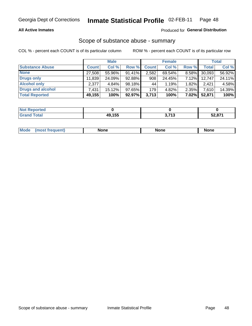## **All Active Inmates**

## Produced for General Distribution

## Scope of substance abuse - summary

COL % - percent each COUNT is of its particular column

|                        |              | <b>Male</b> |        |              | <b>Female</b> |          |              | <b>Total</b> |
|------------------------|--------------|-------------|--------|--------------|---------------|----------|--------------|--------------|
| <b>Substance Abuse</b> | <b>Count</b> | Col %       | Row %  | <b>Count</b> | Col %         | Row %    | <b>Total</b> | Col %        |
| <b>None</b>            | 27,508       | 55.96%      | 91.41% | 2,582        | 69.54%        | 8.58%    | 30,093       | 56.92%       |
| <b>Drugs only</b>      | 11,839       | 24.09%      | 92.88% | 908          | 24.45%        | 7.12%    | 12,747       | 24.11%       |
| <b>Alcohol only</b>    | 2.377        | $4.84\%$    | 98.18% | 44           | 1.19%         | 1.82%    | 2.421        | 4.58%        |
| Drugs and alcohol      | 7,431        | $15.12\%$   | 97.65% | 179          | 4.82%         | 2.35%    | 7,610        | 14.39%       |
| <b>Total Reported</b>  | 49,155       | 100%        | 92.97% | 3,713        | 100%          | $7.02\%$ | 52,871       | 100%         |

| <b>Not</b><br>Reported |                        |               |        |
|------------------------|------------------------|---------------|--------|
| <b>Total</b>           | 10 155<br>лu<br>73.IJJ | 2.742<br>טווט | 52,871 |

| nuem | <b>Mo</b> | None | <b>None</b> | None |
|------|-----------|------|-------------|------|
|------|-----------|------|-------------|------|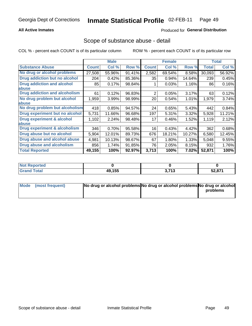## **All Active Inmates**

## **Produced for General Distribution**

## Scope of substance abuse - detail

COL % - percent each COUNT is of its particular column

|                                      |              | <b>Male</b> |        |              | <b>Female</b> |        |              | <b>Total</b> |
|--------------------------------------|--------------|-------------|--------|--------------|---------------|--------|--------------|--------------|
| <b>Substance Abuse</b>               | <b>Count</b> | Col %       | Row %  | <b>Count</b> | Col %         | Row %  | <b>Total</b> | Col %        |
| No drug or alcohol problems          | 27,508       | 55.96%      | 91.41% | 2,582        | 69.54%        | 8.58%  | 30,093       | 56.92%       |
| <b>Drug addiction but no alcohol</b> | 204          | 0.42%       | 85.36% | 35           | 0.94%         | 14.64% | 239          | 0.45%        |
| <b>Drug addiction and alcohol</b>    | 85           | 0.17%       | 98.84% |              | 0.03%         | 1.16%  | 86           | 0.16%        |
| <b>labuse</b>                        |              |             |        |              |               |        |              |              |
| <b>Drug addiction and alcoholism</b> | 61           | 0.12%       | 96.83% | 2            | 0.05%         | 3.17%  | 63           | 0.12%        |
| No drug problem but alcohol          | 1,959        | 3.99%       | 98.99% | 20           | 0.54%         | 1.01%  | 1,979        | 3.74%        |
| <b>labuse</b>                        |              |             |        |              |               |        |              |              |
| No drug problem but alcoholism       | 418          | 0.85%       | 94.57% | 24           | 0.65%         | 5.43%  | 442          | 0.84%        |
| Drug experiment but no alcohol       | 5,731        | 11.66%      | 96.68% | 197          | 5.31%         | 3.32%  | 5,928        | 11.21%       |
| <b>Drug experiment &amp; alcohol</b> | 1,102        | 2.24%       | 98.48% | 17           | 0.46%         | 1.52%  | 1,119        | 2.12%        |
| <b>labuse</b>                        |              |             |        |              |               |        |              |              |
| Drug experiment & alcoholism         | 346          | 0.70%       | 95.58% | 16           | 0.43%         | 4.42%  | 362          | 0.68%        |
| Drug abuse but no alcohol            | 5,904        | 12.01%      | 89.73% | 676          | 18.21%        | 10.27% | 6,580        | 12.45%       |
| Drug abuse and alcohol abuse         | 4,981        | 10.13%      | 98.67% | 67           | 1.80%         | 1.33%  | 5,048        | 9.55%        |
| <b>Drug abuse and alcoholism</b>     | 856          | 1.74%       | 91.85% | 76           | 2.05%         | 8.15%  | 932          | 1.76%        |
| <b>Total Reported</b>                | 49,155       | 100%        | 92.97% | 3,713        | 100%          | 7.02%  | 52,871       | 100%         |

| oorted<br>'NI 6 |                              |                |                               |
|-----------------|------------------------------|----------------|-------------------------------|
| 'otal           | <b>AQ 155</b><br>лν<br>נים ו | 2742<br>טו ווט | <b>EQ 074</b><br><b>JZ,01</b> |

| Mode (most frequent) | No drug or alcohol problems No drug or alcohol problems No drug or alcohol |          |
|----------------------|----------------------------------------------------------------------------|----------|
|                      |                                                                            | problems |
|                      |                                                                            |          |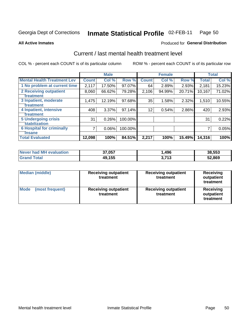### Inmate Statistical Profile 02-FEB-11 Page 50

### **All Active Inmates**

# Produced for General Distribution

# Current / last mental health treatment level

COL % - percent each COUNT is of its particular column

|                                    |              | <b>Male</b> |         |              | <b>Female</b> |          |              | <b>Total</b> |
|------------------------------------|--------------|-------------|---------|--------------|---------------|----------|--------------|--------------|
| <b>Mental Health Treatment Lev</b> | <b>Count</b> | Col %       | Row %   | <b>Count</b> | Col %         | Row %    | <b>Total</b> | Col %        |
| 1 No problem at current time       | 2,117        | 17.50%      | 97.07%  | 64           | 2.89%         | 2.93%    | 2,181        | 15.23%       |
| 2 Receiving outpatient             | 8,060        | 66.62%      | 79.28%  | 2,106        | 94.99%        | 20.71%   | 10,167       | 71.02%       |
| <b>Treatment</b>                   |              |             |         |              |               |          |              |              |
| 3 Inpatient, moderate              | 1,475        | 12.19%      | 97.68%  | 35           | 1.58%         | 2.32%    | 1,510        | 10.55%       |
| <b>Treatment</b>                   |              |             |         |              |               |          |              |              |
| 4 Inpatient, intensive             | 408          | 3.37%       | 97.14%  | 12           | 0.54%         | $2.86\%$ | 420          | 2.93%        |
| <b>Treatment</b>                   |              |             |         |              |               |          |              |              |
| <b>5 Undergoing crisis</b>         | 31           | 0.26%       | 100.00% |              |               |          | 31           | 0.22%        |
| <b>stabilization</b>               |              |             |         |              |               |          |              |              |
| <b>6 Hospital for criminally</b>   | 7            | 0.06%       | 100.00% |              |               |          | 7            | 0.05%        |
| <b>Tinsane</b>                     |              |             |         |              |               |          |              |              |
| <b>Total Evaluated</b>             | 12,098       | 100%        | 84.51%  | 2,217        | 100%          | 15.49%   | 14,316       | 100%         |

| Never had MH evaluation | 37,057 | .496           | 38,553 |
|-------------------------|--------|----------------|--------|
| <b>Grand Total</b>      | 49,155 | 2.712<br>טוויט | 52,869 |

| <b>Median (middle)</b>         | <b>Receiving outpatient</b><br>treatment | <b>Receiving outpatient</b><br>treatment | <b>Receiving</b><br>outpatient<br>treatment |
|--------------------------------|------------------------------------------|------------------------------------------|---------------------------------------------|
| <b>Mode</b><br>(most frequent) | <b>Receiving outpatient</b><br>treatment | <b>Receiving outpatient</b><br>treatment | Receiving<br>outpatient<br>treatment        |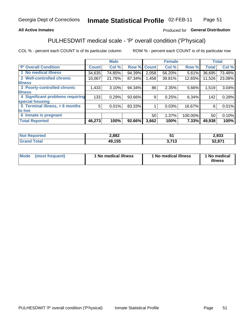## **All Active Inmates**

## Produced for General Distribution

# PULHESDWIT medical scale - 'P' overall condition ('P'hysical)

COL % - percent each COUNT is of its particular column

|                                  |              | <b>Male</b> |        |              | <b>Female</b> |         |              | <b>Total</b> |
|----------------------------------|--------------|-------------|--------|--------------|---------------|---------|--------------|--------------|
| <b>P' Overall Condition</b>      | <b>Count</b> | Col %       | Row %  | <b>Count</b> | Col %         | Row %   | <b>Total</b> | Col %        |
| 1 No medical illness             | 34,635       | 74.85%      | 94.39% | 2,058        | 56.20%        | 5.61%   | 36,695       | 73.48%       |
| 2 Well-controlled chronic        | 10,067       | 21.76%      | 87.34% | 1,458        | 39.81%        | 12.65%  | 11,526       | 23.08%       |
| <b>lillness</b>                  |              |             |        |              |               |         |              |              |
| 3 Poorly-controlled chronic      | 1,433        | 3.10%       | 94.34% | 86           | 2.35%         | 5.66%   | 1,519        | 3.04%        |
| <b>illness</b>                   |              |             |        |              |               |         |              |              |
| 4 Significant problems requiring | 133          | 0.29%       | 93.66% | 9            | 0.25%         | 6.34%   | 142          | 0.28%        |
| special housing                  |              |             |        |              |               |         |              |              |
| 5 Terminal illness, $< 6$ months | 5            | 0.01%       | 83.33% |              | 0.03%         | 16.67%  | 6            | 0.01%        |
| to live                          |              |             |        |              |               |         |              |              |
| 6 Inmate is pregnant             |              |             |        | 50           | 1.37%         | 100.00% | 50           | 0.10%        |
| <b>Total Reported</b>            | 46,273       | 100%        | 92.66% | 3,662        | 100%          | 7.33%   | 49,938       | 100%         |

| τeα | 2,882 |     | 2,933  |
|-----|-------|-----|--------|
|     | ,155  | 749 | EO 074 |
|     | Дч    | - 1 | JZ     |

| Mode<br>(most frequent) |  | <sup>1</sup> No medical illness | 1 No medical illness | 1 No medical<br>illness |
|-------------------------|--|---------------------------------|----------------------|-------------------------|
|-------------------------|--|---------------------------------|----------------------|-------------------------|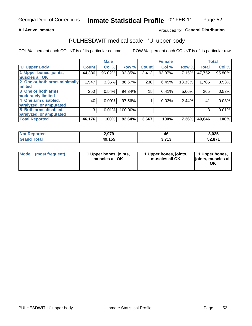### **All Active Inmates**

## Produced for General Distribution

# PULHESDWIT medical scale - 'U' upper body

COL % - percent each COUNT is of its particular column

|                              |               | <b>Male</b> |         |              | <b>Female</b> |        |              | <b>Total</b> |
|------------------------------|---------------|-------------|---------|--------------|---------------|--------|--------------|--------------|
| <b>U' Upper Body</b>         | <b>Count!</b> | Col %       | Row %   | <b>Count</b> | Col %         | Row %  | <b>Total</b> | Col %        |
| 1 Upper bones, joints,       | 44,336        | 96.02%      | 92.85%  | 3,413        | 93.07%        | 7.15%  | 47,752       | 95.80%       |
| muscles all OK               |               |             |         |              |               |        |              |              |
| 2 One or both arms minimally | 1,547         | 3.35%       | 86.67%  | 238          | 6.49%         | 13.33% | 1,785        | 3.58%        |
| limited                      |               |             |         |              |               |        |              |              |
| 3 One or both arms           | 250           | 0.54%       | 94.34%  | 15           | 0.41%         | 5.66%  | 265          | 0.53%        |
| <b>moderately limited</b>    |               |             |         |              |               |        |              |              |
| 4 One arm disabled,          | 40            | 0.09%       | 97.56%  |              | 0.03%         | 2.44%  | 41           | 0.08%        |
| paralyzed, or amputated      |               |             |         |              |               |        |              |              |
| 5 Both arms disabled,        | 3             | 0.01%       | 100.00% |              |               |        | 3            | 0.01%        |
| paralyzed, or amputated      |               |             |         |              |               |        |              |              |
| <b>Total Reported</b>        | 46,176        | 100%        | 92.64%  | 3,667        | 100%          | 7.36%  | 49,846       | 100%         |

| <b>Not Reported</b> | 2,979  | . .<br>46    | 3,025  |
|---------------------|--------|--------------|--------|
| <b>Grand Total</b>  | 49,155 | -749<br>טווט | 52,871 |

|  | Mode (most frequent) | 1 Upper bones, joints,<br>muscles all OK | 1 Upper bones, joints,<br>muscles all OK | 1 Upper bones,<br>joints, muscles all<br>ΟK |
|--|----------------------|------------------------------------------|------------------------------------------|---------------------------------------------|
|--|----------------------|------------------------------------------|------------------------------------------|---------------------------------------------|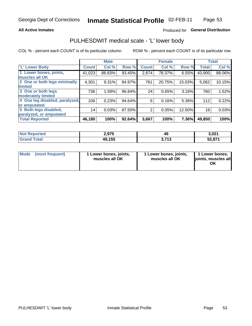### **All Active Inmates**

## Produced for General Distribution

## PULHESDWIT medical scale - 'L' lower body

COL % - percent each COUNT is of its particular column

|                                |              | <b>Male</b> |        |                | <b>Female</b> |        |              | <b>Total</b> |
|--------------------------------|--------------|-------------|--------|----------------|---------------|--------|--------------|--------------|
| 'L' Lower Body                 | <b>Count</b> | Col %       | Row %  | <b>Count</b>   | Col %         | Row %  | <b>Total</b> | Col %        |
| 1 Lower bones, joints,         | 41,023       | 88.83%      | 93.45% | 2,874          | 78.37%        | 6.55%  | 43,900       | 88.06%       |
| muscles all OK                 |              |             |        |                |               |        |              |              |
| 2 One or both legs minimally   | 4,301        | 9.31%       | 84.97% | 761            | 20.75%        | 15.03% | 5,062        | 10.15%       |
| limited                        |              |             |        |                |               |        |              |              |
| 3 One or both legs             | 736          | 1.59%       | 96.84% | 24             | 0.65%         | 3.16%  | 760          | 1.52%        |
| moderately limited             |              |             |        |                |               |        |              |              |
| 4 One leg disabled, paralyzed, | 106          | 0.23%       | 94.64% | 6              | 0.16%         | 5.36%  | 112          | 0.22%        |
| or amputated                   |              |             |        |                |               |        |              |              |
| 5 Both legs disabled,          | 14           | 0.03%       | 87.50% | $\overline{2}$ | 0.05%         | 12.50% | 16           | 0.03%        |
| paralyzed, or amputated        |              |             |        |                |               |        |              |              |
| <b>Total Reported</b>          | 46,180       | 100%        | 92.64% | 3,667          | 100%          | 7.36%  | 49,850       | 100%         |

| <b>Not Reported</b>    | 2,975  | י<br>46      | 3,021  |
|------------------------|--------|--------------|--------|
| <b>Total</b><br>ˈGrand | 49,155 | -749<br>טווט | 52,871 |

|  | Mode (most frequent) | 1 Lower bones, joints,<br>muscles all OK | 1 Lower bones, joints,<br>muscles all OK | 1 Lower bones,<br>joints, muscles all<br>ΟK |
|--|----------------------|------------------------------------------|------------------------------------------|---------------------------------------------|
|--|----------------------|------------------------------------------|------------------------------------------|---------------------------------------------|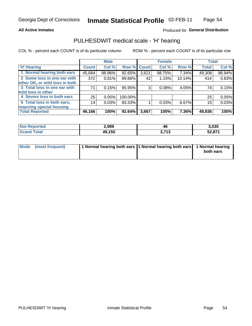### **All Active Inmates**

## Produced for General Distribution

## PULHESDWIT medical scale - 'H' hearing

COL % - percent each COUNT is of its particular column

|                                |                 | <b>Male</b> |             |       | <b>Female</b> |        | <b>Total</b> |        |
|--------------------------------|-----------------|-------------|-------------|-------|---------------|--------|--------------|--------|
| <b>'H' Hearing</b>             | <b>Count</b>    | Col %       | Row % Count |       | Col %         | Row %  | <b>Total</b> | Col %  |
| 1 Normal hearing both ears     | 45,684          | 98.96%      | 92.65%      | 3,621 | 98.75%        | 7.34%  | 49,308       | 98.94% |
| 2 Some loss in one ear with    | 372             | 0.81%       | 89.86%      | 42    | 1.15%         | 10.14% | 414          | 0.83%  |
| other OK, or mild loss in both |                 |             |             |       |               |        |              |        |
| 3 Total loss in one ear with   | 71              | 0.15%       | 95.95%      | 3     | 0.08%         | 4.05%  | 74           | 0.15%  |
| mild loss in other             |                 |             |             |       |               |        |              |        |
| 4 Severe loss in both ears     | 25              | 0.05%       | 100.00%     |       |               |        | 25           | 0.05%  |
| 5 Total loss in both ears,     | 14 <sub>1</sub> | 0.03%       | 93.33%      |       | 0.03%         | 6.67%  | 15           | 0.03%  |
| requiring special housing      |                 |             |             |       |               |        |              |        |
| <b>Total Reported</b>          | 46,166          | 100%        | 92.64%      | 3,667 | 100%          | 7.36%  | 49,836       | 100%   |

| Not R<br><b>Enorted</b> | 2,989  | 46                  | 3,035  |
|-------------------------|--------|---------------------|--------|
| Total                   | 49,155 | <b>742</b><br>. . U | 52,871 |

| Mode (most frequent) | 1 Normal hearing both ears 1 Normal hearing both ears 1 Normal hearing |           |
|----------------------|------------------------------------------------------------------------|-----------|
|                      |                                                                        | both ears |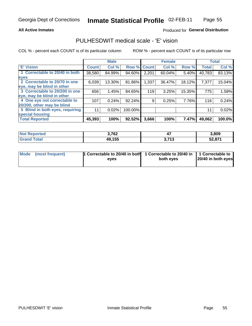### **All Active Inmates**

## Produced for General Distribution

## PULHESDWIT medical scale - 'E' vision

COL % - percent each COUNT is of its particular column

|                                 |              | <b>Male</b> |         |              | <b>Female</b> |        |              | <b>Total</b> |
|---------------------------------|--------------|-------------|---------|--------------|---------------|--------|--------------|--------------|
| <b>E' Vision</b>                | <b>Count</b> | Col %       | Row %   | <b>Count</b> | Col %         | Row %  | <b>Total</b> | Col %        |
| 1 Correctable to 20/40 in both  | 38,580       | 84.99%      | 94.60%  | 2,201        | 60.04%        | 5.40%  | 40,783       | 83.13%       |
| eyes                            |              |             |         |              |               |        |              |              |
| 2 Correctable to 20/70 in one   | 6,039        | 13.30%      | 81.86%  | 1,337        | 36.47%        | 18.12% | 7,377        | 15.04%       |
| eye, may be blind in other      |              |             |         |              |               |        |              |              |
| 3 Correctable to 20/200 in one  | 656          | 1.45%       | 84.65%  | 119          | 3.25%         | 15.35% | 775          | 1.58%        |
| eye, may be blind in other      |              |             |         |              |               |        |              |              |
| 4 One eye not correctable to    | 107          | 0.24%       | 92.24%  | 9            | 0.25%         | 7.76%  | 116          | 0.24%        |
| 20/200, other may be blind      |              |             |         |              |               |        |              |              |
| 5 Blind in both eyes, requiring | 11           | 0.02%       | 100.00% |              |               |        | 11           | 0.02%        |
| special housing                 |              |             |         |              |               |        |              |              |
| <b>Total Reported</b>           | 45,393       | 100%        | 92.52%  | 3,666        | 100%          | 7.47%  | 49,062       | 100.0%       |

| <b>Not Reported</b> | 3,762  |                 | 3,809  |
|---------------------|--------|-----------------|--------|
| <b>Grand Total</b>  | 49,155 | 2742<br>J. I IJ | 52,871 |

| Mode (most frequent) | 1 Correctable to 20/40 in both<br>eves | 1 Correctable to 20/40 in   1 Correctable to  <br>both eves | 20/40 in both eyes |
|----------------------|----------------------------------------|-------------------------------------------------------------|--------------------|
|                      |                                        |                                                             |                    |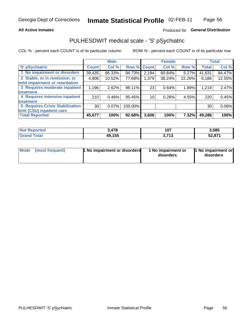### **All Active Inmates**

## Produced for General Distribution

# PULHESDWIT medical scale - 'S' pSychiatric

COL % - percent each COUNT is of its particular column

|                                        |                 | <b>Male</b> |         |                 | <b>Female</b> |        |              | <b>Total</b> |
|----------------------------------------|-----------------|-------------|---------|-----------------|---------------|--------|--------------|--------------|
| 'S' pSychiatric                        | <b>Count</b>    | Col %       |         | Row % Count     | Col %         | Row %  | <b>Total</b> | Col %        |
| 1 No impairment or disorders           | 39,435          | 86.33%      | 94.73%  | 2,194           | 60.84%        | 5.27%  | 41,631       | 84.47%       |
| 2 Stable, or in remission, or          | 4,806           | 10.52%      | 77.69%  | 1,379           | 38.24%        | 22.29% | 6,186        | 12.55%       |
| mild impairment or retardation         |                 |             |         |                 |               |        |              |              |
| 3 Requires moderate inpatient          | 1,196           | 2.62%       | 98.11%  | 23              | 0.64%         | 1.89%  | 1,219        | 2.47%        |
| treatment                              |                 |             |         |                 |               |        |              |              |
| 4 Requires intensive inpatient         | 210             | 0.46%       | 95.45%  | 10 <sub>1</sub> | 0.28%         | 4.55%  | 220          | 0.45%        |
| treatment                              |                 |             |         |                 |               |        |              |              |
| <b>5 Requires Crisis Stabilization</b> | 30 <sup>1</sup> | $0.07\%$    | 100.00% |                 |               |        | 30           | 0.06%        |
| Unit (CSU) inpatient care              |                 |             |         |                 |               |        |              |              |
| <b>Total Reported</b>                  | 45,677          | 100%        | 92.68%  | 3,606           | 100%          | 7.32%  | 49,286       | 100%         |

| <b>Not Reported</b> | 478    | 107            | 3,585           |
|---------------------|--------|----------------|-----------------|
| <b>Total</b>        | 49,155 | 2742<br>J.I IJ | - 971<br>34.07T |

| Mode<br>1 No impairment or disorders<br>(most frequent) | 1 No impairment or<br>disorders | 1 No impairment or<br>disorders |
|---------------------------------------------------------|---------------------------------|---------------------------------|
|---------------------------------------------------------|---------------------------------|---------------------------------|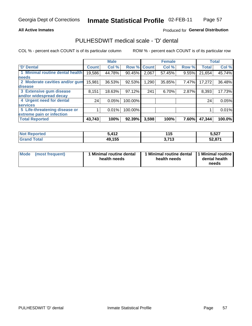### **All Active Inmates**

## Produced for General Distribution

# PULHESDWIT medical scale - 'D' dental

COL % - percent each COUNT is of its particular column

|                                 |              | <b>Male</b> |         |              | <b>Female</b> |       |              | <b>Total</b> |
|---------------------------------|--------------|-------------|---------|--------------|---------------|-------|--------------|--------------|
| <b>D'</b> Dental                | <b>Count</b> | Col %       | Row %   | <b>Count</b> | Col %         | Row % | <b>Total</b> | Col %        |
| 1 Minimal routine dental health | 19,586       | 44.78%      | 90.45%  | 2,067        | 57.45%        | 9.55% | 21,654       | 45.74%       |
| <b>needs</b>                    |              |             |         |              |               |       |              |              |
| 2 Moderate cavities and/or gum  | 15,981       | 36.53%      | 92.53%  | 1,290        | 35.85%        | 7.47% | 17,272       | 36.48%       |
| disease                         |              |             |         |              |               |       |              |              |
| 3 Extensive gum disease         | 8,151        | 18.63%      | 97.12%  | 241          | 6.70%         | 2.87% | 8,393        | 17.73%       |
| and/or widespread decay         |              |             |         |              |               |       |              |              |
| 4 Urgent need for dental        | 24           | 0.05%       | 100.00% |              |               |       | 24           | 0.05%        |
| <b>services</b>                 |              |             |         |              |               |       |              |              |
| 5 Life-threatening disease or   |              | 0.01%       | 100.00% |              |               |       |              | 0.01%        |
| extreme pain or infection       |              |             |         |              |               |       |              |              |
| <b>Total Reported</b>           | 43,743       | 100%        | 92.39%  | 3,598        | 100%          | 7.60% | 47,344       | 100.0%       |

| <b>Not Reported</b> | 5 112<br>1 I Z | 44 E<br>.       | 5,527  |
|---------------------|----------------|-----------------|--------|
| <b>Grand Total</b>  | 49,155         | 2742<br>J. I IJ | 52,871 |

| 1 Minimal routine dental<br>Mode<br>(most frequent)<br>health needs | 1 Minimal routine dental 1 Minimal routine<br>health needs | dental health<br>needs |
|---------------------------------------------------------------------|------------------------------------------------------------|------------------------|
|---------------------------------------------------------------------|------------------------------------------------------------|------------------------|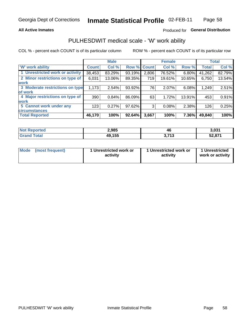### **All Active Inmates**

## Produced for General Distribution

## PULHESDWIT medical scale - 'W' work ability

COL % - percent each COUNT is of its particular column

|                                 |                    | <b>Male</b> |        |             | <b>Female</b> |        |              | <b>Total</b> |
|---------------------------------|--------------------|-------------|--------|-------------|---------------|--------|--------------|--------------|
| 'W' work ability                | Count <sup>1</sup> | Col %       |        | Row % Count | Col %         | Row %  | <b>Total</b> | Col %        |
| 1 Unrestricted work or activity | 38,453             | 83.29%      | 93.19% | 2,806       | 76.52%        | 6.80%  | 41,262       | 82.79%       |
| 2 Minor restrictions on type of | 6,031              | 13.06%      | 89.35% | 719         | 19.61%        | 10.65% | 6,750        | 13.54%       |
| <b>work</b>                     |                    |             |        |             |               |        |              |              |
| 3 Moderate restrictions on type | 1,173              | 2.54%       | 93.92% | 76          | 2.07%         | 6.08%  | 1,249        | 2.51%        |
| lof work                        |                    |             |        |             |               |        |              |              |
| 4 Major restrictions on type of | 390                | 0.84%       | 86.09% | 63          | 1.72%         | 13.91% | 453          | 0.91%        |
| <b>work</b>                     |                    |             |        |             |               |        |              |              |
| 5 Cannot work under any         | 123                | 0.27%       | 97.62% | 3           | 0.08%         | 2.38%  | 126          | 0.25%        |
| <b>circumstances</b>            |                    |             |        |             |               |        |              |              |
| <b>Total Reported</b>           | 46,170             | 100%        | 92.64% | 3,667       | 100%          | 7.36%  | 49,840       | 100%         |

| <b>Not Reported</b>          | 2,985  | 46                     | 3,031  |
|------------------------------|--------|------------------------|--------|
| <b>Total</b><br><b>Grand</b> | 49,155 | <b>2.742</b><br>J.I IJ | 52,871 |

| Mode            | 1 Unrestricted work or | 1 Unrestricted work or | 1 Unrestricted   |
|-----------------|------------------------|------------------------|------------------|
| (most frequent) | activity               | activity               | work or activity |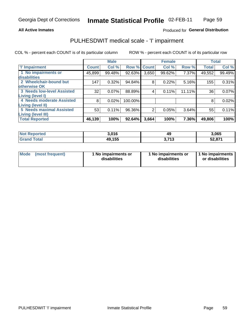### **All Active Inmates**

## Produced for General Distribution

# PULHESDWIT medical scale - 'I' impairment

COL % - percent each COUNT is of its particular column

|                                   |              | <b>Male</b> |         |             | <b>Female</b> |        | <b>Total</b> |        |
|-----------------------------------|--------------|-------------|---------|-------------|---------------|--------|--------------|--------|
| <b>T' Impairment</b>              | <b>Count</b> | Col %       |         | Row % Count | Col %         | Row %  | <b>Total</b> | Col %  |
| 1 No impairments or               | 45,899       | 99.48%      | 92.63%  | 3,650       | 99.62%        | 7.37%  | 49,552       | 99.49% |
| disabilities                      |              |             |         |             |               |        |              |        |
| 2 Wheelchair-bound but            | 147          | 0.32%       | 94.84%  | 8           | 0.22%         | 5.16%  | 155          | 0.31%  |
| otherwise OK                      |              |             |         |             |               |        |              |        |
| <b>3 Needs low-level Assisted</b> | 32           | 0.07%       | 88.89%  | 4           | 0.11%         | 11.11% | 36           | 0.07%  |
| Living (level I)                  |              |             |         |             |               |        |              |        |
| 4 Needs moderate Assisted         | 8            | 0.02%       | 100.00% |             |               |        | 8            | 0.02%  |
| Living (level II)                 |              |             |         |             |               |        |              |        |
| <b>5 Needs maximal Assisted</b>   | 53           | 0.11%       | 96.36%  | 2           | 0.05%         | 3.64%  | 55           | 0.11%  |
| <b>Living (level III)</b>         |              |             |         |             |               |        |              |        |
| <b>Total Reported</b>             | 46,139       | 100%        | 92.64%  | 3,664       | 100%          | 7.36%  | 49,806       | 100%   |

| $N$<br>Reported         | 3,016  | ıс<br>13              | 3,065                    |
|-------------------------|--------|-----------------------|--------------------------|
| <b>Total</b><br>' Grand | 49,155 | <b>749</b><br>.<br>v. | <b>EQ 074</b><br>ו ≀ס.∠כ |

| Mode | (most frequent) | 1 No impairments or<br>disabilities | 1 No impairments or<br>disabilities | 1 No impairments<br>or disabilities |
|------|-----------------|-------------------------------------|-------------------------------------|-------------------------------------|
|------|-----------------|-------------------------------------|-------------------------------------|-------------------------------------|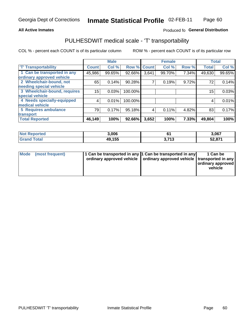## **All Active Inmates**

## Produced fo General Distribution

# PULHESDWIT medical scale - 'T' transportability

COL % - percent each COUNT is of its particular column

|                              |              | <b>Male</b> |         |              | <b>Female</b> |       |              | <b>Total</b> |
|------------------------------|--------------|-------------|---------|--------------|---------------|-------|--------------|--------------|
| <b>T' Transportability</b>   | <b>Count</b> | Col %       | Row %   | <b>Count</b> | Col %         | Row % | <b>Total</b> | Col %        |
| 1 Can be transported in any  | 45,986       | 99.65%      | 92.66%  | 3,641        | 99.70%        | 7.34% | 49,630       | 99.65%       |
| ordinary approved vehicle    |              |             |         |              |               |       |              |              |
| 2 Wheelchair-bound, not      | 65           | 0.14%       | 90.28%  | 7            | 0.19%         | 9.72% | 72           | 0.14%        |
| needing special vehicle      |              |             |         |              |               |       |              |              |
| 3 Wheelchair-bound, requires | 15           | 0.03%       | 100.00% |              |               |       | 15           | 0.03%        |
| special vehicle              |              |             |         |              |               |       |              |              |
| 4 Needs specially-equipped   | 4            | 0.01%       | 100.00% |              |               |       | 4            | 0.01%        |
| medical vehicle              |              |             |         |              |               |       |              |              |
| <b>5 Requires ambulance</b>  | 79           | 0.17%       | 95.18%  | 4            | 0.11%         | 4.82% | 83           | 0.17%        |
| transport                    |              |             |         |              |               |       |              |              |
| <b>Total Reported</b>        | 46,149       | 100%        | 92.66%  | 3,652        | 100%          | 7.33% | 49,804       | 100%         |

| <b>Not</b><br>Reported | 3,006  |                  | 3,067                    |
|------------------------|--------|------------------|--------------------------|
| <b>otal</b>            | 49,155 | <b>742</b><br>J. | <b>EQ 074</b><br>ו ≀ס,∡כ |

|  | Mode (most frequent) | 1 Can be transported in any 1 Can be transported in any<br>ordinary approved vehicle   ordinary approved vehicle   transported in any |  | 1 Can be<br>  ordinary approved  <br>vehicle |
|--|----------------------|---------------------------------------------------------------------------------------------------------------------------------------|--|----------------------------------------------|
|--|----------------------|---------------------------------------------------------------------------------------------------------------------------------------|--|----------------------------------------------|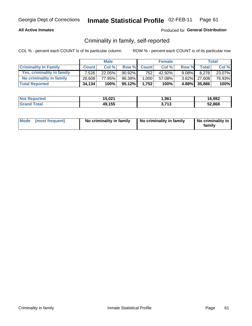## **All Active Inmates**

## Produced for General Distribution

## Criminality in family, self-reported

COL % - percent each COUNT is of its particular column

|                              |              | <b>Male</b> |           |              | <b>Female</b> |          |                 | <b>Total</b> |
|------------------------------|--------------|-------------|-----------|--------------|---------------|----------|-----------------|--------------|
| <b>Criminality In Family</b> | <b>Count</b> | Col%        | Row %     | <b>Count</b> | Col %         | Row %    | <b>Total</b>    | Col %        |
| Yes, criminality in family   | 7.526        | $22.05\%$   | $90.92\%$ | 752          | 42.92%        | $9.08\%$ | 8,278           | 23.07%       |
| No criminality in family     | 26.608       | 77.95%      | 96.38%    | 1,000        | 57.08%        |          | $3.62\%$ 27,608 | 76.93%       |
| <b>Total Reported</b>        | 34,134       | 100%        | $95.12\%$ | 1,752        | 100%          |          | 4.88% 35,886    | 100%         |

| <b>Not Reported</b> | 15,021 | ,961                      | 16,982 |
|---------------------|--------|---------------------------|--------|
| <b>Total</b>        | 49,155 | <b>742</b><br>. I J<br>J. | 52,868 |

|  | Mode (most frequent) | No criminality in family | No criminality in family | No criminality in<br>family |
|--|----------------------|--------------------------|--------------------------|-----------------------------|
|--|----------------------|--------------------------|--------------------------|-----------------------------|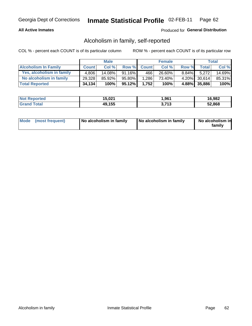## **All Active Inmates**

## Produced for General Distribution

## Alcoholism in family, self-reported

COL % - percent each COUNT is of its particular column

|                             |              | <b>Male</b> |           |              | <b>Female</b> |          |              | Total   |
|-----------------------------|--------------|-------------|-----------|--------------|---------------|----------|--------------|---------|
| <b>Alcoholism In Family</b> | <b>Count</b> | Col%        | Row %     | <b>Count</b> | Col %         | Row %    | <b>Total</b> | Col %   |
| Yes, alcoholism in family   | 4.806        | $14.08\%$   | $91.16\%$ | 466'         | 26.60%        | $8.84\%$ | 5.272        | 14.69%  |
| No alcoholism in family     | 29,328       | 85.92%      | 95.80%    | 1,286        | 73.40%        |          | 4.20% 30,614 | 85.31%  |
| <b>Total Reported</b>       | 34,134       | 100%        | 95.12%    | 1.752        | 100%          |          | 4.88% 35,886 | $100\%$ |

| <b>Not Reported</b> | 15,021 | ,961              | 16,982 |
|---------------------|--------|-------------------|--------|
| <b>Srand Total</b>  | 49,155 | <b>749</b><br>750 | 52,868 |

|  | Mode (most frequent) | No alcoholism in family | No alcoholism in family | No alcoholism in<br>family |
|--|----------------------|-------------------------|-------------------------|----------------------------|
|--|----------------------|-------------------------|-------------------------|----------------------------|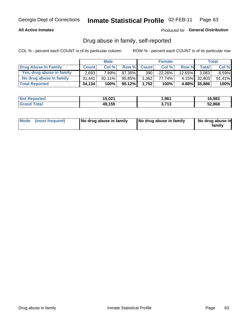## **All Active Inmates**

## Produced for General Distribution

## Drug abuse in family, self-reported

COL % - percent each COUNT is of its particular column

|                           |              | <b>Male</b> |           |              | <b>Female</b> |           |              | Total    |
|---------------------------|--------------|-------------|-----------|--------------|---------------|-----------|--------------|----------|
| Drug Abuse In Family      | <b>Count</b> | Col %       | Row %     | <b>Count</b> | Col %         | Row %     | <b>Total</b> | Col %    |
| Yes, drug abuse in family | 2,693        | 7.89%       | 87.35%    | 390          | 22.26%        | $12.65\%$ | 3,083        | $8.59\%$ |
| No drug abuse in family   | 31.441       | $92.11\%$   | 95.85%    | 1,362        | 77.74%        |           | 4.15% 32,803 | 91.41%   |
| <b>Total Reported</b>     | 34,134       | 100%        | $95.12\%$ | 1.752        | 100%          |           | 4.88% 35,886 | $100\%$  |

| <b>Not Reported</b> | 15,021 | ,961              | 16,982 |
|---------------------|--------|-------------------|--------|
| <b>Srand Total</b>  | 49,155 | <b>749</b><br>750 | 52,868 |

|  | Mode (most frequent) | No drug abuse in family | No drug abuse in family | No drug abuse in<br>familv |
|--|----------------------|-------------------------|-------------------------|----------------------------|
|--|----------------------|-------------------------|-------------------------|----------------------------|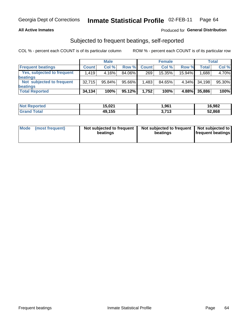## **All Active Inmates**

## **Produced for General Distribution**

## Subjected to frequent beatings, self-reported

COL % - percent each COUNT is of its particular column

|                            |              | <b>Male</b> |        |              | <b>Female</b> |        |              | Total  |
|----------------------------|--------------|-------------|--------|--------------|---------------|--------|--------------|--------|
| <b>Frequent beatings</b>   | <b>Count</b> | Col %       | Row %  | <b>Count</b> | Col %         | Row %  | <b>Total</b> | Col %  |
| Yes, subjected to frequent | 1,419        | 4.16%       | 84.06% | 269          | 15.35%        | 15.94% | 1,688        | 4.70%  |
| beatings                   |              |             |        |              |               |        |              |        |
| Not subjected to frequent  | 32,715       | 95.84%      | 95.66% | 1,483        | 84.65%        | 4.34%  | 34.198       | 95.30% |
| beatings                   |              |             |        |              |               |        |              |        |
| <b>Total Reported</b>      | 34,134       | 100%        | 95.12% | 1,752        | 100%          | 4.88%  | 35,886       | 100%   |

| <b>Not</b><br>Reported | 15,021 | 1,961              | 16,982 |
|------------------------|--------|--------------------|--------|
| <b>Grand Total</b>     | 49,155 | <b>749</b><br>טווט | 52,868 |

| Mode | (most frequent) | Not subjected to frequent<br>beatings | Not subjected to frequent   Not subjected to<br>beatings | <b>frequent beatings</b> |
|------|-----------------|---------------------------------------|----------------------------------------------------------|--------------------------|
|      |                 |                                       |                                                          |                          |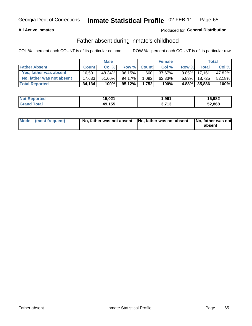## **All Active Inmates**

## Produced for General Distribution

## Father absent during inmate's childhood

COL % - percent each COUNT is of its particular column

|                           |              | <b>Male</b> |           |              | <b>Female</b> |          |                | Total  |
|---------------------------|--------------|-------------|-----------|--------------|---------------|----------|----------------|--------|
| <b>Father Absent</b>      | <b>Count</b> | Col%        | Row %     | <b>Count</b> | Col %         | Row %    | <b>Total</b> I | Col %  |
| Yes, father was absent    | 16.501       | 48.34%      | $96.15\%$ | 660          | 37.67%        | $3.85\%$ | 17,161         | 47.82% |
| No, father was not absent | 17.633       | 51.66%      | 94.17%    | 1,092        | 62.33%        | $5.83\%$ | 18.725         | 52.18% |
| <b>Total Reported</b>     | 34,134       | 100%        | $95.12\%$ | 1,752        | 100%          |          | 4.88% 35,886   | 100%   |

| <b>Not Reported</b> | 15,021 | 961,ا             | 16,982 |
|---------------------|--------|-------------------|--------|
| <b>Srand Total</b>  | 49,155 | 742<br>. . J<br>◡ | 52,868 |

|  | Mode (most frequent) | No, father was not absent No, father was not absent |  | No, father was not<br>absent |
|--|----------------------|-----------------------------------------------------|--|------------------------------|
|--|----------------------|-----------------------------------------------------|--|------------------------------|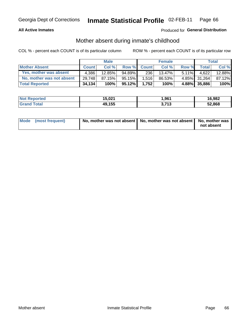## **All Active Inmates**

## Produced for General Distribution

## Mother absent during inmate's childhood

COL % - percent each COUNT is of its particular column

|                           |              | <b>Male</b> |           |              | <b>Female</b> |          |              | <b>Total</b> |
|---------------------------|--------------|-------------|-----------|--------------|---------------|----------|--------------|--------------|
| <b>Mother Absent</b>      | <b>Count</b> | Col%        | Row %     | <b>Count</b> | Col %         | Row %    | <b>Total</b> | Col %        |
| Yes, mother was absent    | 4.386        | $12.85\%$   | 94.89%    | 236          | $13.47\%$     | $5.11\%$ | 4.622        | 12.88%       |
| No, mother was not absent | 29,748       | 87.15%      | 95.15%    | 1.516        | 86.53%        |          | 4.85% 31,264 | 87.12%       |
| <b>Total Reported</b>     | 34,134       | 100%        | $95.12\%$ | 1.752        | 100%          |          | 4.88% 35,886 | 100%         |

| <b>Not Reported</b> | 15,021 | ,961                      | 16,982 |
|---------------------|--------|---------------------------|--------|
| <b>Total</b>        | 49,155 | <b>742</b><br>. I J<br>J. | 52,868 |

| Mode (most frequent) | No, mother was not absent   No, mother was not absent   No, mother was | not absent |
|----------------------|------------------------------------------------------------------------|------------|
|                      |                                                                        |            |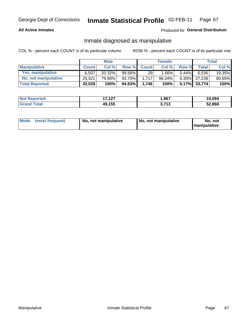## **All Active Inmates**

## Produced for General Distribution

## Inmate diagnosed as manipulative

COL % - percent each COUNT is of its particular column

|                       |              | <b>Male</b> |        |              | <b>Female</b> |          |                    | Total  |
|-----------------------|--------------|-------------|--------|--------------|---------------|----------|--------------------|--------|
| <b>Manipulative</b>   | <b>Count</b> | Col %       | Row %  | <b>Count</b> | Col%          | Row %    | Total <sub>1</sub> | Col %  |
| Yes, manipulative     | 6.507        | 20.32%      | 99.56% | 29           | .66%          | $0.44\%$ | 6.536              | 19.35% |
| No, not manipulative  | 25,521       | 79.68%      | 93.70% | 1.717        | 98.34%        | $6.30\%$ | 27.238             | 80.65% |
| <b>Total Reported</b> | 32,028       | 100%        | 94.83% | 1.746        | 100%          | $5.17\%$ | 33,774             | 100%   |

| <b>Not Reported</b> | 17127<br>. | <b>967,</b>     | 19,094 |
|---------------------|------------|-----------------|--------|
| `otal<br>l Grand    | 49,155     | 2742<br>.<br>◡. | 52,868 |

|  | Mode (most frequent) | No, not manipulative | No, not manipulative | No. not<br><b>I</b> manipulative |
|--|----------------------|----------------------|----------------------|----------------------------------|
|--|----------------------|----------------------|----------------------|----------------------------------|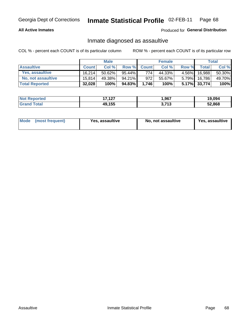## **All Active Inmates**

## Produced for General Distribution

## Inmate diagnosed as assaultive

COL % - percent each COUNT is of its particular column

|                           |              | <b>Male</b> |        |              | <b>Female</b> |          |                 | Total  |
|---------------------------|--------------|-------------|--------|--------------|---------------|----------|-----------------|--------|
| <b>Assaultive</b>         | <b>Count</b> | Col%        | Row %  | <b>Count</b> | Col %         | Row %    | <b>Total</b>    | Col %  |
| Yes, assaultive           | 16.214       | $50.62\%$   | 95.44% | 774          | 44.33%        | $4.56\%$ | 16,988          | 50.30% |
| <b>No, not assaultive</b> | 15.814       | 49.38%      | 94.21% | 972          | 55.67%        | $5.79\%$ | 16,786          | 49.70% |
| <b>Total Reported</b>     | 32,028       | 100%        | 94.83% | 1.746        | 100%          |          | $5.17\%$ 33,774 | 100%   |

| <b>Not Reported</b> | 127<br>17<br>. | ,967                    | 19.094 |
|---------------------|----------------|-------------------------|--------|
| <b>Grand Total</b>  | 49,155         | <b>749</b><br>710<br>v. | 52,868 |

| Mode (most frequent) | Yes, assaultive | No, not assaultive | <b>Yes, assaultive</b> |
|----------------------|-----------------|--------------------|------------------------|
|----------------------|-----------------|--------------------|------------------------|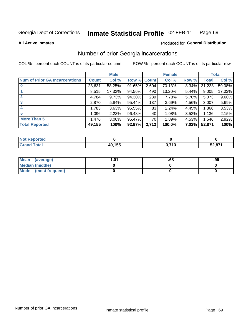#### Inmate Statistical Profile 02-FEB-11 Page 69

**All Active Inmates** 

## **Produced for General Distribution**

## Number of prior Georgia incarcerations

COL % - percent each COUNT is of its particular column

|                                       |              | <b>Male</b> |                    |       | <b>Female</b> |       |        | <b>Total</b> |
|---------------------------------------|--------------|-------------|--------------------|-------|---------------|-------|--------|--------------|
| <b>Num of Prior GA Incarcerations</b> | <b>Count</b> | Col %       | <b>Row % Count</b> |       | Col %         | Row % | Total  | Col %        |
| $\bf{0}$                              | 28,631       | 58.25%      | 91.65%             | 2,604 | 70.13%        | 8.34% | 31,238 | 59.08%       |
|                                       | 8,515        | 17.32%      | 94.56%             | 490   | 13.20%        | 5.44% | 9,005  | 17.03%       |
| $\mathbf{2}$                          | 4,784        | 9.73%       | 94.30%             | 289   | 7.78%         | 5.70% | 5,073  | 9.60%        |
| 3                                     | 2,870        | 5.84%       | 95.44%             | 137   | 3.69%         | 4.56% | 3,007  | 5.69%        |
| 4                                     | 1,783        | 3.63%       | 95.55%             | 83    | 2.24%         | 4.45% | 1,866  | 3.53%        |
| 5                                     | 1,096        | 2.23%       | 96.48%             | 40    | 1.08%         | 3.52% | 1,136  | 2.15%        |
| <b>More Than 5</b>                    | 1,476        | $3.00\%$    | 95.47%             | 70 l  | 1.89%         | 4.53% | 1,546  | 2.92%        |
| <b>Total Reported</b>                 | 49,155       | 100%        | 92.97%             | 3,713 | 100.0%        | 7.02% | 52,871 | 100%         |

| orted<br>NO. |          |     |        |
|--------------|----------|-----|--------|
| <b>otal</b>  | 10 1 E E | 742 | 59 871 |
| Gr           | 79, I JU | יי  |        |

| Mean (average)       | l.01 | .00 | .99 |
|----------------------|------|-----|-----|
| Median (middle)      |      |     |     |
| Mode (most frequent) |      |     |     |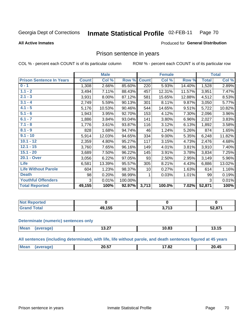#### Inmate Statistical Profile 02-FEB-11 Page 70

### **All Active Inmates**

## **Produced for General Distribution**

## Prison sentence in years

COL % - percent each COUNT is of its particular column

ROW % - percent each COUNT is of its particular row

|                                 |              | <b>Male</b> |         |                 | <b>Female</b> |        |              | <b>Total</b> |
|---------------------------------|--------------|-------------|---------|-----------------|---------------|--------|--------------|--------------|
| <b>Prison Sentence In Years</b> | <b>Count</b> | Col %       | Row %   | <b>Count</b>    | Col %         | Row %  | <b>Total</b> | Col %        |
| $0 - 1$                         | 1,308        | 2.66%       | 85.60%  | 220             | 5.93%         | 14.40% | 1,528        | 2.89%        |
| $1.1 - 2$                       | 3,494        | 7.11%       | 88.43%  | 457             | 12.31%        | 11.57% | 3,951        | 7.47%        |
| $2.1 - 3$                       | 3,931        | 8.00%       | 87.12%  | 581             | 15.65%        | 12.88% | 4,512        | 8.53%        |
| $3.1 - 4$                       | 2,749        | 5.59%       | 90.13%  | 301             | 8.11%         | 9.87%  | 3,050        | 5.77%        |
| $4.1 - 5$                       | 5,176        | 10.53%      | 90.46%  | 544             | 14.65%        | 9.51%  | 5,722        | 10.82%       |
| $5.1 - 6$                       | 1,943        | 3.95%       | 92.70%  | 153             | 4.12%         | 7.30%  | 2,096        | 3.96%        |
| $6.1 - 7$                       | 1,886        | 3.84%       | 93.04%  | 141             | 3.80%         | 6.96%  | 2,027        | 3.83%        |
| $7.1 - 8$                       | 1,776        | 3.61%       | 93.87%  | 116             | 3.12%         | 6.13%  | 1,892        | 3.58%        |
| $8.1 - 9$                       | 828          | 1.68%       | 94.74%  | 46              | 1.24%         | 5.26%  | 874          | 1.65%        |
| $9.1 - 10$                      | 5,914        | 12.03%      | 94.65%  | 334             | 9.00%         | 5.35%  | 6,248        | 11.82%       |
| $10.1 - 12$                     | 2,359        | 4.80%       | 95.27%  | 117             | 3.15%         | 4.73%  | 2,476        | 4.68%        |
| $12.1 - 15$                     | 3,760        | 7.65%       | 96.16%  | 149             | 4.01%         | 3.81%  | 3,910        | 7.40%        |
| $15.1 - 20$                     | 3,689        | 7.50%       | 96.22%  | 145             | 3.91%         | 3.78%  | 3,834        | 7.25%        |
| 20.1 - Over                     | 3,056        | 6.22%       | 97.05%  | 93              | 2.50%         | 2.95%  | 3,149        | 5.96%        |
| <b>Life</b>                     | 6,581        | 13.39%      | 95.57%  | 305             | 8.21%         | 4.43%  | 6,886        | 13.02%       |
| <b>Life Without Parole</b>      | 604          | 1.23%       | 98.37%  | 10 <sup>1</sup> | 0.27%         | 1.63%  | 614          | 1.16%        |
| <b>Death</b>                    | 98           | 0.20%       | 98.99%  |                 | 0.03%         | 1.01%  | 99           | 0.19%        |
| <b>Youthful Offenders</b>       | 3            | 0.01%       | 100.00% |                 |               |        | 3            | 0.01%        |
| <b>Total Reported</b>           | 49,155       | 100%        | 92.97%  | 3,713           | 100.0%        | 7.02%  | 52,871       | 100%         |

| Reported<br>I NOT |     |             |        |
|-------------------|-----|-------------|--------|
| $\sim$            | 155 | <b>1 אד</b> | 20.071 |
| . Cart            | . . |             |        |

### **Determinate (numeric) sentences only**

| <b>Mean</b> | $\sim$ $\sim$<br>15.ZI | $\sim$<br>$\overline{\phantom{a}}$<br>v.o. | .<br>л.<br>19. I J |
|-------------|------------------------|--------------------------------------------|--------------------|
|             |                        |                                            |                    |

All sentences (including determinate), with life, life without parole, and death sentences figured at 45 years

| $\sim$ $\sim$ $\sim$<br>$\overline{a}$<br>$- - - -$<br>Me<br>הה<br>$\sim 10^{-14}$<br>_∪.່ວ ⁄<br>┱┙<br>____<br>____ |  |  |  |
|---------------------------------------------------------------------------------------------------------------------|--|--|--|
|                                                                                                                     |  |  |  |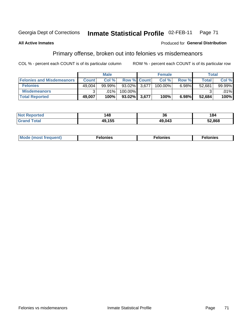#### Inmate Statistical Profile 02-FEB-11 Georgia Dept of Corrections Page 71

### **All Active Inmates**

### Produced for General Distribution

# Primary offense, broken out into felonies vs misdemeanors

COL % - percent each COUNT is of its particular column

|                                  |              | <b>Male</b> |            |                    | <b>Female</b> |       | Total  |         |
|----------------------------------|--------------|-------------|------------|--------------------|---------------|-------|--------|---------|
| <b>Felonies and Misdemeanors</b> | <b>Count</b> | Col%        |            | <b>Row % Count</b> | Col%          | Row % | Total, | Col %   |
| <b>Felonies</b>                  | 49,004       | 99.99%      | $93.02\%$  | 3.677              | 100.00%       | 6.98% | 52,681 | 99.99%  |
| <b>Misdemeanors</b>              | ◠            | .01%        | $100.00\%$ |                    |               |       |        | $.01\%$ |
| <b>Total Reported</b>            | 49,007       | 100%        | $93.02\%$  | 3,677              | 100%          | 6.98% | 52,684 | 100%    |

| ted   | 48             | $\ddot{\phantom{0}}$<br>36 | 84     |
|-------|----------------|----------------------------|--------|
| īota. | $A \cap A E F$ | 49,043                     | 52,868 |

|  | Mo | . | a masa sa sa<br>. | onies<br>. |
|--|----|---|-------------------|------------|
|--|----|---|-------------------|------------|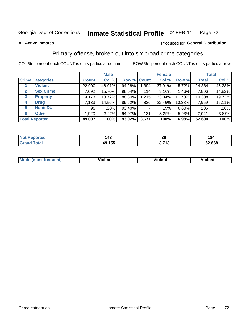#### Inmate Statistical Profile 02-FEB-11 Page 72

### **All Active Inmates**

### Produced for General Distribution

# Primary offense, broken out into six broad crime categories

COL % - percent each COUNT is of its particular column

|                                  |              | <b>Male</b> |        |                    | <b>Female</b> |        |              | <b>Total</b> |
|----------------------------------|--------------|-------------|--------|--------------------|---------------|--------|--------------|--------------|
| <b>Crime Categories</b>          | <b>Count</b> | Col %       |        | <b>Row % Count</b> | Col %         | Row %  | <b>Total</b> | Col %        |
| <b>Violent</b>                   | 22,990       | 46.91%      | 94.28% | 1,394              | 37.91%        | 5.72%  | 24,384       | 46.28%       |
| <b>Sex Crime</b><br>$\mathbf{2}$ | 7,692        | 15.70%      | 98.54% | 114                | $3.10\%$      | 1.46%  | 7,806        | 14.82%       |
| 3<br><b>Property</b>             | 9,173        | 18.72%      | 88.30% | 1,215              | 33.04%        | 11.70% | 10,388       | 19.72%       |
| <b>Drug</b><br>4                 | 7,133        | 14.56%      | 89.62% | 826                | 22.46%        | 10.38% | 7,959        | 15.11%       |
| <b>Habit/DUI</b><br>5            | 99           | $.20\%$     | 93.40% |                    | .19%          | 6.60%  | 106          | .20%         |
| <b>Other</b><br>6                | 1,920        | 3.92%       | 94.07% | 121                | 3.29%         | 5.93%  | 2,041        | 3.87%        |
| <b>Total Reported</b>            | 49,007       | 100%        | 93.02% | 3,677              | 100%          | 6.98%  | 52,684       | 100%         |

| <b>Reported</b><br><b>NO</b> t | 48     | 36                 | 184    |
|--------------------------------|--------|--------------------|--------|
| <b>cotal</b>                   | 49,155 | 2 742<br>. .<br>◡… | 52,868 |

| Mo<br>uent)<br>nos | .<br>/iolent | <br>Violent | - --<br><b>Tiolent</b> |
|--------------------|--------------|-------------|------------------------|
|                    |              |             |                        |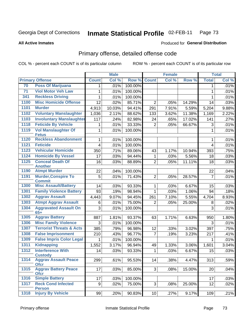#### Inmate Statistical Profile 02-FEB-11 Page 73

**All Active Inmates** 

### **Produced for General Distribution**

# Primary offense, detailed offense code

COL % - percent each COUNT is of its particular column

|                 |                                             |                         | <b>Male</b> |         |                 | <b>Female</b> |        |                | <b>Total</b> |
|-----------------|---------------------------------------------|-------------------------|-------------|---------|-----------------|---------------|--------|----------------|--------------|
|                 | <b>Primary Offense</b>                      | <b>Count</b>            | Col %       | Row %   | <b>Count</b>    | Col %         | Row %  | <b>Total</b>   | Col %        |
| 70              | <b>Poss Of Marijuana</b>                    | 1                       | .01%        | 100.00% |                 |               |        | 1              | .01%         |
| $\overline{71}$ | <b>Viol Motor Veh Law</b>                   | 1                       | .01%        | 100.00% |                 |               |        | $\mathbf{1}$   | .01%         |
| 341             | <b>Reckless Driving</b>                     | 1                       | .01%        | 100.00% |                 |               |        | 1              | .01%         |
| 1100            | <b>Misc Homicide Offense</b>                | 12                      | .02%        | 85.71%  | $\overline{2}$  | .05%          | 14.29% | 14             | .03%         |
| 1101            | <b>Murder</b>                               | 4,913                   | 10.03%      | 94.41%  | 291             | 7.91%         | 5.59%  | 5,204          | 9.88%        |
| 1102            | <b>Voluntary Manslaughter</b>               | 1,036                   | 2.11%       | 88.62%  | 133             | 3.62%         | 11.38% | 1,169          | 2.22%        |
| 1103            | <b>Involuntary Manslaughter</b>             | 117                     | .24%        | 82.98%  | 24              | .65%          | 17.02% | 141            | .27%         |
| 1118            | <b>Feticide By Vehicle</b>                  | 1                       | .01%        | 33.33%  | $\overline{2}$  | .05%          | 66.67% | 3              | .01%         |
| 1119            | <b>Vol Manslaughter Of</b><br><b>Fetus</b>  | 1                       | .01%        | 100.00% |                 |               |        | 1              | .01%         |
| 1120            | <b>Reckless Abandonment</b>                 | 1                       | .01%        | 100.00% |                 |               |        | 1              | .01%         |
| 1121            | <b>Feticide</b>                             | $\overline{\mathbf{4}}$ | .01%        | 100.00% |                 |               |        | $\overline{4}$ | .01%         |
| 1123            | <b>Vehicular Homicide</b>                   | 350                     | .71%        | 89.06%  | 43              | 1.17%         | 10.94% | 393            | .75%         |
| 1124            | <b>Homicide By Vessel</b>                   | 17                      | .03%        | 94.44%  | 1               | .03%          | 5.56%  | 18             | .03%         |
| 1125            | <b>Conceal Death Of</b><br><b>Another</b>   | 16                      | .03%        | 88.89%  | $\overline{2}$  | .05%          | 11.11% | 18             | .03%         |
| 1190            | <b>Atmpt Murder</b>                         | 22                      | .04%        | 100.00% |                 |               |        | 22             | .04%         |
| 1191            | <b>Murder, Conspire To</b><br><b>Commit</b> | 5                       | .01%        | 71.43%  | $\overline{2}$  | .05%          | 28.57% | $\overline{7}$ | .01%         |
| 1300            | <b>Misc Assault/Battery</b>                 | 14                      | .03%        | 93.33%  | $\mathbf{1}$    | .03%          | 6.67%  | 15             | .03%         |
| 1301            | <b>Family Violence Battery</b>              | 93                      | .19%        | 98.94%  | $\mathbf{1}$    | .03%          | 1.06%  | 94             | .18%         |
| 1302            | <b>Aggrav Assault</b>                       | 4,443                   | 9.07%       | 94.45%  | 261             | 7.10%         | 5.55%  | 4,704          | 8.93%        |
| 1303            | <b>Atmpt Aggrav Assault</b>                 | 6                       | .01%        | 75.00%  | 2               | .05%          | 25.00% | 8              | .02%         |
| 1304            | <b>Aggravated Assault On</b><br>$65+$       | 3                       | .01%        | 100.00% |                 |               |        | 3              | .01%         |
| 1305            | <b>Aggrav Battery</b>                       | 887                     | 1.81%       | 93.37%  | 63              | 1.71%         | 6.63%  | 950            | 1.80%        |
| 1306            | <b>Misc Family Violence</b>                 | 3                       | .01%        | 100.00% |                 |               |        | 3              | .01%         |
| 1307            | <b>Terrorist Threats &amp; Acts</b>         | 385                     | .79%        | 96.98%  | 12              | .33%          | 3.02%  | 397            | .75%         |
| 1308            | <b>False Imprisonment</b>                   | 210                     | .43%        | 96.77%  | $\overline{7}$  | .19%          | 3.23%  | 217            | .41%         |
| 1309            | <b>False Impris Color Legal</b>             | 1                       | .01%        | 100.00% |                 |               |        | 1              | .01%         |
| 1311            | <b>Kidnapping</b>                           | 1,552                   | 3.17%       | 96.94%  | 49              | 1.33%         | 3.06%  | 1,601          | 3.04%        |
| 1312            | <b>Interference With</b><br><b>Custody</b>  | 14                      | .03%        | 93.33%  | 1               | .03%          | 6.67%  | 15             | .03%         |
| 1314            | <b>Aggrav Assault Peace</b><br><b>Ofcr</b>  | 299                     | .61%        | 95.53%  | 14              | .38%          | 4.47%  | 313            | .59%         |
| 1315            | <b>Aggrav Battery Peace</b><br><b>Ofcr</b>  | 17                      | .03%        | 85.00%  | 3               | .08%          | 15.00% | 20             | .04%         |
| 1316            | <b>Simple Battery</b>                       | 17                      | .03%        | 100.00% |                 |               |        | 17             | .03%         |
| 1317            | <b>Reck Cond Infected</b><br><b>Person</b>  | 9                       | .02%        | 75.00%  | 3               | .08%          | 25.00% | 12             | .02%         |
| 1318            | <b>Injury By Vehicle</b>                    | 99                      | .20%        | 90.83%  | 10 <sup>1</sup> | .27%          | 9.17%  | 109            | .21%         |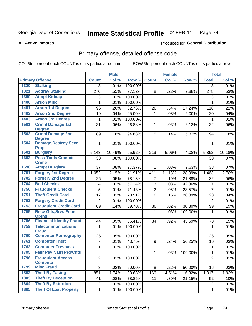#### Inmate Statistical Profile 02-FEB-11 Page 74

### **All Active Inmates**

# Produced for General Distribution

# Primary offense, detailed offense code

COL % - percent each COUNT is of its particular column

|      |                                             |                         | <b>Male</b> |         |                | <b>Female</b> |         |                | <b>Total</b> |
|------|---------------------------------------------|-------------------------|-------------|---------|----------------|---------------|---------|----------------|--------------|
|      | <b>Primary Offense</b>                      | <b>Count</b>            | Col %       | Row %   | <b>Count</b>   | Col %         | Row %   | <b>Total</b>   | Col %        |
| 1320 | <b>Stalking</b>                             | 3                       | .01%        | 100.00% |                |               |         | $\overline{3}$ | .01%         |
| 1321 | <b>Aggrav Stalking</b>                      | 270                     | .55%        | 97.12%  | 8              | .22%          | 2.88%   | 278            | .53%         |
| 1390 | <b>Atmpt Kidnap</b>                         | 3                       | .01%        | 100.00% |                |               |         | 3              | .01%         |
| 1400 | <b>Arson Misc</b>                           | 1                       | .01%        | 100.00% |                |               |         | 1              | .01%         |
| 1401 | <b>Arson 1st Degree</b>                     | 96                      | .20%        | 82.76%  | 20             | .54%          | 17.24%  | 116            | .22%         |
| 1402 | <b>Arson 2nd Degree</b>                     | 19                      | .04%        | 95.00%  | $\mathbf{1}$   | .03%          | 5.00%   | 20             | .04%         |
| 1403 | <b>Arson 3rd Degree</b>                     | 1                       | .01%        | 100.00% |                |               |         | 1              | .01%         |
| 1501 | <b>Crmnl Damage 1st</b><br><b>Degree</b>    | 31                      | .06%        | 96.88%  | $\mathbf{1}$   | .03%          | 3.13%   | 32             | .06%         |
| 1502 | <b>Crmnl Damage 2nd</b><br><b>Degree</b>    | 89                      | .18%        | 94.68%  | 5              | .14%          | 5.32%   | 94             | .18%         |
| 1504 | <b>Damage, Destroy Secr</b><br><b>Prop</b>  | $\mathbf 1$             | .01%        | 100.00% |                |               |         | 1              | .01%         |
| 1601 | <b>Burglary</b>                             | 5,143                   | 10.49%      | 95.92%  | 219            | 5.96%         | 4.08%   | 5,362          | 10.18%       |
| 1602 | <b>Poss Tools Commit</b><br><b>Crime</b>    | 38                      | .08%        | 100.00% |                |               |         | 38             | .07%         |
| 1690 | <b>Atmpt Burglary</b>                       | 37                      | .08%        | 97.37%  | $\mathbf{1}$   | .03%          | 2.63%   | 38             | .07%         |
| 1701 | <b>Forgery 1st Degree</b>                   | 1,052                   | 2.15%       | 71.91%  | 411            | 11.18%        | 28.09%  | 1,463          | 2.78%        |
| 1702 | <b>Forgery 2nd Degree</b>                   | 25                      | .05%        | 78.13%  | 7              | .19%          | 21.88%  | 32             | .06%         |
| 1704 | <b>Bad Checks</b>                           | 4                       | .01%        | 57.14%  | 3              | .08%          | 42.86%  | $\overline{7}$ | .01%         |
| 1750 | <b>Fraudulent Checks</b>                    | 5                       | .01%        | 71.43%  | $\overline{2}$ | .05%          | 28.57%  | $\overline{7}$ | .01%         |
| 1751 | <b>Theft Credit Card</b>                    | 17                      | .03%        | 73.91%  | 6              | .16%          | 26.09%  | 23             | .04%         |
| 1752 | <b>Forgery Credit Card</b>                  | $\overline{2}$          | .01%        | 100.00% |                |               |         | $\overline{2}$ | .01%         |
| 1753 | <b>Fraudulent Credit Card</b>               | 69                      | .14%        | 69.70%  | 30             | .82%          | 30.30%  | 99             | .19%         |
| 1755 | <b>Recv Gds, Srvs Fraud</b><br><b>Obtnd</b> |                         |             |         | $\mathbf{1}$   | .03%          | 100.00% | 1              | .01%         |
| 1756 | <b>Financial Identity Fraud</b>             | 44                      | .09%        | 56.41%  | 34             | .92%          | 43.59%  | 78             | .15%         |
| 1759 | <b>Telecommunications</b><br><b>Fraud</b>   | 1                       | .01%        | 100.00% |                |               |         | 1              | .01%         |
| 1760 | <b>Computer Pornography</b>                 | 26                      | .05%        | 100.00% |                |               |         | 26             | .05%         |
| 1761 | <b>Computer Theft</b>                       | $\overline{7}$          | .01%        | 43.75%  | 9              | .24%          | 56.25%  | 16             | .03%         |
| 1762 | <b>Computer Trespass</b>                    | $\mathbf{1}$            | .01%        | 100.00% |                |               |         | 1              | .01%         |
| 1795 | <b>Failr Pay Natrl Prd/Chttl</b>            |                         |             |         | $\mathbf{1}$   | .03%          | 100.00% | 1              | .01%         |
| 1796 | <b>Fraudulent Access</b><br><b>Compute</b>  | 2 <sup>1</sup>          | .01%        | 100.00% |                |               |         | $\overline{2}$ | .01%         |
| 1799 | <b>Misc Fraud</b>                           | 8                       | .02%        | 50.00%  | 8              | .22%          | 50.00%  | 16             | .03%         |
| 1802 | <b>Theft By Taking</b>                      | 851                     | 1.74%       | 83.68%  | 166            | 4.51%         | 16.32%  | 1,017          | 1.93%        |
| 1803 | <b>Theft By Deception</b>                   | 41                      | .08%        | 78.85%  | 11             | .30%          | 21.15%  | 52             | .10%         |
| 1804 | <b>Theft By Extortion</b>                   | $\overline{\mathbf{c}}$ | .01%        | 100.00% |                |               |         | $\overline{2}$ | .01%         |
| 1805 | <b>Theft Of Lost Property</b>               | $\mathbf 1$             | .01%        | 100.00% |                |               |         | 1              | .01%         |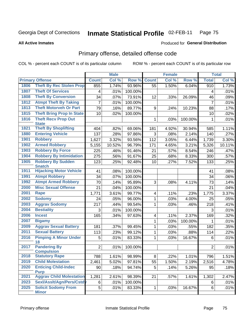#### Inmate Statistical Profile 02-FEB-11 Page 75

### **All Active Inmates**

# **Produced for General Distribution**

# Primary offense, detailed offense code

COL % - percent each COUNT is of its particular column

|      |                                            |                | <b>Male</b> |         |                 | <b>Female</b> |         |                | <b>Total</b> |
|------|--------------------------------------------|----------------|-------------|---------|-----------------|---------------|---------|----------------|--------------|
|      | <b>Primary Offense</b>                     | <b>Count</b>   | Col %       | Row %   | <b>Count</b>    | Col %         | Row %   | <b>Total</b>   | Col %        |
| 1806 | <b>Theft By Rec Stolen Prop</b>            | 855            | 1.74%       | 93.96%  | $\overline{55}$ | 1.50%         | 6.04%   | 910            | 1.73%        |
| 1807 | <b>Theft Of Services</b>                   | 4              | .01%        | 100.00% |                 |               |         | 4              | .01%         |
| 1808 | <b>Theft By Conversion</b>                 | 34             | .07%        | 73.91%  | 12              | .33%          | 26.09%  | 46             | .09%         |
| 1812 | <b>Atmpt Theft By Taking</b>               | 7              | .01%        | 100.00% |                 |               |         | $\overline{7}$ | .01%         |
| 1813 | <b>Theft Motorveh Or Part</b>              | 79             | .16%        | 89.77%  | 9               | .24%          | 10.23%  | 88             | .17%         |
| 1815 | <b>Theft Bring Prop In State</b>           | 10             | .02%        | 100.00% |                 |               |         | 10             | .02%         |
| 1816 | <b>Theft Recv Prop Out</b><br><b>State</b> |                |             |         | 1               | .03%          | 100.00% | 1              | .01%         |
| 1821 | <b>Theft By Shoplifting</b>                | 404            | .82%        | 69.06%  | 181             | 4.92%         | 30.94%  | 585            | 1.11%        |
| 1880 | <b>Entering Vehicle</b>                    | 137            | .28%        | 97.86%  | 3               | .08%          | 2.14%   | 140            | .27%         |
| 1901 | <b>Robbery</b>                             | 1,627          | 3.32%       | 93.56%  | 112             | 3.05%         | 6.44%   | 1,739          | 3.30%        |
| 1902 | <b>Armed Robbery</b>                       | 5,155          | 10.52%      | 96.79%  | 171             | 4.65%         | 3.21%   | 5,326          | 10.11%       |
| 1903 | <b>Robbery By Force</b>                    | 225            | .46%        | 91.46%  | 21              | .57%          | 8.54%   | 246            | .47%         |
| 1904 | <b>Robbery By Intimidation</b>             | 275            | .56%        | 91.67%  | 25              | .68%          | 8.33%   | 300            | .57%         |
| 1905 | <b>Robbery By Sudden</b><br><b>Snatch</b>  | 123            | .25%        | 92.48%  | 10              | .27%          | 7.52%   | 133            | .25%         |
| 1911 | <b>Hijacking Motor Vehicle</b>             | 41             | .08%        | 100.00% |                 |               |         | 41             | .08%         |
| 1991 | <b>Atmpt Robbery</b>                       | 34             | .07%        | 100.00% |                 |               |         | 34             | .06%         |
| 1992 | <b>Atmpt Armed Robbery</b>                 | 70             | .14%        | 95.89%  | 3               | .08%          | 4.11%   | 73             | .14%         |
| 2000 | <b>Misc Sexual Offense</b>                 | 21             | .04%        | 100.00% |                 |               |         | 21             | .04%         |
| 2001 | Rape                                       | 1,771          | 3.61%       | 99.77%  | 4               | .11%          | .23%    | 1,775          | 3.37%        |
| 2002 | <b>Sodomy</b>                              | 24             | .05%        | 96.00%  | 1               | .03%          | 4.00%   | 25             | .05%         |
| 2003 | <b>Aggrav Sodomy</b>                       | 217            | .44%        | 99.54%  | 1               | .03%          | .46%    | 218            | .41%         |
| 2004 | <b>Bestiality</b>                          | 3              | .01%        | 100.00% |                 |               |         | 3              | .01%         |
| 2006 | <b>Incest</b>                              | 165            | .34%        | 97.63%  | 4               | .11%          | 2.37%   | 169            | .32%         |
| 2007 | <b>Bigamy</b>                              |                |             |         | 1               | .03%          | 100.00% | 1              | .01%         |
| 2009 | <b>Aggrav Sexual Battery</b>               | 181            | .37%        | 99.45%  | 1               | .03%          | .55%    | 182            | .35%         |
| 2011 | <b>Sexual Battery</b>                      | 113            | .23%        | 99.12%  | 1               | .03%          | .88%    | 114            | .22%         |
| 2016 | <b>Pimping A Minor Under</b><br>18         | 5              | .01%        | 83.33%  | 1               | .03%          | 16.67%  | 6              | .01%         |
| 2017 | <b>Pandering By</b><br><b>Compulsion</b>   | $\overline{2}$ | .01%        | 100.00% |                 |               |         | $\overline{2}$ | .01%         |
| 2018 | <b>Statutory Rape</b>                      | 788            | 1.61%       | 98.99%  | $\infty$        | .22%          | 1.01%   | 796            | 1.51%        |
| 2019 | <b>Child Molestation</b>                   | 2,461          | 5.02%       | 97.81%  | 55              | 1.50%         | 2.19%   | 2,516          | 4.78%        |
| 2020 | <b>Enticing Child-Indec</b><br><b>Purp</b> | 90             | .18%        | 94.74%  | 5               | .14%          | 5.26%   | 95             | .18%         |
| 2021 | <b>Aggrav Child Molestation</b>            | 1,281          | 2.61%       | 98.39%  | 21              | .57%          | 1.61%   | 1,302          | 2.47%        |
| 2023 | Sexl/Asslt/Agn/Pers/Cstdy                  | 6              | .01%        | 100.00% |                 |               |         | 6              | .01%         |
| 2025 | <b>Solicit Sodomy From</b><br><b>Minor</b> | 5              | .01%        | 83.33%  | $\mathbf{1}$    | .03%          | 16.67%  | 6              | .01%         |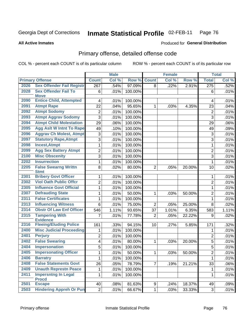#### Inmate Statistical Profile 02-FEB-11 Page 76

**Produced for General Distribution** 

### **All Active Inmates**

# Primary offense, detailed offense code

COL % - percent each COUNT is of its particular column

|      |                                            |                         | <b>Male</b> |         |                   | <b>Female</b> |        |                | <b>Total</b> |
|------|--------------------------------------------|-------------------------|-------------|---------|-------------------|---------------|--------|----------------|--------------|
|      | <b>Primary Offense</b>                     | <b>Count</b>            | Col %       | Row %   | <b>Count</b>      | Col %         | Row %  | <b>Total</b>   | Col %        |
| 2026 | <b>Sex Offender Fail Registr</b>           | $\overline{267}$        | .54%        | 97.09%  | 8                 | .22%          | 2.91%  | 275            | .52%         |
| 2028 | <b>Sex Offender Fail To</b><br><b>Move</b> | 6                       | .01%        | 100.00% |                   |               |        | 6              | .01%         |
| 2090 | <b>Entice Child, Attempted</b>             | $\overline{\mathbf{4}}$ | .01%        | 100.00% |                   |               |        | 4              | .01%         |
| 2091 | <b>Atmpt Rape</b>                          | 22                      | .04%        | 95.65%  | 1                 | .03%          | 4.35%  | 23             | .04%         |
| 2092 | <b>Atmpt Sodomy</b>                        | $\overline{c}$          | .01%        | 100.00% |                   |               |        | $\mathbf 2$    | .01%         |
| 2093 | <b>Atmpt Aggrav Sodomy</b>                 | $\overline{3}$          | .01%        | 100.00% |                   |               |        | 3              | .01%         |
| 2094 | <b>Atmpt Child Molestation</b>             | 29                      | .06%        | 100.00% |                   |               |        | 29             | .06%         |
| 2095 | <b>Agg Aslt W Intnt To Rape</b>            | 49                      | .10%        | 100.00% |                   |               |        | 49             | .09%         |
| 2096 | <b>Aggrav Ch Molest, Atmpt</b>             | 3                       | .01%        | 100.00% |                   |               |        | 3              | .01%         |
| 2097 | <b>Statutory Rape, Atmpt</b>               | $\overline{3}$          | .01%        | 100.00% |                   |               |        | 3              | .01%         |
| 2098 | <b>Incest, Atmpt</b>                       | $\mathbf 1$             | .01%        | 100.00% |                   |               |        | $\mathbf{1}$   | .01%         |
| 2099 | <b>Agg Sex Battery Atmpt</b>               | $\overline{c}$          | .01%        | 100.00% |                   |               |        | $\overline{c}$ | .01%         |
| 2100 | <b>Misc Obscenity</b>                      | $\overline{3}$          | .01%        | 100.00% |                   |               |        | 3              | .01%         |
| 2202 | <b>Insurrection</b>                        | $\mathbf{1}$            | .01%        | 100.00% |                   |               |        | $\mathbf{1}$   | .01%         |
| 2205 | <b>False Swearng Writtn</b><br><b>Stmt</b> | 8                       | .02%        | 80.00%  | $\overline{2}$    | .05%          | 20.00% | 10             | .02%         |
| 2301 | <b>Bribery Govt Officer</b>                | $\mathbf{1}$            | .01%        | 100.00% |                   |               |        | 1              | .01%         |
| 2302 | <b>Viol Oath Public Offcr</b>              | $\overline{c}$          | .01%        | 100.00% |                   |               |        | $\overline{2}$ | .01%         |
| 2305 | <b>Influence Govt Official</b>             | $\mathbf{1}$            | .01%        | 100.00% |                   |               |        | $\mathbf{1}$   | .01%         |
| 2307 | <b>Defrauding State</b>                    | $\mathbf{1}$            | .01%        | 50.00%  | 1                 | .03%          | 50.00% | $\overline{2}$ | .01%         |
| 2311 | <b>False Certificates</b>                  | $\mathbf{1}$            | .01%        | 100.00% |                   |               |        | 1              | .01%         |
| 2313 | <b>Influencing Witness</b>                 | 6                       | .01%        | 75.00%  | $\overline{2}$    | .05%          | 25.00% | 8              | .02%         |
| 2314 | <b>Obstr Of Law Enf Officer</b>            | 546                     | 1.11%       | 93.65%  | 37                | 1.01%         | 6.35%  | 583            | 1.11%        |
| 2315 | <b>Tampering With</b><br><b>Evidence</b>   | $\overline{7}$          | .01%        | 77.78%  | $\overline{2}$    | .05%          | 22.22% | 9              | .02%         |
| 2316 | <b>Fleeing/Eluding Police</b>              | 161                     | .33%        | 94.15%  | 10                | .27%          | 5.85%  | 171            | .32%         |
| 2400 | <b>Misc Judicial Proceeding</b>            | 1                       | .01%        | 100.00% |                   |               |        | 1              | .01%         |
| 2401 | <b>Perjury</b>                             | $\overline{c}$          | .01%        | 100.00% |                   |               |        | $\overline{2}$ | .01%         |
| 2402 | <b>False Swearing</b>                      | $\overline{\mathbf{4}}$ | .01%        | 80.00%  | 1                 | .03%          | 20.00% | 5              | .01%         |
| 2404 | <b>Impersonation</b>                       | $\overline{5}$          | .01%        | 100.00% |                   |               |        | 5              | .01%         |
| 2405 | <b>Impersonating Officer</b>               | $\mathbf{1}$            | .01%        | 50.00%  | 1                 | .03%          | 50.00% | $\overline{2}$ | .01%         |
| 2406 | <b>Barratry</b>                            | 1                       | .01%        | 100.00% |                   |               |        | 1              | .01%         |
| 2408 | <b>False Statements Govt</b>               | 26                      | .05%        | 78.79%  | $\overline{7}$    | .19%          | 21.21% | 33             | .06%         |
| 2409 | <b>Unauth Represtn Peace</b>               | 1                       | .01%        | 100.00% |                   |               |        | 1              | .01%         |
| 2411 | <b>Impersntng In Legal</b>                 | $\mathbf{1}$            | .01%        | 100.00% |                   |               |        | 1              | .01%         |
| 2501 | <b>Procd</b><br><b>Escape</b>              | 40                      |             | 81.63%  |                   |               |        |                | .09%         |
| 2503 | <b>Hindering Appreh Or Pun</b>             | $\overline{2}$          | .08%        |         | 9<br>$\mathbf{1}$ | .24%          | 18.37% | 49<br>3        |              |
|      |                                            |                         | .01%        | 66.67%  |                   | .03%          | 33.33% |                | .01%         |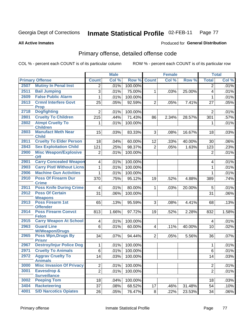#### Inmate Statistical Profile 02-FEB-11 Page 77

**All Active Inmates** 

### **Produced for General Distribution**

# Primary offense, detailed offense code

COL % - percent each COUNT is of its particular column

|      |                                                              |                 | <b>Male</b> |         |                         | <b>Female</b> |        |                | <b>Total</b> |
|------|--------------------------------------------------------------|-----------------|-------------|---------|-------------------------|---------------|--------|----------------|--------------|
|      | <b>Primary Offense</b>                                       | <b>Count</b>    | Col %       | Row %   | <b>Count</b>            | Col %         | Row %  | <b>Total</b>   | Col %        |
| 2507 | <b>Mutiny In Penal Inst</b>                                  | $\overline{2}$  | .01%        | 100.00% |                         |               |        | $\overline{2}$ | .01%         |
| 2511 | <b>Bail Jumping</b>                                          | 3               | .01%        | 75.00%  | 1                       | .03%          | 25.00% | 4              | .01%         |
| 2609 | <b>False Public Alarm</b>                                    | 1               | .01%        | 100.00% |                         |               |        | 1              | .01%         |
| 2613 | <b>Crmnl Interfere Govt</b>                                  | 25              | .05%        | 92.59%  | $\overline{2}$          | .05%          | 7.41%  | 27             | .05%         |
| 2718 | <b>Prop</b><br><b>Dogfighting</b>                            | $\overline{2}$  | .01%        | 100.00% |                         |               |        | $\overline{2}$ | .01%         |
| 2801 | <b>Cruelty To Children</b>                                   | 215             | .44%        | 71.43%  | 86                      | 2.34%         | 28.57% | 301            | .57%         |
| 2802 | <b>Atmpt Cruelty To</b>                                      | 1               | .01%        | 100.00% |                         |               |        | 1              | .01%         |
| 2803 | <b>Children</b><br><b>Manufact Meth Near</b><br><b>Child</b> | 15              | .03%        | 83.33%  | 3                       | .08%          | 16.67% | 18             | .03%         |
| 2811 | <b>Cruelty To Elder Person</b>                               | 18              | .04%        | 60.00%  | 12                      | .33%          | 40.00% | 30             | .06%         |
| 2843 | <b>Sex Exploitation Child</b>                                | 121             | .25%        | 98.37%  | $\overline{2}$          | .05%          | 1.63%  | 123            | .23%         |
| 2900 | <b>Misc Weapon/Explosive</b><br><b>Off</b>                   | $\overline{2}$  | .01%        | 100.00% |                         |               |        | $\overline{2}$ | .01%         |
| 2901 | <b>Carry Concealed Weapon</b>                                | $\overline{4}$  | .01%        | 100.00% |                         |               |        | 4              | .01%         |
| 2903 | <b>Carry Pistl Without Licns</b>                             | $\mathbf{1}$    | .01%        | 100.00% |                         |               |        | 1              | .01%         |
| 2906 | <b>Machine Gun Activities</b>                                | 1               | .01%        | 100.00% |                         |               |        | 1              | .01%         |
| 2910 | <b>Poss Of Firearm Dur</b><br><b>Crime</b>                   | 370             | .75%        | 95.12%  | 19                      | .52%          | 4.88%  | 389            | .74%         |
| 2911 | <b>Poss Knife During Crime</b>                               | 4               | .01%        | 80.00%  | 1                       | .03%          | 20.00% | 5              | .01%         |
| 2912 | <b>Poss Of Certain</b>                                       | 31              | .06%        | 100.00% |                         |               |        | 31             | .06%         |
|      | <b>Weapons</b>                                               |                 |             |         |                         |               |        |                |              |
| 2913 | Poss Firearm 1st<br><b>Offender</b>                          | 65              | .13%        | 95.59%  | 3                       | .08%          | 4.41%  | 68             | .13%         |
| 2914 | <b>Poss Firearm Convct</b><br><b>Felon</b>                   | 813             | 1.66%       | 97.72%  | 19                      | .52%          | 2.28%  | 832            | 1.58%        |
| 2915 | <b>Carry Weapon At School</b>                                | $\overline{4}$  | .01%        | 100.00% |                         |               |        | 4              | .01%         |
| 2963 | <b>Guard Line</b><br><b>W/Weapon/Drugs</b>                   | $6\phantom{a}$  | .01%        | 60.00%  | $\overline{\mathbf{4}}$ | .11%          | 40.00% | 10             | .02%         |
| 2965 | <b>Poss Wpn, Drugs By</b><br><b>Prisnr</b>                   | 34              | .07%        | 94.44%  | $\overline{2}$          | .05%          | 5.56%  | 36             | .07%         |
| 2967 | <b>Destroy/Injur Police Dog</b>                              | $\mathbf{1}$    | .01%        | 100.00% |                         |               |        | 1              | .01%         |
| 2971 | <b>Cruelty To Animals</b>                                    | 6               | .01%        | 100.00% |                         |               |        | 6              | .01%         |
| 2972 | <b>Aggrav Cruelty To</b><br><b>Animals</b>                   | 14              | .03%        | 100.00% |                         |               |        | 14             | .03%         |
| 3000 | <b>Misc Invasion Of Privacy</b>                              | $\overline{2}$  | .01%        | 100.00% |                         |               |        | $\overline{2}$ | .01%         |
| 3001 | Eavesdrop &                                                  | $\overline{2}$  | .01%        | 100.00% |                         |               |        | $\overline{2}$ | .01%         |
| 3002 | <b>Surveillance</b><br><b>Peeping Tom</b>                    | 18              | .04%        | 100.00% |                         |               |        | 18             | .03%         |
| 3404 | <b>Racketeering</b>                                          | 37              | .08%        | 68.52%  | 17                      | .46%          | 31.48% | 54             | .10%         |
| 4001 | <b>S/D Narcotics Opiates</b>                                 | $\overline{26}$ | .05%        | 76.47%  | 8                       | .22%          | 23.53% | 34             | $.06\%$      |
|      |                                                              |                 |             |         |                         |               |        |                |              |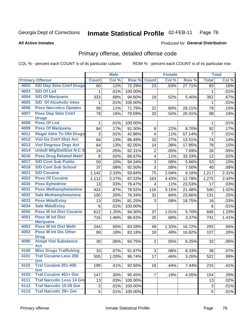#### Inmate Statistical Profile 02-FEB-11 Page 78

**All Active Inmates** 

### **Produced for General Distribution**

# Primary offense, detailed offense code

COL % - percent each COUNT is of its particular column

|      |                                            |                | <b>Male</b>  |                   |                         | <b>Female</b> |        |                | <b>Total</b> |
|------|--------------------------------------------|----------------|--------------|-------------------|-------------------------|---------------|--------|----------------|--------------|
|      | <b>Primary Offense</b>                     | <b>Count</b>   | Col %        | Row %             | <b>Count</b>            | Col %         | Row %  | <b>Total</b>   | Col %        |
| 4002 | <b>S/D Dep Stim Cntrf Drugs</b>            | 60             | .12%         | 72.29%            | 23                      | .63%          | 27.71% | 83             | .16%         |
| 4003 | <b>S/D Of Lsd</b>                          | 1              | .01%         | 100.00%           |                         |               |        | 1              | .01%         |
| 4004 | <b>S/D Of Marijuana</b>                    | 333            | .68%         | 94.60%            | 19                      | .52%          | 5.40%  | 352            | .67%         |
| 4005 | <b>S/D Of Alcoholic Intox</b>              | 1              | .01%         | 100.00%           |                         |               |        | 1              | .01%         |
| 4006 | <b>Poss Narcotics Opiates</b>              | 56             | .11%         | 71.79%            | 22                      | .60%          | 28.21% | 78             | .15%         |
| 4007 | <b>Poss Dep Stim Cntrf</b>                 | 78             | .16%         | 79.59%            | 20                      | .54%          | 20.41% | 98             | .19%         |
|      | <b>Drugs</b>                               |                |              |                   |                         |               |        |                |              |
| 4008 | <b>Poss Of Lsd</b>                         | 1              | .01%         | 100.00%           |                         |               |        | $\mathbf 1$    | .01%         |
| 4009 | <b>Poss Of Marijuana</b>                   | 84             | .17%         | 91.30%            | 8                       | .22%          | 8.70%  | 92             | .17%         |
| 4011 | <b>Illegal Attm To Obt Drugs</b>           | 3              | .01%         | 42.86%            | $\overline{\mathbf{4}}$ | .11%          | 57.14% | $\overline{7}$ | .01%         |
| 4012 | <b>Viol Ga Cntrl Sbst Act</b>              | 64             | .13%         | 86.49%            | 10                      | .27%          | 13.51% | 74             | .14%         |
| 4013 | <b>Viol Dngrous Drgs Act</b>               | 64             | .13%         | 82.05%            | 14                      | .38%          | 17.95% | 78             | .15%         |
| 4014 | <b>Uniwfl Mfg/Del/Dist N-C S</b>           | 24             | .05%         | 92.31%            | $\overline{2}$          | .05%          | 7.69%  | 26             | .05%         |
| 4016 | <b>Poss Drug Related Matri</b>             | 8              | .02%         | 66.67%            | 4                       | .11%          | 33.33% | 12             | .02%         |
| 4017 | <b>S/D Cont Sub Public</b>                 | 50             | .10%         | 94.34%            | 3                       | .08%          | 5.66%  | 53             | .10%         |
| 4018 | <b>S/D Cont Sub School</b>                 | 37             | .08%         | 92.50%            | $\overline{3}$          | .08%          | 7.50%  | 40             | .08%         |
| 4021 | <b>S/D Cocaine</b>                         | 1,142          | 2.33%        | 93.84%            | 75                      | 2.04%         | 6.16%  | 1,217          | 2.31%        |
| 4022 | <b>Poss Of Cocaine</b>                     | 1,112          | 2.27%        | 87.22%            | 163                     | 4.43%         | 12.78% | 1,275          | 2.42%        |
| 4030 | <b>Poss Ephedrine</b>                      | 13             | .03%         | 76.47%            | 4                       | .11%          | 23.53% | 17             | .03%         |
| 4031 | <b>Poss Methamphetamine</b>                | 424            | .87%         | 78.52%            | 116                     | 3.15%         | 21.48% | 540            | 1.02%        |
| 4032 | <b>Sale Methamphetamine</b>                | 100            | .20%         | 76.34%            | 31                      | .84%          | 23.66% | 131            | .25%         |
| 4033 | <b>Poss Mda/Extsy</b>                      | 13             | .03%         | 81.25%            | 3                       | .08%          | 18.75% | 16             | .03%         |
| 4034 | <b>Sale Mda/Extsy</b>                      | 6              | .01%         | 100.00%           |                         |               |        | 6              | .01%         |
| 4050 | <b>Poss W Int Dist Cocaine</b>             | 612            | 1.25%        | 94.30%            | 37                      | 1.01%         | 5.70%  | 649            | 1.23%        |
| 4051 | <b>Poss W Int Dist</b>                     | 716            | 1.46%        | 96.63%            | 25                      | .68%          | 3.37%  | 741            | 1.41%        |
|      | <b>Marijuana</b>                           |                |              |                   |                         |               |        |                |              |
| 4052 | <b>Poss W Int Dist Meth</b>                | 244            | .50%         | 83.28%            | 49                      | 1.33%         | 16.72% | 293            | .56%         |
| 4053 | <b>Poss W Int Dis Other</b>                | 89             | .18%         | 83.18%            | 18                      | .49%          | 16.82% | 107            | .20%         |
| 4090 | <b>Drug</b><br><b>Atmpt Viol Substance</b> | 30             | .06%         | 93.75%            | 2 <sup>1</sup>          | .05%          | 6.25%  | 32             | .06%         |
|      | <b>Act</b>                                 |                |              |                   |                         |               |        |                |              |
| 4100 | <b>Misc Drugs Trafficking</b>              | 33             | .07%         | 91.67%            | 3 <sup>1</sup>          | .08%          | 8.33%  | 36             | .07%         |
| 4101 | <b>Traf Cocaine Less 200</b>               | 505            | 1.03%        | 96.74%            | 17                      | .46%          | 3.26%  | 522            | .99%         |
|      | Gm                                         |                |              |                   |                         |               |        |                |              |
| 4102 | <b>Traf Cocaine 201-400</b>                | 199            | .41%         | 92.56%            | 16                      | .44%          | 7.44%  | 215            | .41%         |
| 4103 | Gm<br><b>Traf Cocaine 401+ Gm</b>          | 147            |              |                   | 7 <sup>1</sup>          |               |        |                |              |
| 4111 | <b>Traf Narcotic Less 14 Gm</b>            | 13             | .30%<br>.03% | 95.45%<br>100.00% |                         | .19%          | 4.55%  | 154<br>13      | .29%<br>.02% |
| 4112 | <b>Traf Narcotic 15-28 Gm</b>              |                |              | 100.00%           |                         |               |        |                |              |
| 4113 | <b>Traf Narcotic 29+ Gm</b>                | 3              | .01%         |                   |                         |               |        | 3              | .01%         |
|      |                                            | 5 <sup>1</sup> | .01%         | 100.00%           |                         |               |        | 5              | .01%         |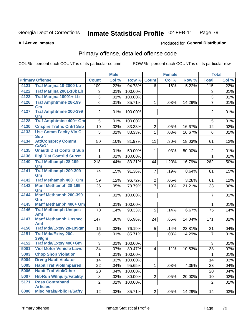#### Inmate Statistical Profile 02-FEB-11 Page 79

**Produced for General Distribution** 

### **All Active Inmates**

# Primary offense, detailed offense code

COL % - percent each COUNT is of its particular column

|      |                                                    |                | <b>Male</b>  |         |                   | <b>Female</b> |        |                      | <b>Total</b> |
|------|----------------------------------------------------|----------------|--------------|---------|-------------------|---------------|--------|----------------------|--------------|
|      | <b>Primary Offense</b>                             | <b>Count</b>   | Col %        | Row %   | <b>Count</b>      | Col %         | Row %  | <b>Total</b>         | Col %        |
| 4121 | Traf Marijna 10-2000 Lb                            | 109            | .22%         | 94.78%  | 6                 | .16%          | 5.22%  | 115                  | .22%         |
| 4122 | Traf Marijna 2001-10k Lb                           | 3              | .01%         | 100.00% |                   |               |        | 3                    | .01%         |
| 4123 | Traf Marijna 10001+ Lb                             | 3              | .01%         | 100.00% |                   |               |        | $\overline{3}$       | .01%         |
| 4126 | <b>Traf Amphtmine 28-199</b>                       | $\overline{6}$ | .01%         | 85.71%  | $\mathbf{1}$      | .03%          | 14.29% | $\overline{7}$       | .01%         |
|      | Gm                                                 |                |              |         |                   |               |        |                      |              |
| 4127 | <b>Traf Amphtmine 200-399</b><br>Gm                | $\overline{2}$ | .01%         | 100.00% |                   |               |        | $\overline{2}$       | .01%         |
| 4128 | <b>Traf Amphtmine 400+ Gm</b>                      | $\overline{5}$ | .01%         | 100.00% |                   |               |        | 5                    | .01%         |
| 4130 | <b>Cnspire Traffic Cntrl Sub</b>                   | 10             | .02%         | 83.33%  | $\overline{2}$    | .05%          | 16.67% | 12                   | .02%         |
| 4133 | <b>Use Comm Facity Vio C</b>                       | 5              | .01%         | 83.33%  | $\mathbf{1}$      | .03%          | 16.67% | 6                    | .01%         |
|      | <b>Sub</b>                                         |                |              |         |                   |               |        |                      |              |
| 4134 | <b>Att/Consprcy Commt</b><br>C/S/Of                | 50             | .10%         | 81.97%  | 11                | .30%          | 18.03% | 61                   | .12%         |
| 4135 | <b>Unauth Dist Contrild Sub</b>                    | 1              | .01%         | 50.00%  | $\mathbf{1}$      | .03%          | 50.00% | $\overline{2}$       | .01%         |
| 4136 | <b>Illgl Dist Contrild Subst</b>                   | 1              | .01%         | 100.00% |                   |               |        | $\mathbf 1$          | .01%         |
| 4140 | <b>Traf Methamph 28-199</b>                        | 218            | .44%         | 83.21%  | 44                | 1.20%         | 16.79% | 262                  | .50%         |
|      | Gm                                                 |                |              |         |                   |               |        |                      |              |
| 4141 | Traf Methamph 200-399<br>Gm                        | 74             | .15%         | 91.36%  | 7                 | .19%          | 8.64%  | 81                   | .15%         |
| 4142 | Traf Methamph 400+ Gm                              | 59             | .12%         | 96.72%  | 2                 | .05%          | 3.28%  | 61                   | .12%         |
| 4143 | <b>Manf Methamph 28-199</b>                        | 26             | .05%         | 78.79%  | $\overline{7}$    | .19%          | 21.21% | 33                   | .06%         |
|      | Gm                                                 |                |              |         |                   |               |        |                      |              |
| 4144 | <b>Manf Methamph 200-399</b>                       | $\overline{7}$ | .01%         | 100.00% |                   |               |        | $\overline{7}$       | .01%         |
| 4145 | Gm<br>Manf Methamph 400+ Gm                        | 1              | .01%         | 100.00% |                   |               |        | 1                    | .01%         |
| 4146 | <b>Traf Methamph Unspec</b>                        | 70             | .14%         | 93.33%  | 5                 | .14%          | 6.67%  | 75                   | .14%         |
|      | Amt                                                |                |              |         |                   |               |        |                      |              |
| 4147 | <b>Manf Methamph Unspec</b>                        | 147            | .30%         | 85.96%  | 24                | .65%          | 14.04% | 171                  | .32%         |
| 4150 | Amt<br><b>Traf Mda/Extsy 28-199gm</b>              | 16             |              | 76.19%  |                   |               | 23.81% |                      |              |
| 4151 | <b>Traf Mda/Extsy 200-</b>                         | 6              | .03%<br>.01% | 85.71%  | 5<br>$\mathbf{1}$ | .14%<br>.03%  | 14.29% | 21<br>$\overline{7}$ | .04%<br>.01% |
|      | <b>399gm</b>                                       |                |              |         |                   |               |        |                      |              |
| 4152 | Traf Mda/Extsy 400+Gm                              | 3              | .01%         | 100.00% |                   |               |        | 3                    | .01%         |
| 5001 | <b>Viol Motor Vehicle Laws</b>                     | 34             | .07%         | 89.47%  | $\overline{4}$    | .11%          | 10.53% | 38                   | .07%         |
| 5003 | <b>Chop Shop Violation</b>                         | 1              | .01%         | 100.00% |                   |               |        | 1                    | .01%         |
| 5004 | <b>Drvng Habtl Violator</b>                        | 14             | .03%         | 100.00% |                   |               |        | 14                   | .03%         |
| 5005 | <b>Habit Traf Viol/Impaired</b>                    | 22             | .04%         | 95.65%  | $\mathbf 1$       | .03%          | 4.35%  | 23                   | .04%         |
| 5006 | <b>Habit Traf Viol/Other</b>                       | 20             | .04%         | 100.00% |                   |               |        | 20                   | .04%         |
| 5007 | <b>Hit-Run W/Injury/Fatality</b>                   | $\bf 8$        | .02%         | 80.00%  | $\overline{2}$    | .05%          | 20.00% | 10                   | .02%         |
| 5171 | <b>Poss Contraband</b>                             | $\overline{2}$ | .01%         | 100.00% |                   |               |        | $\sqrt{2}$           | .01%         |
| 6000 | <b>Articles</b><br><b>Misc Mrals/Pblic H/Safty</b> | 12             | .02%         | 85.71%  | 2                 | .05%          | 14.29% | 14                   | .03%         |
|      |                                                    |                |              |         |                   |               |        |                      |              |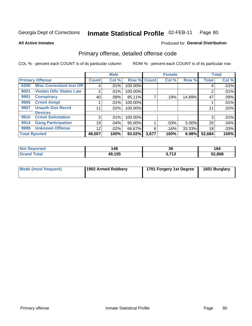#### Inmate Statistical Profile 02-FEB-11 Page 80

### **All Active Inmates**

# **Produced for General Distribution**

# Primary offense, detailed offense code

COL % - percent each COUNT is of its particular column

|                      |                                  |                | <b>Male</b> |             |       | <b>Female</b> |        |              | <b>Total</b> |
|----------------------|----------------------------------|----------------|-------------|-------------|-------|---------------|--------|--------------|--------------|
|                      | <b>Primary Offense</b>           | <b>Count</b>   | Col %       | Row % Count |       | Col %         | Row %  | <b>Total</b> | Col %        |
| 6200                 | <b>Misc CorrectionI Inst Off</b> | 4              | .01%        | 100.00%     |       |               |        | 4            | .01%         |
| 8001                 | <b>Violatn Othr States Law</b>   | 2              | .01%        | 100.00%     |       |               |        | 2            | .01%         |
| 9901                 | <b>Conspiracy</b>                | 40             | $.08\%$     | 85.11%      |       | .19%          | 14.89% | 47           | .09%         |
| 9905                 | <b>Crmnl Atmpt</b>               |                | .01%        | 100.00%     |       |               |        |              | .01%         |
| 9907                 | <b>Unauth Dist Recrd</b>         | 11             | .02%        | 100.00%     |       |               |        | 11           | .02%         |
|                      | <b>Devices</b>                   |                |             |             |       |               |        |              |              |
| 9910                 | <b>Crmnl Solicitation</b>        | 3 <sub>1</sub> | .01%        | 100.00%     |       |               |        | 3            | .01%         |
| 9914                 | <b>Gang Participation</b>        | 19             | .04%        | 95.00%      |       | .03%          | 5.00%  | 20           | .04%         |
| 9999                 | <b>Unknown Offense</b>           | 12             | .02%        | 66.67%      | 6     | $.16\%$       | 33.33% | 18           | .03%         |
| <b>Total Rported</b> |                                  | 49,007         | 100%        | $93.02\%$   | 3,677 | 100%          | 6.98%  | 52,684       | 100%         |

| enorted     | 148<br>__ | 36                       | 184    |
|-------------|-----------|--------------------------|--------|
| <b>Tota</b> | 49,155    | s 74 s<br>. J<br>$\cdot$ | 52,868 |

| Mode (most frequent) | 1902 Armed Robbery | 1701 Forgery 1st Degree | 1601 Burglary |
|----------------------|--------------------|-------------------------|---------------|
|----------------------|--------------------|-------------------------|---------------|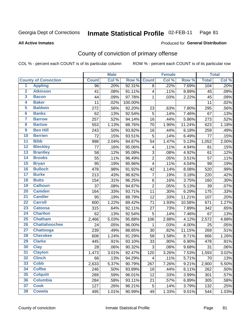#### Inmate Statistical Profile 02-FEB-11 Page 81

Produced for General Distribution

### **All Active Inmates**

# County of conviction of primary offense

COL % - percent each COUNT is of its particular column

|                         |                             |              | <b>Male</b> |         |                         | <b>Female</b> |        |              | <b>Total</b> |
|-------------------------|-----------------------------|--------------|-------------|---------|-------------------------|---------------|--------|--------------|--------------|
|                         | <b>County of Conviction</b> | <b>Count</b> | Col %       | Row %   | <b>Count</b>            | Col %         | Row %  | <b>Total</b> | Col %        |
| $\overline{1}$          | <b>Appling</b>              | 96           | .20%        | 92.31%  | 8                       | .22%          | 7.69%  | 104          | .20%         |
| $\overline{2}$          | <b>Atkinson</b>             | 41           | .08%        | 91.11%  | $\overline{\mathbf{4}}$ | .11%          | 8.89%  | 45           | .09%         |
| 3                       | <b>Bacon</b>                | 44           | .09%        | 97.78%  | 1                       | .03%          | 2.22%  | 45           | .09%         |
| 4                       | <b>Baker</b>                | 11           | .02%        | 100.00% |                         |               |        | 11           | .02%         |
| 5                       | <b>Baldwin</b>              | 272          | .56%        | 92.20%  | 23                      | .63%          | 7.80%  | 295          | .56%         |
| $6\phantom{a}$          | <b>Banks</b>                | 62           | .13%        | 92.54%  | 5                       | .14%          | 7.46%  | 67           | .13%         |
| 7                       | <b>Barrow</b>               | 257          | .52%        | 94.14%  | 16                      | .44%          | 5.86%  | 273          | .52%         |
| $\overline{\mathbf{8}}$ | <b>Bartow</b>               | 553          | 1.13%       | 88.76%  | 70                      | 1.90%         | 11.24% | 623          | 1.18%        |
| $\overline{9}$          | <b>Ben Hill</b>             | 243          | .50%        | 93.82%  | 16                      | .44%          | 6.18%  | 259          | .49%         |
| 10                      | <b>Berrien</b>              | 72           | .15%        | 93.51%  | 5                       | .14%          | 6.49%  | 77           | .15%         |
| 11                      | <b>Bibb</b>                 | 998          | 2.04%       | 94.87%  | 54                      | 1.47%         | 5.13%  | 1,052        | 2.00%        |
| $\overline{12}$         | <b>Bleckley</b>             | 77           | .16%        | 95.06%  | $\overline{\mathbf{4}}$ | .11%          | 4.94%  | 81           | .15%         |
| $\overline{13}$         | <b>Brantley</b>             | 58           | .12%        | 95.08%  | $\mathfrak{S}$          | .08%          | 4.92%  | 61           | .12%         |
| $\overline{14}$         | <b>Brooks</b>               | 55           | .11%        | 96.49%  | $\overline{2}$          | .05%          | 3.51%  | 57           | .11%         |
| $\overline{15}$         | <b>Bryan</b>                | 95           | .19%        | 95.96%  | $\overline{\mathbf{4}}$ | .11%          | 4.04%  | 99           | .19%         |
| 16                      | <b>Bulloch</b>              | 478          | .98%        | 91.92%  | 42                      | 1.14%         | 8.08%  | 520          | .99%         |
| $\overline{17}$         | <b>Burke</b>                | 213          | .43%        | 96.82%  | $\overline{7}$          | .19%          | 3.18%  | 220          | .42%         |
| 18                      | <b>Butts</b>                | 154          | .31%        | 96.25%  | $\,6\,$                 | .16%          | 3.75%  | 160          | .30%         |
| 19                      | <b>Calhoun</b>              | 37           | .08%        | 94.87%  | $\overline{2}$          | .05%          | 5.13%  | 39           | .07%         |
| 20                      | <b>Camden</b>               | 164          | .33%        | 93.71%  | 11                      | .30%          | 6.29%  | 175          | .33%         |
| $\overline{21}$         | <b>Candler</b>              | 95           | .19%        | 88.79%  | 12                      | .33%          | 11.21% | 107          | .20%         |
| $\overline{22}$         | <b>Carroll</b>              | 600          | 1.22%       | 89.42%  | 71                      | 1.93%         | 10.58% | 671          | 1.27%        |
| 23                      | <b>Catoosa</b>              | 315          | .64%        | 92.11%  | 27                      | .73%          | 7.89%  | 342          | .65%         |
| $\overline{24}$         | <b>Charlton</b>             | 62           | .13%        | 92.54%  | $\sqrt{5}$              | .14%          | 7.46%  | 67           | .13%         |
| $\overline{25}$         | <b>Chatham</b>              | 2,466        | 5.03%       | 95.88%  | 106                     | 2.88%         | 4.12%  | 2,572        | 4.88%        |
| 26                      | <b>Chattahoochee</b>        | 24           | .05%        | 96.00%  | 1                       | .03%          | 4.00%  | 25           | .05%         |
| 27                      | <b>Chattooga</b>            | 239          | .49%        | 88.85%  | 30                      | .82%          | 11.15% | 269          | .51%         |
| 28                      | <b>Cherokee</b>             | 608          | 1.24%       | 91.29%  | 58                      | 1.58%         | 8.71%  | 666          | 1.26%        |
| 29                      | <b>Clarke</b>               | 445          | .91%        | 93.10%  | 33                      | .90%          | 6.90%  | 478          | .91%         |
| 30                      | <b>Clay</b>                 | 28           | .06%        | 90.32%  | $\sqrt{3}$              | .08%          | 9.68%  | 31           | .06%         |
| 31                      | <b>Clayton</b>              | 1,473        | 3.01%       | 92.47%  | 120                     | 3.26%         | 7.53%  | 1,593        | 3.02%        |
| 32                      | <b>Clinch</b>               | 66           | .13%        | 94.29%  | 4                       | .11%          | 5.71%  | 70           | .13%         |
| 33                      | <b>Cobb</b>                 | 2,633        | 5.37%       | 90.79%  | 267                     | 7.26%         | 9.21%  | 2,900        | 5.50%        |
| 34                      | <b>Coffee</b>               | 246          | .50%        | 93.89%  | 16                      | .44%          | 6.11%  | 262          | .50%         |
| 35                      | <b>Colquitt</b>             | 289          | .59%        | 96.01%  | 12                      | .33%          | 3.99%  | 301          | .57%         |
| 36                      | <b>Columbia</b>             | 284          | .58%        | 93.11%  | 21                      | .57%          | 6.89%  | 305          | .58%         |
| 37                      | <b>Cook</b>                 | 127          | .26%        | 96.21%  | 5                       | .14%          | 3.79%  | 132          | .25%         |
| 38                      | <b>Coweta</b>               | 495          | 1.01%       | 90.99%  | 49                      | 1.33%         | 9.01%  | 544          | 1.03%        |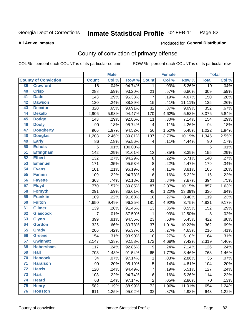#### Inmate Statistical Profile 02-FEB-11 Page 82

### **All Active Inmates**

# Produced for General Distribution

# County of conviction of primary offense

COL % - percent each COUNT is of its particular column

|                 |                             |                 | <b>Male</b> |         |                  | <b>Female</b> |        |                 | <b>Total</b> |
|-----------------|-----------------------------|-----------------|-------------|---------|------------------|---------------|--------|-----------------|--------------|
|                 | <b>County of Conviction</b> | <b>Count</b>    | Col %       | Row %   | <b>Count</b>     | Col %         | Row %  | <b>Total</b>    | Col %        |
| 39              | <b>Crawford</b>             | $\overline{18}$ | .04%        | 94.74%  | $\mathbf 1$      | .03%          | 5.26%  | $\overline{19}$ | .04%         |
| 40              | <b>Crisp</b>                | 288             | .59%        | 93.20%  | 21               | .57%          | 6.80%  | 309             | .59%         |
| 41              | <b>Dade</b>                 | 143             | .29%        | 95.33%  | $\overline{7}$   | .19%          | 4.67%  | 150             | .28%         |
| 42              | <b>Dawson</b>               | 120             | .24%        | 88.89%  | 15               | .41%          | 11.11% | 135             | .26%         |
| 43              | <b>Decatur</b>              | 320             | .65%        | 90.91%  | 32               | .87%          | 9.09%  | 352             | .67%         |
| 44              | <b>Dekalb</b>               | 2,906           | 5.93%       | 94.47%  | 170              | 4.62%         | 5.53%  | 3,076           | 5.84%        |
| 45              | <b>Dodge</b>                | 143             | .29%        | 92.86%  | 11               | .30%          | 7.14%  | 154             | .29%         |
| 46              | <b>Dooly</b>                | 90              | .18%        | 95.74%  | 4                | .11%          | 4.26%  | 94              | .18%         |
| 47              | <b>Dougherty</b>            | 966             | 1.97%       | 94.52%  | 56               | 1.52%         | 5.48%  | 1,022           | 1.94%        |
| 48              | <b>Douglas</b>              | 1,208           | 2.46%       | 89.81%  | 137              | 3.73%         | 10.19% | 1,345           | 2.55%        |
| 49              | <b>Early</b>                | 86              | .18%        | 95.56%  | 4                | .11%          | 4.44%  | 90              | .17%         |
| 50              | <b>Echols</b>               | $\,6$           | .01%        | 100.00% |                  |               |        | 6               | .01%         |
| 51              | <b>Effingham</b>            | 142             | .29%        | 91.61%  | 13               | .35%          | 8.39%  | 155             | .29%         |
| 52              | <b>Elbert</b>               | 132             | .27%        | 94.29%  | $\bf 8$          | .22%          | 5.71%  | 140             | .27%         |
| 53              | <b>Emanuel</b>              | 171             | .35%        | 95.53%  | 8                | .22%          | 4.47%  | 179             | .34%         |
| 54              | <b>Evans</b>                | 101             | .21%        | 96.19%  | 4                | .11%          | 3.81%  | 105             | .20%         |
| 55              | <b>Fannin</b>               | 109             | .22%        | 94.78%  | 6                | .16%          | 5.22%  | 115             | .22%         |
| 56              | <b>Fayette</b>              | 363             | .74%        | 92.13%  | 31               | .84%          | 7.87%  | 394             | .75%         |
| 57              | <b>Floyd</b>                | 770             | 1.57%       | 89.85%  | 87               | 2.37%         | 10.15% | 857             | 1.63%        |
| 58              | <b>Forsyth</b>              | 291             | .59%        | 86.61%  | 45               | 1.22%         | 13.39% | 336             | .64%         |
| 59              | <b>Franklin</b>             | 109             | .22%        | 91.60%  | 10               | .27%          | 8.40%  | 119             | .23%         |
| 60              | <b>Fulton</b>               | 4,650           | 9.49%       | 96.25%  | 181              | 4.92%         | 3.75%  | 4,831           | 9.17%        |
| 61              | <b>Gilmer</b>               | 139             | .28%        | 91.45%  | 13               | .35%          | 8.55%  | 152             | .29%         |
| 62              | <b>Glascock</b>             | 7               | .01%        | 87.50%  | $\mathbf 1$      | .03%          | 12.50% | 8               | .02%         |
| 63              | <b>Glynn</b>                | 399             | .81%        | 94.55%  | 23               | .63%          | 5.45%  | 422             | .80%         |
| 64              | <b>Gordon</b>               | 325             | .66%        | 89.78%  | 37               | 1.01%         | 10.22% | 362             | .69%         |
| 65              | <b>Grady</b>                | 206             | .42%        | 95.37%  | 10               | .27%          | 4.63%  | 216             | .41%         |
| 66              | <b>Greene</b>               | 154             | .31%        | 93.90%  | 10               | .27%          | 6.10%  | 164             | .31%         |
| 67              | <b>Gwinnett</b>             | 2,147           | 4.38%       | 92.58%  | 172              | 4.68%         | 7.42%  | 2,319           | 4.40%        |
| 68              | <b>Habersham</b>            | 117             | .24%        | 92.86%  | $\boldsymbol{9}$ | .24%          | 7.14%  | 126             | .24%         |
| 69              | <b>Hall</b>                 | 703             | 1.43%       | 91.54%  | 65               | 1.77%         | 8.46%  | 768             | 1.46%        |
| 70              | <b>Hancock</b>              | 34              | .07%        | 97.14%  | 1                | .03%          | 2.86%  | 35              | .07%         |
| 71              | <b>Haralson</b>             | 99              | .20%        | 95.19%  | 5                | .14%          | 4.81%  | 104             | .20%         |
| $\overline{72}$ | <b>Harris</b>               | 120             | .24%        | 94.49%  | 7                | .19%          | 5.51%  | 127             | .24%         |
| 73              | <b>Hart</b>                 | 108             | .22%        | 94.74%  | 6                | .16%          | 5.26%  | 114             | .22%         |
| 74              | <b>Heard</b>                | 68              | .14%        | 97.14%  | $\overline{2}$   | .05%          | 2.86%  | 70              | .13%         |
| 75              | <b>Henry</b>                | 582             | 1.19%       | 88.99%  | 72               | 1.96%         | 11.01% | 654             | 1.24%        |
| 76              | <b>Houston</b>              | 611             | 1.25%       | 95.02%  | 32               | .87%          | 4.98%  | 643             | 1.22%        |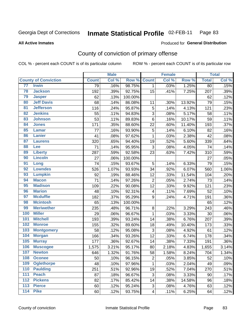#### Inmate Statistical Profile 02-FEB-11 Page 83

### **All Active Inmates**

## Produced for General Distribution

# County of conviction of primary offense

COL % - percent each COUNT is of its particular column

|                   |                             |                 | <b>Male</b> |         |                          | <b>Female</b> |        |              | <b>Total</b> |
|-------------------|-----------------------------|-----------------|-------------|---------|--------------------------|---------------|--------|--------------|--------------|
|                   | <b>County of Conviction</b> | <b>Count</b>    | Col %       | Row %   | <b>Count</b>             | Col %         | Row %  | <b>Total</b> | Col %        |
| 77                | <b>Irwin</b>                | $\overline{79}$ | .16%        | 98.75%  | $\mathbf{1}$             | .03%          | 1.25%  | 80           | .15%         |
| 78                | <b>Jackson</b>              | 192             | .39%        | 92.75%  | 15                       | .41%          | 7.25%  | 207          | .39%         |
| 79                | <b>Jasper</b>               | 62              | .13%        | 100.00% |                          |               |        | 62           | .12%         |
| 80                | <b>Jeff Davis</b>           | 68              | .14%        | 86.08%  | 11                       | .30%          | 13.92% | 79           | .15%         |
| 81                | <b>Jefferson</b>            | 116             | .24%        | 95.87%  | 5                        | .14%          | 4.13%  | 121          | .23%         |
| 82                | <b>Jenkins</b>              | 55              | .11%        | 94.83%  | $\mathsf 3$              | .08%          | 5.17%  | 58           | .11%         |
| 83                | <b>Johnson</b>              | 53              | .11%        | 89.83%  | $\,6$                    | .16%          | 10.17% | 59           | .11%         |
| 84                | <b>Jones</b>                | 171             | .35%        | 88.60%  | 22                       | .60%          | 11.40% | 193          | .37%         |
| 85                | <b>Lamar</b>                | 77              | .16%        | 93.90%  | 5                        | .14%          | 6.10%  | 82           | .16%         |
| 86                | <b>Lanier</b>               | 41              | .08%        | 97.62%  | $\mathbf{1}$             | .03%          | 2.38%  | 42           | .08%         |
| 87                | <b>Laurens</b>              | 320             | .65%        | 94.40%  | 19                       | .52%          | 5.60%  | 339          | .64%         |
| 88                | Lee                         | 71              | .14%        | 95.95%  | 3                        | .08%          | 4.05%  | 74           | .14%         |
| 89                | <b>Liberty</b>              | 287             | .59%        | 92.58%  | 23                       | .63%          | 7.42%  | 310          | .59%         |
| 90                | <b>Lincoln</b>              | 27              | .06%        | 100.00% |                          |               |        | 27           | .05%         |
| 91                | Long                        | 74              | .15%        | 93.67%  | 5                        | .14%          | 6.33%  | 79           | .15%         |
| 92                | <b>Lowndes</b>              | 526             | 1.07%       | 93.93%  | 34                       | .92%          | 6.07%  | 560          | 1.06%        |
| 93                | <b>Lumpkin</b>              | 92              | .19%        | 88.46%  | 12                       | .33%          | 11.54% | 104          | .20%         |
| 94                | <b>Macon</b>                | 71              | .14%        | 97.26%  | $\mathbf 2$              | .05%          | 2.74%  | 73           | .14%         |
| 95                | <b>Madison</b>              | 109             | .22%        | 90.08%  | 12                       | .33%          | 9.92%  | 121          | .23%         |
| 96                | <b>Marion</b>               | 48              | .10%        | 92.31%  | $\overline{\mathcal{A}}$ | .11%          | 7.69%  | 52           | .10%         |
| 97                | <b>Mcduffie</b>             | 182             | .37%        | 95.29%  | 9                        | .24%          | 4.71%  | 191          | .36%         |
| 98                | <b>Mcintosh</b>             | 65              | .13%        | 100.00% |                          |               |        | 65           | .12%         |
| 99                | <b>Meriwether</b>           | 235             | .48%        | 96.71%  | 8                        | .22%          | 3.29%  | 243          | .46%         |
| 100               | <b>Miller</b>               | 29              | .06%        | 96.67%  | $\mathbf{1}$             | .03%          | 3.33%  | 30           | .06%         |
| 101               | <b>Mitchell</b>             | 193             | .39%        | 93.24%  | 14                       | .38%          | 6.76%  | 207          | .39%         |
| 102               | <b>Monroe</b>               | 155             | .32%        | 89.60%  | 18                       | .49%          | 10.40% | 173          | .33%         |
| 103               | <b>Montgomery</b>           | 58              | .12%        | 95.08%  | 3                        | .08%          | 4.92%  | 61           | .12%         |
| 104               | <b>Morgan</b>               | 166             | .34%        | 93.26%  | 12                       | .33%          | 6.74%  | 178          | .34%         |
| 105               | <b>Murray</b>               | 177             | .36%        | 92.67%  | 14                       | .38%          | 7.33%  | 191          | .36%         |
| 106               | <b>Muscogee</b>             | 1,575           | 3.21%       | 95.17%  | 80                       | 2.18%         | 4.83%  | 1,655        | 3.14%        |
| 107               | <b>Newton</b>               | 646             | 1.32%       | 91.76%  | 58                       | 1.58%         | 8.24%  | 704          | 1.34%        |
| 108               | <b>Oconee</b>               | 50              | .10%        | 96.15%  | 2                        | .05%          | 3.85%  | 52           | $.10\%$      |
| 109               | <b>Oglethorpe</b>           | 48              | .10%        | 97.96%  | $\mathbf{1}$             | .03%          | 2.04%  | 49           | .09%         |
| 110               | <b>Paulding</b>             | 251             | .51%        | 92.96%  | 19                       | .52%          | 7.04%  | 270          | .51%         |
| 111               | <b>Peach</b>                | 87              | .18%        | 96.67%  | 3                        | .08%          | 3.33%  | 90           | .17%         |
| 112               | <b>Pickens</b>              | 82              | .17%        | 85.42%  | 14                       | .38%          | 14.58% | 96           | .18%         |
| 113               | <b>Pierce</b>               | 60              | .12%        | 95.24%  | 3                        | .08%          | 4.76%  | 63           | .12%         |
| $\frac{114}{114}$ | <b>Pike</b>                 | 60              | .12%        | 93.75%  | $\overline{\mathbf{4}}$  | .11%          | 6.25%  | 64           | .12%         |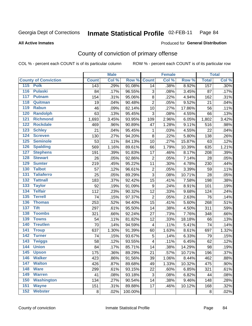#### Inmate Statistical Profile 02-FEB-11 Page 84

### **All Active Inmates**

# **Produced for General Distribution**

# County of conviction of primary offense

COL % - percent each COUNT is of its particular column

|                                     |              | <b>Male</b> |         |                         | <b>Female</b> |        |              | <b>Total</b>               |
|-------------------------------------|--------------|-------------|---------|-------------------------|---------------|--------|--------------|----------------------------|
| <b>County of Conviction</b>         | <b>Count</b> | Col %       | Row %   | <b>Count</b>            | Col %         | Row %  | <b>Total</b> | $\overline{\text{Col }\%}$ |
| 115 Polk                            | 143          | .29%        | 91.08%  | 14                      | .38%          | 8.92%  | 157          | .30%                       |
| 116<br><b>Pulaski</b>               | 84           | .17%        | 96.55%  | 3                       | .08%          | 3.45%  | 87           | .17%                       |
| 117<br><b>Putnam</b>                | 154          | .31%        | 95.06%  | 8                       | .22%          | 4.94%  | 162          | .31%                       |
| 118<br>Quitman                      | 19           | .04%        | 90.48%  | $\overline{2}$          | .05%          | 9.52%  | 21           | .04%                       |
| 119<br><b>Rabun</b>                 | 46           | .09%        | 82.14%  | 10                      | .27%          | 17.86% | 56           | .11%                       |
| 120<br><b>Randolph</b>              | 63           | .13%        | 95.45%  | 3                       | .08%          | 4.55%  | 66           | .13%                       |
| 121<br><b>Richmond</b>              | 1,693        | 3.45%       | 93.95%  | 109                     | 2.96%         | 6.05%  | 1,802        | 3.42%                      |
| 122<br><b>Rockdale</b>              | 469          | .96%        | 90.89%  | 47                      | 1.28%         | 9.11%  | 516          | .98%                       |
| 123<br><b>Schley</b>                | 21           | .04%        | 95.45%  | 1                       | .03%          | 4.55%  | 22           | .04%                       |
| 124<br><b>Screven</b>               | 130          | .27%        | 94.20%  | $\,8\,$                 | .22%          | 5.80%  | 138          | .26%                       |
| 125<br><b>Seminole</b>              | 53           | .11%        | 84.13%  | 10                      | .27%          | 15.87% | 63           | .12%                       |
| <b>Spalding</b><br>126              | 569          | 1.16%       | 89.61%  | 66                      | 1.79%         | 10.39% | 635          | 1.21%                      |
| 127<br><b>Stephens</b>              | 191          | .39%        | 91.83%  | 17                      | .46%          | 8.17%  | 208          | .39%                       |
| 128<br><b>Stewart</b>               | 26           | .05%        | 92.86%  | $\overline{2}$          | .05%          | 7.14%  | 28           | .05%                       |
| <b>Sumter</b><br>129                | 219          | .45%        | 95.22%  | 11                      | .30%          | 4.78%  | 230          | .44%                       |
| <b>Talbot</b><br>130                | 57           | .12%        | 96.61%  | $\overline{2}$          | .05%          | 3.39%  | 59           | .11%                       |
| 131<br><b>Taliaferro</b>            | 25           | .05%        | 89.29%  | 3                       | .08%          | 10.71% | 28           | .05%                       |
| $\overline{132}$<br><b>Tattnall</b> | 183          | .37%        | 92.42%  | 15                      | .41%          | 7.58%  | 198          | .38%                       |
| 133<br><b>Taylor</b>                | 92           | .19%        | 91.09%  | 9                       | .24%          | 8.91%  | 101          | .19%                       |
| <b>Telfair</b><br>134               | 112          | .23%        | 90.32%  | 12                      | .33%          | 9.68%  | 124          | .24%                       |
| 135<br><b>Terrell</b>               | 74           | .15%        | 97.37%  | $\overline{2}$          | .05%          | 2.63%  | 76           | .14%                       |
| 136<br><b>Thomas</b>                | 253          | .52%        | 94.40%  | $\overline{15}$         | .41%          | 5.60%  | 268          | .51%                       |
| 137<br><b>Tift</b>                  | 297          | .61%        | 95.50%  | 14                      | .38%          | 4.50%  | 311          | .59%                       |
| <b>Toombs</b><br>138                | 321          | .66%        | 92.24%  | 27                      | .73%          | 7.76%  | 348          | .66%                       |
| 139<br><b>Towns</b>                 | 54           | .11%        | 81.82%  | 12                      | .33%          | 18.18% | 66           | .13%                       |
| 140<br><b>Treutlen</b>              | 70           | .14%        | 94.59%  | $\overline{\mathbf{4}}$ | .11%          | 5.41%  | 74           | .14%                       |
| <b>Troup</b><br>141                 | 637          | 1.30%       | 91.39%  | 60                      | 1.63%         | 8.61%  | 697          | 1.32%                      |
| 142<br><b>Turner</b>                | 74           | .15%        | 93.67%  | 5                       | .14%          | 6.33%  | 79           | .15%                       |
| $\overline{143}$<br><b>Twiggs</b>   | 58           | .12%        | 93.55%  | 4                       | .11%          | 6.45%  | 62           | .12%                       |
| 144<br><b>Union</b>                 | 84           | .17%        | 85.71%  | 14                      | .38%          | 14.29% | 98           | .19%                       |
| 145<br><b>Upson</b>                 | 175          | .36%        | 89.29%  | 21                      | .57%          | 10.71% | 196          | .37%                       |
| 146<br><b>Walker</b>                | 423          | .86%        | 91.56%  | 39                      | 1.06%         | 8.44%  | 462          | .88%                       |
| 147<br><b>Walton</b>                | 426          | .87%        | 89.68%  | 49                      | 1.33%         | 10.32% | 475          | .90%                       |
| 148<br><b>Ware</b>                  | 299          | .61%        | 93.15%  | 22                      | .60%          | 6.85%  | 321          | .61%                       |
| <b>Warren</b><br>149                | 41           | .08%        | 93.18%  | 3                       | .08%          | 6.82%  | 44           | .08%                       |
| <b>Washington</b><br>150            | 134          | .27%        | 90.54%  | 14                      | .38%          | 9.46%  | 148          | .28%                       |
| 151<br><b>Wayne</b>                 | 151          | .31%        | 89.88%  | 17                      | .46%          | 10.12% | 168          | .32%                       |
| 152<br><b>Webster</b>               | 8            | .02%        | 100.00% |                         |               |        | 8            | .02%                       |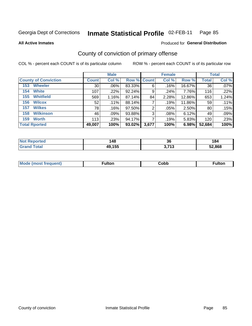#### Inmate Statistical Profile 02-FEB-11 Page 85

**All Active Inmates** 

### Produced for General Distribution

# County of conviction of primary offense

COL % - percent each COUNT is of its particular column

|                             |              | <b>Male</b> |                    |       | <b>Female</b> |        |              | <b>Total</b> |
|-----------------------------|--------------|-------------|--------------------|-------|---------------|--------|--------------|--------------|
| <b>County of Conviction</b> | <b>Count</b> | Col %       | <b>Row % Count</b> |       | Col %         | Row %  | <b>Total</b> | Col %        |
| <b>Wheeler</b><br>153       | 30           | $.06\%$     | 83.33%             | 6     | .16%          | 16.67% | 36           | $.07\%$      |
| <b>White</b><br>154         | 107          | .22%        | 92.24%             | 9     | .24%          | 7.76%  | 116          | .22%         |
| <b>Whitfield</b><br>155     | 569          | 1.16%       | 87.14%             | 84    | 2.28%         | 12.86% | 653          | 1.24%        |
| <b>Wilcox</b><br>156        | 52           | .11%        | 88.14%             |       | .19%          | 11.86% | 59           | .11%         |
| <b>Wilkes</b><br>157        | 78           | .16%        | 97.50%             | 2     | .05%          | 2.50%  | 80           | .15%         |
| <b>Wilkinson</b><br>158     | 46           | .09%        | 93.88%             | 3     | .08%          | 6.12%  | 49           | .09%         |
| <b>Worth</b><br>159         | 113          | .23%        | 94.17%             |       | .19%          | 5.83%  | 120          | .23%         |
| <b>Total Rported</b>        | 49,007       | 100%        | 93.02%             | 3,677 | 100%          | 6.98%  | 52,684       | 100%         |

| те о | 148    | 36                       | . .<br>184 |
|------|--------|--------------------------|------------|
| ota. | 49,155 | י די<br>- 1 2<br><b></b> | .868       |

| <b>Mode</b><br>---<br>luent)<br>nost tren | ™ulton | ;obb | Fulto |
|-------------------------------------------|--------|------|-------|
|                                           |        |      |       |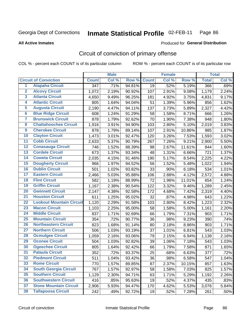#### Inmate Statistical Profile 02-FEB-11 Page 86

### **All Active Inmates**

# **Produced for General Distribution**

# Circuit of conviction of primary offense

COL % - percent each COUNT is of its particular column

|                         |                                 |                  | <b>Male</b> |        |              | <b>Female</b> |        |              | <b>Total</b> |
|-------------------------|---------------------------------|------------------|-------------|--------|--------------|---------------|--------|--------------|--------------|
|                         | <b>Circuit of Conviction</b>    | <b>Count</b>     | Col %       | Row %  | <b>Count</b> | Col %         | Row %  | <b>Total</b> | Col %        |
| 1                       | <b>Alapaha Circuit</b>          | $\overline{347}$ | .71%        | 94.81% | 19           | .52%          | 5.19%  | 366          | .69%         |
| $\overline{2}$          | <b>Alcovy Circuit</b>           | 1,072            | 2.19%       | 90.92% | 107          | 2.91%         | 9.08%  | 1,179        | 2.24%        |
| $\overline{\mathbf{3}}$ | <b>Atlanta Circuit</b>          | 4,650            | 9.49%       | 96.25% | 181          | 4.92%         | 3.75%  | 4,831        | 9.17%        |
| 4                       | <b>Atlantic Circuit</b>         | 805              | 1.64%       | 94.04% | 51           | 1.39%         | 5.96%  | 856          | 1.62%        |
| 5                       | <b>Augusta Circuit</b>          | 2,190            | 4.47%       | 94.11% | 137          | 3.73%         | 5.89%  | 2,327        | 4.42%        |
| $\overline{6}$          | <b>Blue Ridge Circuit</b>       | 608              | 1.24%       | 91.29% | 58           | 1.58%         | 8.71%  | 666          | 1.26%        |
| $\overline{\mathbf{7}}$ | <b>Brunswick Circuit</b>        | 878              | 1.79%       | 92.62% | 70           | 1.90%         | 7.38%  | 948          | 1.80%        |
| 8                       | <b>Chattahoochee Circuit</b>    | 1,916            | 3.91%       | 94.90% | 103          | 2.80%         | 5.10%  | 2,019        | 3.83%        |
| $\overline{9}$          | <b>Cherokee Circuit</b>         | 878              | 1.79%       | 89.14% | 107          | 2.91%         | 10.86% | 985          | 1.87%        |
| 10                      | <b>Clayton Circuit</b>          | 1,473            | 3.01%       | 92.47% | 120          | 3.26%         | 7.53%  | 1,593        | 3.02%        |
| $\overline{11}$         | <b>Cobb Circuit</b>             | 2,633            | 5.37%       | 90.79% | 267          | 7.26%         | 9.21%  | 2,900        | 5.50%        |
| $\overline{12}$         | <b>Conasauga Circuit</b>        | 746              | 1.52%       | 88.39% | 98           | 2.67%         | 11.61% | 844          | 1.60%        |
| 13                      | <b>Cordele Circuit</b>          | 673              | 1.37%       | 93.34% | 48           | 1.31%         | 6.66%  | 721          | 1.37%        |
| 14                      | <b>Coweta Circuit</b>           | 2,035            | 4.15%       | 91.46% | 190          | 5.17%         | 8.54%  | 2,225        | 4.22%        |
| 15                      | <b>Dougherty Circuit</b>        | 966              | 1.97%       | 94.52% | 56           | 1.52%         | 5.48%  | 1,022        | 1.94%        |
| 16                      | <b>Dublin Circuit</b>           | 501              | 1.02%       | 93.82% | 33           | .90%          | 6.18%  | 534          | 1.01%        |
| 17                      | <b>Eastern Circuit</b>          | 2,466            | 5.03%       | 95.88% | 106          | 2.88%         | 4.12%  | 2,572        | 4.88%        |
| 18                      | <b>Flint Circuit</b>            | 582              | 1.19%       | 88.99% | 72           | 1.96%         | 11.01% | 654          | 1.24%        |
| 19                      | <b>Griffin Circuit</b>          | 1,167            | 2.38%       | 90.54% | 122          | 3.32%         | 9.46%  | 1,289        | 2.45%        |
| 20                      | <b>Gwinnett Circuit</b>         | 2,147            | 4.38%       | 92.58% | 172          | 4.68%         | 7.42%  | 2,319        | 4.40%        |
| $\overline{21}$         | <b>Houston Circuit</b>          | 611              | 1.25%       | 95.02% | 32           | .87%          | 4.98%  | 643          | 1.22%        |
| $\overline{22}$         | <b>Lookout Mountain Circuit</b> | 1,120            | 2.29%       | 91.58% | 103          | 2.80%         | 8.42%  | 1,223        | 2.32%        |
| 23                      | <b>Macon Circuit</b>            | 1,103            | 2.25%       | 95.00% | 58           | 1.58%         | 5.00%  | 1,161        | 2.20%        |
| $\overline{24}$         | <b>Middle Circuit</b>           | 837              | 1.71%       | 92.69% | 66           | 1.79%         | 7.31%  | 903          | 1.71%        |
| 25                      | <b>Mountain Circuit</b>         | 354              | .72%        | 90.77% | 36           | .98%          | 9.23%  | 390          | .74%         |
| 26                      | <b>Northeastern Circuit</b>     | 823              | 1.68%       | 91.14% | 80           | 2.18%         | 8.86%  | 903          | 1.71%        |
| $\overline{27}$         | <b>Northern Circuit</b>         | 506              | 1.03%       | 93.19% | 37           | 1.01%         | 6.81%  | 543          | 1.03%        |
| 28                      | <b>Ocmulgee Circuit</b>         | 1,059            | 2.16%       | 93.06% | 79           | 2.15%         | 6.94%  | 1,138        | 2.16%        |
| 29                      | <b>Oconee Circuit</b>           | 504              | 1.03%       | 92.82% | 39           | 1.06%         | 7.18%  | 543          | 1.03%        |
| 30                      | <b>Ogeechee Circuit</b>         | 805              | 1.64%       | 92.42% | 66           | 1.79%         | 7.58%  | 871          | 1.65%        |
| $\overline{31}$         | <b>Pataula Circuit</b>          | 352              | .72%        | 93.37% | 25           | .68%          | 6.63%  | 377          | .72%         |
| 32                      | <b>Piedmont Circuit</b>         | 511              | 1.04%       | 93.42% | 36           | .98%          | 6.58%  | 547          | 1.04%        |
| 33                      | <b>Rome Circuit</b>             | 770              | 1.57%       | 89.85% | 87           | 2.37%         | 10.15% | 857          | 1.63%        |
| 34                      | <b>South Georgia Circuit</b>    | 767              | 1.57%       | 92.97% | 58           | 1.58%         | 7.03%  | 825          | 1.57%        |
| 35                      | <b>Southern Circuit</b>         | 1,129            | 2.30%       | 94.71% | 63           | 1.71%         | 5.29%  | 1,192        | 2.26%        |
| 36                      | <b>Southwestern Circuit</b>     | 416              | .85%        | 95.63% | 19           | .52%          | 4.37%  | 435          | .83%         |
| 37                      | <b>Stone Mountain Circuit</b>   | 2,906            | 5.93%       | 94.47% | 170          | 4.62%         | 5.53%  | 3,076        | 5.84%        |
| 38                      | <b>Tallapoosa Circuit</b>       | 242              | .49%        | 92.72% | 19           | .52%          | 7.28%  | 261          | .50%         |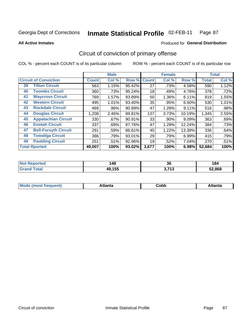#### Inmate Statistical Profile 02-FEB-11 Page 87

**Produced for General Distribution** 

### **All Active Inmates**

# Circuit of conviction of primary offense

COL % - percent each COUNT is of its particular column

|                                   |              | <b>Male</b> |        |              | <b>Female</b> |          |              | <b>Total</b> |
|-----------------------------------|--------------|-------------|--------|--------------|---------------|----------|--------------|--------------|
| <b>Circuit of Conviction</b>      | <b>Count</b> | Col %       | Row %  | <b>Count</b> | Col %         | Row %    | <b>Total</b> | Col %        |
| <b>Tifton Circuit</b><br>39       | 563          | 1.15%       | 95.42% | 27           | .73%          | 4.58%    | 590          | 1.12%        |
| <b>Toombs Circuit</b><br>40       | 360          | .73%        | 95.24% | 18           | .49%          | 4.76%    | 378          | .72%         |
| <b>Waycross Circuit</b><br>41     | 769          | 1.57%       | 93.89% | 50           | 1.36%         | 6.11%    | 819          | 1.55%        |
| <b>Western Circuit</b><br>42      | 495          | 1.01%       | 93.40% | 35           | .95%          | 6.60%    | 530          | 1.01%        |
| <b>Rockdale Circuit</b><br>43     | 469          | .96%        | 90.89% | 47           | 1.28%         | 9.11%    | 516          | .98%         |
| <b>Douglas Circuit</b><br>44      | 1,208        | 2.46%       | 89.81% | 137          | 3.73%         | 10.19%   | 1,345        | 2.55%        |
| <b>Appalachian Circuit</b><br>45  | 330          | .67%        | 90.91% | 33           | .90%          | $9.09\%$ | 363          | .69%         |
| <b>Enotah Circuit</b><br>46       | 337          | .69%        | 87.76% | 47           | 1.28%         | 12.24%   | 384          | .73%         |
| 47<br><b>Bell-Forsyth Circuit</b> | 291          | .59%        | 86.61% | 45           | 1.22%         | 13.39%   | 336          | .64%         |
| <b>Towaliga Circuit</b><br>48     | 386          | .79%        | 93.01% | 29           | .79%          | 6.99%    | 415          | .79%         |
| <b>Paulding Circuit</b><br>49     | 251          | .51%        | 92.96% | 19           | .52%          | 7.04%    | 270          | .51%         |
| <b>Total Rported</b>              | 49,007       | 100%        | 93.02% | 3,677        | 100%          | 6.98%    | 52,684       | 100%         |

| тео | 148    | $\ddot{\phantom{0}}$ | .o     |
|-----|--------|----------------------|--------|
|     | $\sim$ | კე                   | $\sim$ |
|     | 49,155 | 2742<br>1 J<br>.     | 52.868 |

| M | . | -----<br>oг | ----<br>пLс |
|---|---|-------------|-------------|
|   |   | <b>OUNN</b> |             |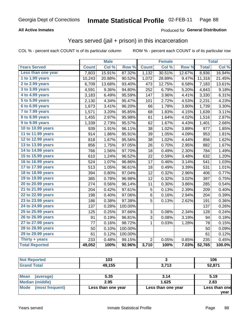#### Inmate Statistical Profile 02-FEB-11 Page 88

### **All Active Inmates**

### **Produced for General Distribution**

# Years served (jail + prison) in this incarceration

COL % - percent each COUNT is of its particular column

|                       |              | <b>Male</b> |                  |                | <b>Female</b> |        |              | <b>Total</b> |
|-----------------------|--------------|-------------|------------------|----------------|---------------|--------|--------------|--------------|
| <b>Years Served</b>   | <b>Count</b> | Col %       | Row <sup>%</sup> | <b>Count</b>   | Col %         | Row %  | <b>Total</b> | Col %        |
| Less than one year    | 7,803        | 15.91%      | 87.32%           | 1,132          | 30.51%        | 12.67% | 8,936        | 16.94%       |
| 1 to 1.99 years       | 10,243       | 20.88%      | 90.52%           | 1,072          | 28.89%        | 9.47%  | 11,316       | 21.45%       |
| 2 to 2.99 years       | 6,709        | 13.68%      | 93.40%           | 473            | 12.75%        | 6.58%  | 7,183        | 13.61%       |
| 3 to 3.99 years       | 4,591        | 9.36%       | 94.80%           | 252            | 6.79%         | 5.20%  | 4,843        | 9.18%        |
| 4 to 4.99 years       | 3,183        | 6.49%       | 95.59%           | 147            | 3.96%         | 4.41%  | 3,330        | 6.31%        |
| 5 to 5.99 years       | 2,130        | 4.34%       | 95.47%           | 101            | 2.72%         | 4.53%  | 2,231        | 4.23%        |
| $6$ to $6.99$ years   | 1,673        | 3.41%       | 96.20%           | 66             | 1.78%         | 3.80%  | 1,739        | 3.30%        |
| 7 to 7.99 years       | 1,571        | 3.20%       | 95.85%           | 68             | 1.83%         | 4.15%  | 1,639        | 3.11%        |
| 8 to 8.99 years       | 1,455        | 2.97%       | 95.98%           | 61             | 1.64%         | 4.02%  | 1,516        | 2.87%        |
| 9 to 9.99 years       | 1,339        | 2.73%       | 95.57%           | 62             | 1.67%         | 4.43%  | 1,401        | 2.66%        |
| 10 to 10.99 years     | 939          | 1.91%       | 96.11%           | 38             | 1.02%         | 3.89%  | 977          | 1.85%        |
| 11 to 11.99 years     | 914          | 1.86%       | 95.91%           | 39             | 1.05%         | 4.09%  | 953          | 1.81%        |
| 12 to 12.99 years     | 818          | 1.67%       | 95.56%           | 38             | 1.02%         | 4.44%  | 856          | 1.62%        |
| 13 to 13.99 years     | 856          | 1.75%       | 97.05%           | 26             | 0.70%         | 2.95%  | 882          | 1.67%        |
| 14 to 14.99 years     | 766          | 1.56%       | 97.70%           | 18             | 0.49%         | 2.30%  | 784          | 1.49%        |
| 15 to 15.99 years     | 610          | 1.24%       | 96.52%           | 22             | 0.59%         | 3.48%  | 632          | 1.20%        |
| 16 to 16.99 years     | 524          | 1.07%       | 96.86%           | 17             | 0.46%         | 3.14%  | 541          | 1.03%        |
| 17 to 17.99 years     | 513          | 1.05%       | 96.61%           | 18             | 0.49%         | 3.39%  | 531          | 1.01%        |
| 18 to 18.99 years     | 394          | 0.80%       | 97.04%           | 12             | 0.32%         | 2.96%  | 406          | 0.77%        |
| 19 to 19.99 years     | 385          | 0.78%       | 96.98%           | 12             | 0.32%         | 3.02%  | 397          | 0.75%        |
| 20 to 20.99 years     | 274          | 0.56%       | 96.14%           | 11             | 0.30%         | 3.86%  | 285          | 0.54%        |
| 21 to 21.99 years     | 204          | 0.42%       | 97.61%           | 5              | 0.13%         | 2.39%  | 209          | 0.40%        |
| 22 to 22.99 years     | 198          | 0.40%       | 97.06%           | 6              | 0.16%         | 2.94%  | 204          | 0.39%        |
| 23 to 23.99 years     | 186          | 0.38%       | 97.38%           | 5              | 0.13%         | 2.62%  | 191          | 0.36%        |
| 24 to 24.99 years     | 137          | 0.28%       | 100.00%          |                |               |        | 137          | 0.26%        |
| 25 to 25.99 years     | 125          | 0.25%       | 97.66%           | 3              | 0.08%         | 2.34%  | 128          | 0.24%        |
| 26 to 26.99 years     | 91           | 0.19%       | 96.81%           | 3              | 0.08%         | 3.19%  | 94           | 0.18%        |
| 27 to 27.99 years     | 77           | 0.16%       | 98.72%           | 1              | 0.03%         | 1.28%  | 78           | 0.15%        |
| 28 to 28.99 years     | 50           | 0.10%       | 100.00%          |                |               |        | 50           | 0.09%        |
| 29 to 29.99 years     | 61           | 0.12%       | 100.00%          |                |               |        | 61           | 0.12%        |
| Thirty $+$ years      | 233          | 0.48%       | 99.15%           | $\overline{2}$ | 0.05%         | 0.85%  | 235          | 0.45%        |
| <b>Total Reported</b> | 49,052       | 100%        | 92.96%           | 3,710          | 100%          | 7.03%  | 52,765       | 100.0%       |

|                            | 103    |               | 106    |
|----------------------------|--------|---------------|--------|
| $\mathcal{L} = 4 \times 7$ | 49,155 | 2742<br>◡<br> | 52,871 |

| <b>Mean</b><br>(average) | 5.35               | 3.14               | 5.19          |
|--------------------------|--------------------|--------------------|---------------|
| <b>Median (middle)</b>   | 2.95               | 1.625              | 2.83          |
| Mode (most frequent)     | Less than one year | Less than one year | Less than one |
|                          |                    |                    | vear          |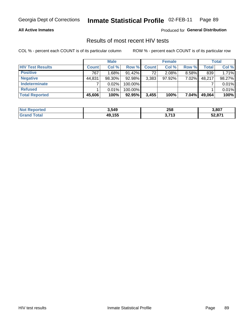#### Inmate Statistical Profile 02-FEB-11 Page 89

### **All Active Inmates**

Produced for General Distribution

# Results of most recent HIV tests

COL % - percent each COUNT is of its particular column

|                         |              | <b>Male</b> |           |              | <b>Female</b> |          |              | Total  |
|-------------------------|--------------|-------------|-----------|--------------|---------------|----------|--------------|--------|
| <b>HIV Test Results</b> | <b>Count</b> | Col %       | Row %I    | <b>Count</b> | Col %         | Row %    | <b>Total</b> | Col %  |
| <b>Positive</b>         | 767          | 1.68%       | $91.42\%$ | 72           | 2.08%         | $8.58\%$ | 839          | 1.71%  |
| <b>Negative</b>         | 44,831       | $98.30\%$   | 92.98%    | 3,383        | 97.92%        | $7.02\%$ | 48,217       | 98.27% |
| Indeterminate           |              | 0.02%       | 100.00%   |              |               |          |              | 0.01%  |
| <b>Refused</b>          |              | 0.01%       | 100.00%   |              |               |          |              | 0.01%  |
| <b>Total Reported</b>   | 45,606       | 100%        | 92.95%    | 3,455        | 100%          | $7.04\%$ | 49,064       | 100%   |

| <b>Not Reported</b> | 3,549  | 258   | 3,807  |
|---------------------|--------|-------|--------|
| <b>Grand Total</b>  | 49,155 | 3,713 | 52,871 |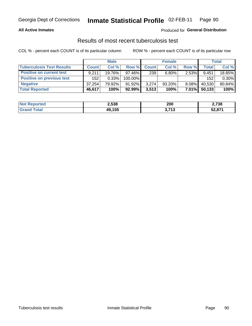#### Inmate Statistical Profile 02-FEB-11 Page 90

### **All Active Inmates**

### Produced for General Distribution

# Results of most recent tuberculosis test

COL % - percent each COUNT is of its particular column

|                                  | <b>Male</b>  |        |           | <b>Female</b> |           |          | Total        |        |
|----------------------------------|--------------|--------|-----------|---------------|-----------|----------|--------------|--------|
| <b>Tuberculosis Test Results</b> | <b>Count</b> | Col %  | Row %     | <b>Count</b>  | Col %     | Row %    | <b>Total</b> | Col %  |
| <b>Positive on current test</b>  | 9.211        | 19.76% | 97.46%    | 239           | $6.80\%$  | 2.53%    | 9,451        | 18.85% |
| Positive on previous test        | 152          | 0.33%  | 100.00%   |               |           |          | 152          | 0.30%  |
| <b>Negative</b>                  | 37.254       | 79.92% | $91.92\%$ | 3,274         | $93.20\%$ | $8.08\%$ | 40,530       | 80.84% |
| <b>Total Reported</b>            | 46,617       | 100%   | $92.99\%$ | 3,513         | 100%      | $7.01\%$ | 50,133       | 100%   |

| <b>Not Reported</b> | 2,538  | 200                             | 2,738  |
|---------------------|--------|---------------------------------|--------|
| `otal               | 49,155 | 1 74 2<br>, ၊ ၁<br>$\mathbf{v}$ | 52,871 |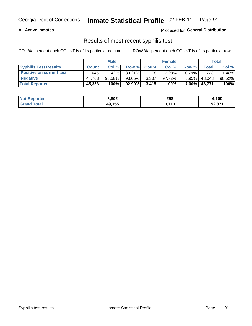# Georgia Dept of Corrections **Inmate Statistical Profile** 02-FEB-11 Page 91

### **All Active Inmates**

Produced for **General Distribution**

# Results of most recent syphilis test

COL % - percent each COUNT is of its particular column ROW % - percent each COUNT is of its particular row

|                                 | <b>Male</b>  |           |           | <b>Female</b> |           |                | Total   |        |
|---------------------------------|--------------|-----------|-----------|---------------|-----------|----------------|---------|--------|
| <b>Syphilis Test Results</b>    | <b>Count</b> | Col%      | Row %     | <b>Count</b>  | Col %     | Row %          | Total I | Col %  |
| <b>Positive on current test</b> | 645          | $1.42\%$  | $89.21\%$ | 78            | 2.28%     | $10.79\%$      | 723     | .48%   |
| <b>Negative</b>                 | 44.708       | $98.58\%$ | $93.05\%$ | 3,337         | $97.72\%$ | $6.95\%$       | 48,048  | 98.52% |
| <b>Total Reported</b>           | 45,353       | 100%      | 92.99%    | 3,415         | 100%      | 7.00% <b> </b> | 48,771  | 100%   |

| <b>Not Reported</b> | 3,802  | 298                      | 4,100  |
|---------------------|--------|--------------------------|--------|
| <b>Grand Total</b>  | 49,155 | 1 74 2<br>ა. <i>í</i> Iა | 52,871 |